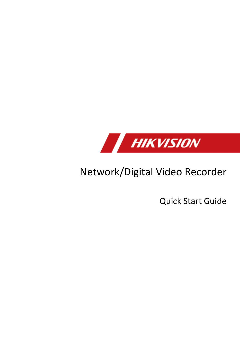

## Network/Digital Video Recorder

Quick Start Guide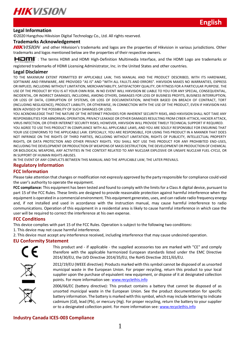

#### **Legal Information**

© 2020 Hangzhou Hikvision Digital Technology Co., Ltd. All rights reserved.

#### **Trademarks Acknowledgement**

**HIKVISION** and other Hikvision's trademarks and logos are the properties of Hikvision in various jurisdictions. Other trademarks and logos mentioned below are the properties of their respective owners.

: The terms HDMI and HDMI High-Definition Multimedia Interface, and the HDMI Logo are trademarks or

registered trademarks of HDMI Licensing Administrator, Inc. in the United States and other countries.

#### **Legal Disclaimer**

TO THE MAXIMUM EXTENT PERMITTED BY APPLICABLE LAW, THIS MANUAL AND THE PRODUCT DESCRIBED, WITH ITS HARDWARE, SOFTWARE AND FIRMWARE, ARE PROVIDED "AS IS" AND "WITH ALL FAULTS AND ERRORS". HIKVISION MAKES NO WARRANTIES, EXPRESS OR IMPLIED, INCLUDING WITHOUT LIMITATION, MERCHANTABILITY, SATISFACTORY QUALITY, OR FITNESS FOR A PARTICULAR PURPOSE. THE USE OF THE PRODUCT BY YOU IS AT YOUR OWN RISK. IN NO EVENT WILL HIKVISION BE LIABLE TO YOU FOR ANY SPECIAL, CONSEQUENTIAL, INCIDENTAL, OR INDIRECT DAMAGES, INCLUDING, AMONG OTHERS, DAMAGES FOR LOSS OF BUSINESS PROFITS, BUSINESS INTERRUPTION, OR LOSS OF DATA, CORRUPTION OF SYSTEMS, OR LOSS OF DOCUMENTATION, WHETHER BASED ON BREACH OF CONTRACT, TORT (INCLUDING NEGLIGENCE), PRODUCT LIABILITY, OR OTHERWISE, IN CONNECTION WITH THE USE OF THE PRODUCT, EVEN IF HIKVISION HAS BEEN ADVISED OF THE POSSIBILITY OF SUCH DAMAGES OR LOSS.

YOU ACKNOWLEDGE THAT THE NATURE OF THE INTERNET PROVIDES FOR INHERENT SECURITY RISKS, AND HIKVISION SHALL NOT TAKE ANY RESPONSIBILITIES FOR ABNORMAL OPERATION, PRIVACY LEAKAGE OR OTHER DAMAGES RESULTING FROM CYBER-ATTACK, HACKER ATTACK, VIRUS INFECTION, OR OTHER INTERNET SECURITY RISKS; HOWEVER, HIKVISION WILL PROVIDE TIMELY TECHNICAL SUPPORT IF REQUIRED. YOU AGREE TO USE THIS PRODUCT IN COMPLIANCE WITH ALL APPLICABLE LAWS, AND YOU ARE SOLELY RESPONSIBLE FOR ENSURING THAT YOUR USE CONFORMS TO THE APPLICABLE LAW. ESPECIALLY, YOU ARE RESPONSIBLE, FOR USING THIS PRODUCT IN A MANNER THAT DOES NOT INFRINGE ON THE RIGHTS OF THIRD PARTIES, INCLUDING WITHOUT LIMITATION, RIGHTS OF PUBLICITY, INTELLECTUAL PROPERTY RIGHTS, OR DATA PROTECTION AND OTHER PRIVACY RIGHTS. YOU SHALL NOT USE THIS PRODUCT FOR ANY PROHIBITED END-USES, INCLUDING THE DEVELOPMENT OR PRODUCTION OF WEAPONS OF MASS DESTRUCTION, THE DEVELOPMENT OR PRODUCTION OF CHEMICAL OR BIOLOGICAL WEAPONS, ANY ACTIVITIES IN THE CONTEXT RELATED TO ANY NUCLEAR EXPLOSIVE OR UNSAFE NUCLEAR FUEL-CYCLE, OR IN SUPPORT OF HUMAN RIGHTS ABUSES.

IN THE EVENT OF ANY CONFLICTS BETWEEN THIS MANUAL AND THE APPLICABLE LAW, THE LATER PREVAILS.

#### **Regulatory Information**

#### **FCC Information**

Please take attention that changes or modification not expressly approved by the party responsible for compliance could void the user's authority to operate the equipment.

**FCC compliance:** This equipment has been tested and found to comply with the limits for a Class A digital device, pursuant to part 15 of the FCC Rules. These limits are designed to provide reasonable protection against harmful interference when the equipment is operated in a commercial environment. This equipment generates, uses, and can radiate radio frequency energy and, if not installed and used in accordance with the instruction manual, may cause harmful interference to radio communications. Operation of this equipment in a residential area is likely to cause harmful interference in which case the user will be required to correct the interference at his own expense.

#### **FCC Conditions**

This device complies with part 15 of the FCC Rules. Operation is subject to the following two conditions:

1. This device may not cause harmful interference.

2. This device must accept any interference received, including interference that may cause undesired operation.

#### **EU Conformity Statement**



This product and - if applicable - the supplied accessories too are marked with "CE" and comply therefore with the applicable harmonized European standards listed under the EMC Directive 2014/30/EU, the LVD Directive 2014/35/EU, the RoHS Directive 2011/65/EU.





2012/19/EU (WEEE directive): Products marked with this symbol cannot be disposed of as unsorted municipal waste in the European Union. For proper recycling, return this product to your local supplier upon the purchase of equivalent new equipment, or dispose of it at designated collection points. For more information se[e: www.recyclethis.info](http://www.recyclethis.info/)

2006/66/EC (battery directive): This product contains a battery that cannot be disposed of as unsorted municipal waste in the European Union. See the product documentation for specific battery information. The battery is marked with this symbol, which may include lettering to indicate cadmium (Cd), lead (Pb), or mercury (Hg). For proper recycling, return the battery to your supplier or to a designated collection point. For more information se[e: www.recyclethis.info](http://www.recyclethis.info/)

#### **Industry Canada ICES-003 Compliance**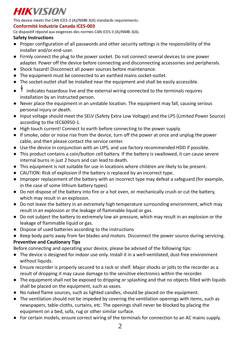This device meets the CAN ICES-3 (A)/NMB-3(A) standards requirements.

### **Conformité Industrie Canada ICES-003**

Ce dispositif répond aux exigences des normes CAN ICES-3 (A)/NMB-3(A).

### **Safety Instructions**

- Proper configuration of all passwords and other security settings is the responsibility of the installer and/or end-user.
- Firmly connect the plug to the power socket. Do not connect several devices to one power adapter. Power off the device before connecting and disconnecting accessories and peripherals.
- Shock hazard! Disconnect all power sources before maintenance.
- The equipment must be connected to an earthed mains socket-outlet.
- The socket-outlet shall be installed near the equipment and shall be easily accessible.
- $\sharp$  indicates hazardous live and the external wiring connected to the terminals requires installation by an instructed person.
- Never place the equipment in an unstable location. The equipment may fall, causing serious personal injury or death.
- Input voltage should meet the SELV (Safety Extra Low Voltage) and the LPS (Limited Power Source) according to the IEC60950-1.
- High touch current! Connect to earth before connecting to the power supply.
- If smoke, odor or noise rise from the device, turn off the power at once and unplug the power cable, and then please contact the service center.
- Use the device in conjunction with an UPS, and use factory recommended HDD if possible.
- This product contains a coin/button cell battery. If the battery is swallowed, it can cause severe internal burns in just 2 hours and can lead to death.
- This equipment is not suitable for use in locations where children are likely to be present.
- CAUTION: Risk of explosion if the battery is replaced by an incorrect type.
- Improper replacement of the battery with an incorrect type may defeat a safeguard (for example, in the case of some lithium battery types).
- Do not dispose of the battery into fire or a hot oven, or mechanically crush or cut the battery, which may result in an explosion.
- Do not leave the battery in an extremely high temperature surrounding environment, which may result in an explosion or the leakage of flammable liquid or gas.
- Do not subject the battery to extremely low air pressure, which may result in an explosion or the leakage of flammable liquid or gas.
- Dispose of used batteries according to the instructions
- Keep body parts away from fan blades and motors. Disconnect the power source during servicing. **Preventive and Cautionary Tips**

Before connecting and operating your device, please be advised of the following tips:

- The device is designed for indoor use only. Install it in a well-ventilated, dust-free environment without liquids.
- Ensure recorder is properly secured to a rack or shelf. Major shocks or jolts to the recorder as a result of dropping it may cause damage to the sensitive electronics within the recorder.
- The equipment shall not be exposed to dripping or splashing and that no objects filled with liquids shall be placed on the equipment, such as vases.
- No naked flame sources, such as lighted candles, should be placed on the equipment.
- The ventilation should not be impeded by covering the ventilation openings with items, such as newspapers, table-cloths, curtains, etc. The openings shall never be blocked by placing the equipment on a bed, sofa, rug or other similar surface.
- For certain models, ensure correct wiring of the terminals for connection to an AC mains supply.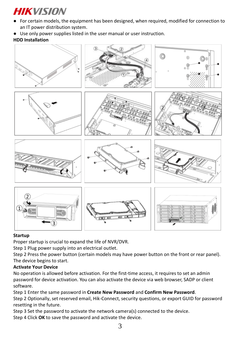- For certain models, the equipment has been designed, when required, modified for connection to an IT power distribution system.
- Use only power supplies listed in the user manual or user instruction.

## **HDD Installation**



## **Startup**

Proper startup is crucial to expand the life of NVR/DVR.

Step 1 Plug power supply into an electrical outlet.

Step 2 Press the power button (certain models may have power button on the front or rear panel). The device begins to start.

## **Activate Your Device**

No operation is allowed before activation. For the first-time access, it requires to set an admin password for device activation. You can also activate the device via web browser, SADP or client software.

Step 1 Enter the same password in **Create New Password** and **Confirm New Password**. Step 2 Optionally, set reserved email, Hik-Connect, security questions, or export GUID for password resetting in the future.

Step 3 Set the password to activate the network camera(s) connected to the device.

Step 4 Click **OK** to save the password and activate the device.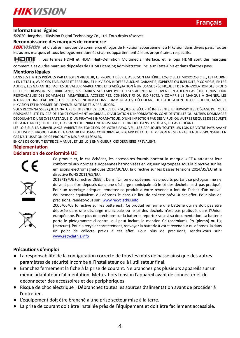![](_page_4_Picture_0.jpeg)

#### **Informations légales**

© 2020 Hangzhou Hikvision Digital Technology Co., Ltd. Tous droits réservés.

### **Reconnaissance des marques de commerce**

**HIKVISION** et d'autres marques de commerce et logos de Hikvision appartiennent à Hikvision dans divers pays. Toutes les autres marques et tous les logos mentionnés ci-après appartiennent à leurs propriétaires respectifs.

: Les termes HDMI et HDMI High-Definition Multimedia Interface, et le logo HDMI sont des marques

commerciales ou des marques déposées de HDMI Licensing Administrator, Inc. aux États-Unis et dans d'autres pays.

#### **Mentions légales**

DANS LES LIMITES PRÉVUES PAR LA LOI EN VIGUEUR, LE PRODUIT DÉCRIT, AVEC SON MATÉRIEL, LOGICIEL ET MICROLOGICIEL, EST FOURNI « EN L'ÉTAT », AVEC CES FAIBLESSES ET ERREURS, ET HIKVISION N'OFFRE AUCUNE GARANTIE, EXPRESSE OU IMPLICITE, Y COMPRIS, ENTRE AUTRES, LES GARANTIES TACITES DE VALEUR MARCHANDE ET D'ADÉQUATION À UN USAGE SPÉCIFIQUE ET DE NON-VIOLATION DES DROITS DE TIERS. HIKVISION, SES DIRIGEANTS, SES CADRES, SES EMPLOYÉS OU SES AGENTS NE PEUVENT EN AUCUN CAS ÊTRE TENUS POUR RESPONSABLES DES DOMMAGES IMMATÉRIELS, ACCESSOIRES, CONSÉCUTIFS OU INDIRECTS, Y COMPRIS LE MANQUE À GAGNER, LES INTERRUPTIONS D'ACTIVITÉ, LES PERTES D'INFORMATIONS COMMERCIALES, DÉCOULANT DE L'UTILISATION DE CE PRODUIT, MÊME SI HIKVISION EST INFORMÉE DE L'ÉVENTUALITÉ DE TELS PRÉJUDICES.

VOUS RECONNAISSEZ QUE LA NATURE D'INTERNET EST SOURCE DE RISQUES DE SÉCURITÉ INHÉRENTS, ET HIKVISION SE DÉGAGE DE TOUTE RESPONSABILITÉ EN CAS DE FONCTIONNEMENT ANORMAL, DIVULGATION D'INFORMATIONS CONFIDENTIELLES OU AUTRES DOMMAGES DÉCOULANT D'UNE CYBERATTAQUE, D'UN PIRATAGE INFORMATIQUE, D'UNE INFECTION PAR DES VIRUS, OU AUTRES RISQUES DE SÉCURITÉ LIÉS À INTERNET ; TOUTEFOIS, HIKVISION FOURNIRA UNE ASSISTANCE TECHNIQUE DANS LES DÉLAIS, LE CAS ÉCHÉANT.

LES LOIS SUR LA SURVEILLANCE VARIENT EN FONCTION DE VOTRE PAYS. VEUILLEZ APPLIQUER TOUTES LES LOIS DE VOTRE PAYS AVANT D'UTILISER CE PRODUIT AFIN DE GARANTIR UN USAGE CONFORME AU REGARD DE LA LOI. HIKVISION NE SERA PAS TENUE RESPONSABLE EN CAS D'UTILISATION DE CE PRODUIT À DES FINS ILLÉGALES.

EN CAS DE CONFLIT ENTRE CE MANUEL ET LES LOIS EN VIGUEUR, CES DERNIÈRES PRÉVALENT.

#### **Réglementation**

#### **Déclaration de conformité UE**

![](_page_4_Picture_15.jpeg)

Ce produit et, le cas échéant, les accessoires fournis portent la marque « CE » attestant leur conformité aux normes européennes harmonisées en vigueur regroupées sous la directive sur les émissions électromagnétiques 2014/30/EU, la directive sur les basses tensions 2014/35/EU et la directive RoHS 2011/65/EU. 2012/19/UE (directive DEEE) : Dans l'Union européenne, les produits portant ce pictogramme ne doivent pas être déposés dans une décharge municipale où le tri des déchets n'est pas pratiqué.

![](_page_4_Picture_17.jpeg)

![](_page_4_Picture_18.jpeg)

![](_page_4_Picture_19.jpeg)

équipement équivalent, ou déposez-le dans un lieu de collecte prévu à cet effet. Pour plus de précisions, rendez-vous sur [: www.recyclethis.info](http://www.recyclethis.info/) 2006/66/CE (directive sur les batteries) : Ce produit renferme une batterie qui ne doit pas être déposée dans une décharge municipale où le tri des déchets n'est pas pratiqué, dans l'Union européenne. Pour plus de précisions sur la batterie, reportez-vous à sa documentation. La batterie porte le pictogramme ci-contre, qui peut inclure la mention Cd (cadmium), Pb (plomb) ou Hg (mercure). Pour la recycler correctement, renvoyez la batterie à votre revendeur ou déposez-la dans

Pour un recyclage adéquat, remettez ce produit à votre revendeur lors de l'achat d'un nouvel

un point de collecte prévu à cet effet. Pour plus de précisions, rendez-vous sur : [www.recyclethis.info](http://www.recyclethis.info/)

### **Précautions d'emploi**

- La responsabilité de la configuration correcte de tous les mots de passe ainsi que des autres paramètres de sécurité incombe à l'installateur ou à l'utilisateur final.
- Branchez fermement la fiche à la prise de courant. Ne branchez pas plusieurs appareils sur un même adaptateur d'alimentation. Mettez hors tension l'appareil avant de connecter et de déconnecter des accessoires et des périphériques.
- Risque de choc électrique ! Débranchez toutes les sources d'alimentation avant de procéder à l'entretien.
- L'équipement doit être branché à une prise secteur mise à la terre.
- La prise de courant doit être installée près de l'équipement et doit être facilement accessible.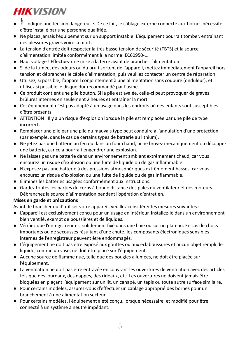- <sup>1</sup>/ indique une tension dangereuse. De ce fait, le câblage externe connecté aux bornes nécessite d'être installé par une personne qualifiée.
- Ne placez jamais l'équipement sur un support instable. L'équipement pourrait tomber, entraînant des blessures graves voire la mort.
- La tension d'entrée doit respecter la très basse tension de sécurité (TBTS) et la source d'alimentation limitée conformément à la norme IEC60950-1.
- Haut voltage ! Effectuez une mise à la terre avant de brancher l'alimentation.
- Si de la fumée, des odeurs ou du bruit sortent de l'appareil, mettez immédiatement l'appareil hors tension et débranchez le câble d'alimentation, puis veuillez contacter un centre de réparation.
- Utilisez, si possible, l'appareil conjointement à une alimentation sans coupure (onduleur), et utilisez si possible le disque dur recommandé par l'usine.
- Ce produit contient une pile bouton. Si la pile est avalée, celle-ci peut provoquer de graves brûlures internes en seulement 2 heures et entraîner la mort.
- Cet équipement n'est pas adapté à un usage dans les endroits où des enfants sont susceptibles d'être présents.
- ATTENTION : Il y a un risque d'explosion lorsque la pile est remplacée par une pile de type incorrect.
- Remplacer une pile par une pile du mauvais type peut conduire à l'annulation d'une protection (par exemple, dans le cas de certains types de batterie au lithium).
- Ne jetez pas une batterie au feu ou dans un four chaud, ni ne broyez mécaniquement ou découpez une batterie, car cela pourrait engendrer une explosion.
- Ne laissez pas une batterie dans un environnement ambiant extrêmement chaud, car vous encourez un risque d'explosion ou une fuite de liquide ou de gaz inflammable.
- N'exposez pas une batterie à des pressions atmosphériques extrêmement basses, car vous encourez un risque d'explosion ou une fuite de liquide ou de gaz inflammable.
- Éliminez les batteries usagées conformément aux instructions.
- Gardez toutes les parties du corps à bonne distance des pales du ventilateur et des moteurs. Débranchez la source d'alimentation pendant l'opération d'entretien.

## **Mises en garde et précautions**

Avant de brancher ou d'utiliser votre appareil, veuillez considérer les mesures suivantes :

- L'appareil est exclusivement conçu pour un usage en intérieur. Installez-le dans un environnement bien ventilé, exempt de poussières et de liquides.
- Vérifiez que l'enregistreur est solidement fixé dans une baie ou sur un plateau. En cas de chocs importants ou de secousses résultant d'une chute, les composants électroniques sensibles internes de l'enregistreur peuvent être endommagés.
- L'équipement ne doit pas être exposé aux gouttes ou aux éclaboussures et aucun objet rempli de liquide, comme un vase, ne doit être placé sur l'équipement.
- Aucune source de flamme nue, telle que des bougies allumées, ne doit être placée sur l'équipement.
- La ventilation ne doit pas être entravée en couvrant les ouvertures de ventilation avec des articles tels que des journaux, des nappes, des rideaux, etc. Les ouvertures ne doivent jamais être bloquées en plaçant l'équipement sur un lit, un canapé, un tapis ou toute autre surface similaire.
- Pour certains modèles, assurez-vous d'effectuer un câblage approprié des bornes pour un branchement à une alimentation secteur.
- Pour certains modèles, l'équipement a été conçu, lorsque nécessaire, et modifié pour être connecté à un système à neutre impédant.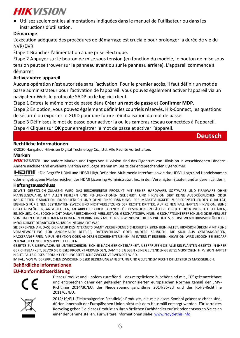● Utilisez seulement les alimentations indiquées dans le manuel de l'utilisateur ou dans les instructions d'utilisation.

## **Démarrage**

L'exécution adéquate des procédures de démarrage est cruciale pour prolonger la durée de vie du NVR/DVR.

Étape 1 Branchez l'alimentation à une prise électrique.

Étape 2 Appuyez sur le bouton de mise sous tension (en fonction du modèle, le bouton de mise sous tension peut se trouver sur le panneau avant ou sur le panneau arrière). L'appareil commence à démarrer.

#### **Activez votre appareil**

Aucune opération n'est autorisée sans l'activation. Pour le premier accès, il faut définir un mot de passe administrateur pour l'activation de l'appareil. Vous pouvez également activer l'appareil via un navigateur Web, le protocole SADP ou le logiciel client.

Étape 1 Entrez le même mot de passe dans **Créer un mot de passe** et **Confirmer MDP**.

Étape 2 En option, vous pouvez également définir les courriels réservés, Hik-Connect, les questions de sécurité ou exporter le GUID pour une future réinitialisation du mot de passe.

Étape 3 Définissez le mot de passe pour activer la ou les caméras réseau connectées à l'appareil.

Étape 4 Cliquez sur **OK** pour enregistrer le mot de passe et activer l'appareil.

## **Deutsch**

### **Rechtliche Informationen**

© 2020 Hangzhou Hikvision Digital Technology Co., Ltd. Alle Rechte vorbehalten.

#### **Marken**

HIKVISION und andere Marken und Logos von Hikvision sind das Eigentum von Hikvision in verschiedenen Ländern. Andere nachstehend erwähnte Marken und Logos stehen im Besitz der entsprechenden Eigentümer.

: Die Begriffe HDMI und HDMI High-Definition Multimedia Interface sowie das HDMI-Logo sind Handelsnamen

oder eingetragene Markenzeichen der HDMI Licensing Administrator, Inc. in den Vereinigten Staaten und anderen Ländern.

#### **Haftungsausschluss**

SOWEIT GESETZLICH ZULÄSSIG WIRD DAS BESCHRIEBENE PRODUKT MIT SEINER HARDWARE, SOFTWARE UND FIRMWARE OHNE MÄNGELGEWÄHR, MIT ALLEN FEHLERN UND FEHLFUNKTIONEN GELIEFERT, UND HIKVISION GIBT KEINE AUSDRÜ CKLICHEN ODER IMPLIZIERTEN GARANTIEN, EINSCHLIEßLICH UND OHNE EINSCHRÄNKUNG, DER MARKTFÄHIGKEIT, ZUFRIEDENSTELLENDEN QUALITÄT, EIGNUNG FÜR EINEN BESTIMMTEN ZWECK UND NICHTVERLETZUNG DER RECHTE DRITTER. AUF KEINEN FALL HAFTEN HIKVISION, SEINE GESCHÄFTSFÜHRER, ANGESTELLTEN, MITARBEITER ODER PARTNER FÜR BESONDERE, ZUFÄLLIGE, DIREKTE ODER INDIREKTE SCHÄDEN, EINSCHLIEßLICH, JEDOCH NICHT DARAUF BESCHRÄNKT, VERLUST VON GESCHÄFTSGEWINNEN, GESCHÄFTSUNTERBRECHUNG ODER VERLUST VON DATEN ODER DOKUMENTATIONEN IN VERBINDUNG MIT DER VERWENDUNG DIESES PRODUKTS, SELBST WENN HIKVISION Ü BER DIE MÖ GLICHKEIT DERARTIGER SCHÄDEN INFORMIERT WAR.

SIE ERKENNEN AN, DASS DIE NATUR DES INTERNETS DAMIT VERBUNDENE SICHERHEITSRISIKEN BEINHALTET. HIKVISION ÜBERNIMMT KEINE VERANTWORTUNG FÜR ANORMALEN BETRIEB, DATENVERLUST ODER ANDERE SCHÄDEN, DIE SICH AUS CYBERANGRIFFEN, HACKERANGRIFFEN, VIRUSINFEKTION ODER ANDEREN SICHERHEITSRISIKEN IM INTERNET ERGEBEN. HIKVISION WIRD JEDOCH BEI BEDARF ZEITNAH TECHNISCHEN SUPPORT LEISTEN.

GESETZE ZUR ÜBERWACHUNG UNTERSCHEIDEN SICH JE NACH GERICHTSBARKEIT. ÜBERPRÜFEN SIE ALLE RELEVANTEN GESETZE IN IHRER GERICHTSBARKEIT, BEVOR SIE DIESES PRODUKT VERWENDEN, DAMIT SIE GEGEN KEINE GELTENDEN GESETZE VERSTOßEN. HIKVISION HAFTET NICHT, FALLS DIESES PRODUKT FÜR UNGESETZLICHE ZWECKE VERWENDET WIRD.

IM FALL VON WIDERSPRÜCHEN ZWISCHEN DIESER BEDIENUNGSANLEITUNG UND GELTENDEM RECHT IST LETZTERES MASSGEBLICH.

#### **Behördliche Informationen**

#### **EU-Konformitätserklärung**

![](_page_6_Picture_26.jpeg)

Dieses Produkt und – sofem zutreffend – das mitgelieferte Zubehör sind mit "CE" gekennzeichnet und entsprechen daher den geltenden harmonisierten europäischen Normen gemäß der EMV-Richtlinie 2014/30/EU, der Niederspannungsrichtlinie 2014/35/EU und der RoHS-Richtlinie 2011/65/EU.

![](_page_6_Picture_28.jpeg)

2012/19/EU (Elektroaltgeräte-Richtlinie): Produkte, die mit diesem Symbol gekennzeichnet sind, dürfen innerhalb der Europäischen Union nicht mit dem Hausmüll entsorgt werden. Für korrektes Recycling geben Sie dieses Produkt an Ihren örtlichen Fachhändler zurück oder entsorgen Sie es an einer der Sammelstellen. Für weitere Informationen siehe[: www.recyclethis.info](http://www.recyclethis.info/)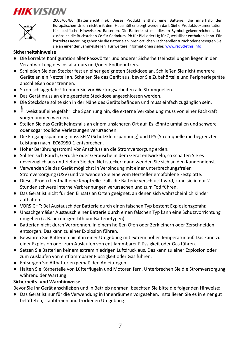![](_page_7_Picture_1.jpeg)

2006/66/EC (Batterierichtlinie): Dieses Produkt enthält eine Batterie, die innerhalb der Europäischen Union nicht mit dem Hausmüll entsorgt werden darf. Siehe Produktdokumentation für spezifische Hinweise zu Batterien. Die Batterie ist mit diesem Symbol gekennzeichnet, das zusätzlich die Buchstaben Cd für Cadmium, Pb für Blei oder Hg für Quecksilber enthalten kann. Für korrektes Recycling geben Sie die Batterie an Ihren örtlichen Fachhändler zurück oder entsorgen Sie sie an einer der Sammelstellen. Für weitere Informationen sieh[e: www.recyclethis.info](http://www.recyclethis.info/)

#### **Sicherheitshinweise**

- Die korrekte Konfiguration aller Passwörter und anderer Sicherheitseinstellungen liegen in der Verantwortung des Installateurs und/oder Endbenutzers.
- Schließen Sie den Stecker fest an einer geeigneten Steckdose an. Schließen Sie nicht mehrere Geräte an ein Netzteil an. Schalten Sie das Gerät aus, bevor Sie Zubehörteile und Peripheriegeräte anschließen oder trennen.
- Stromschlaggefahr! Trennen Sie vor Wartungsarbeiten alle Stromquellen.
- Das Gerät muss an eine geerdete Steckdose angeschlossen werden.
- Die Steckdose sollte sich in der Nähe des Geräts befinden und muss einfach zugänglich sein.
- weist auf eine gefährliche Spannung hin, die externe Verkabelung muss von einer Fachkraft vorgenommen werden.
- Stellen Sie das Gerät keinesfalls an einem unsicheren Ort auf. Es könnte umfallen und schwere oder sogar tödliche Verletzungen verursachen.
- Die Eingangsspannung muss SELV (Schutzkleinspannung) und LPS (Stromquelle mit begrenzter Leistung) nach IEC60950-1 entsprechen.
- Hoher Berührungsstrom! Vor Anschluss an die Stromversorgung erden.
- Sollten sich Rauch, Gerüche oder Geräusche in dem Gerät entwickeln, so schalten Sie es unverzüglich aus und ziehen Sie den Netzstecker; dann wenden Sie sich an den Kundendienst.
- Verwenden Sie das Gerät möglichst in Verbindung mit einer unterbrechungsfreien Stromversorgung (USV) und verwenden Sie eine vom Hersteller empfohlene Festplatte.
- Dieses Produkt enthält eine Knopfzelle. Falls die Batterie verschluckt wird, kann sie in nur 2 Stunden schwere interne Verbrennungen verursachen und zum Tod führen.
- Das Gerät ist nicht für den Einsatz an Orten geeignet, an denen sich wahrscheinlich Kinder aufhalten.
- VORSICHT: Bei Austausch der Batterie durch einen falschen Typ besteht Explosionsgefahr.
- Unsachgemäßer Austausch einer Batterie durch einen falschen Typ kann eine Schutzvorrichtung umgehen (z. B. bei einigen Lithium-Batterietypen).
- Batterien nicht durch Verbrennen, in einem heißen Ofen oder Zerkleinern oder Zerschneiden entsorgen. Das kann zu einer Explosion führen.
- Bewahren Sie Batterien nicht in einer Umgebung mit extrem hoher Temperatur auf. Das kann zu einer Explosion oder zum Auslaufen von entflammbarer Flüssigkeit oder Gas führen.
- Setzen Sie Batterien keinem extrem niedrigen Luftdruck aus. Das kann zu einer Explosion oder zum Auslaufen von entflammbarer Flüssigkeit oder Gas führen.
- Entsorgen Sie Altbatterien gemäß den Anleitungen.
- Halten Sie Körperteile von Lüfterflügeln und Motoren fern. Unterbrechen Sie die Stromversorgung während der Wartung.

### **Sicherheits- und Warnhinweise**

Bevor Sie Ihr Gerät anschließen und in Betrieb nehmen, beachten Sie bitte die folgenden Hinweise:

● Das Gerät ist nur für die Verwendung in Innenräumen vorgesehen. Installieren Sie es in einer gut belüfteten, staubfreien und trockenen Umgebung.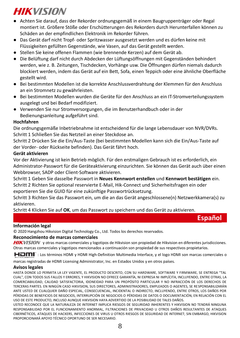- Achten Sie darauf, dass der Rekorder ordnungsgemäß in einem Baugruppenträger oder Regal montiert ist. Größere Stöße oder Erschütterungen des Rekorders durch Herunterfallen können zu Schäden an der empfindlichen Elektronik im Rekorder führen.
- Das Gerät darf nicht Tropf- oder Spritzwasser ausgesetzt werden und es dürfen keine mit Flüssigkeiten gefüllten Gegenstände, wie Vasen, auf das Gerät gestellt werden.
- Stellen Sie keine offenen Flammen (wie brennende Kerzen) auf dem Gerät ab.
- Die Belüftung darf nicht durch Abdecken der Lüftungsöffnungen mit Gegenständen behindert werden, wie z. B. Zeitungen, Tischdecken, Vorhänge usw. Die Öffnungen dürfen niemals dadurch blockiert werden, indem das Gerät auf ein Bett, Sofa, einen Teppich oder eine ähnliche Oberfläche gestellt wird.
- Bei bestimmten Modellen ist die korrekte Anschlussverdrahtung der Klemmen für den Anschluss an ein Stromnetz zu gewährleisten.
- Bei bestimmten Modellen wurden die Geräte für den Anschluss an ein IT-Stromverteilungssystem ausgelegt und bei Bedarf modifiziert.
- Verwenden Sie nur Stromversorgungen, die im Benutzerhandbuch oder in der Bedienungsanleitung aufgeführt sind.

### **Hochfahren**

Die ordnungsgemäße Inbetriebnahme ist entscheidend für die lange Lebensdauer von NVR/DVRs. Schritt 1 Schließen Sie das Netzteil an einer Steckdose an.

Schritt 2 Drücken Sie die Ein/Aus-Taste (bei bestimmten Modellen kann sich die Ein/Aus-Taste auf der Vorder- oder Rückseite befinden). Das Gerät fährt hoch.

#### **Gerät aktivieren**

Vor der Aktivierung ist kein Betrieb möglich. Für den erstmaligen Gebrauch ist es erforderlich, ein Administrator-Passwort für die Geräteaktivierung einzurichten. Sie können das Gerät auch über einen Webbrowser, SADP oder Client-Software aktivieren.

Schritt 1 Geben Sie dasselbe Passwort in **Neues Kennwort erstellen** und **Kennwort bestätigen** ein. Schritt 2 Richten Sie optional reservierte E-Mail, Hik-Connect und Sicherheitsfragen ein oder exportieren Sie die GUID für eine zukünftige Passwortrücksetzung.

Schritt 3 Richten Sie das Passwort ein, um die an das Gerät angeschlossene(n) Netzwerkkamera(s) zu aktivieren.

Schritt 4 Klicken Sie auf **OK**, um das Passwort zu speichern und das Gerät zu aktivieren.

**Español**

#### **Información legal**

© 2020 Hangzhou Hikvision Digital Technology Co., Ltd. Todos los derechos reservados.

#### **Reconocimiento de marcas comerciales**

HIKVISION y otras marcas comerciales y logotipos de Hikvision son propiedad de Hikvision en diferentes jurisdicciones. Otras marcas comerciales y logotipos mencionados a continuación son propiedad de sus respectivos propietarios.

HOMI": Los términos HDMI y HDMI High-Definition Multimedia Interface, y el logo HDMI son marcas comerciales o

marcas registradas de HDMI Licensing Administrator, Inc. en Estados Unidos y en otros países.

#### **Avisos legales**

HASTA DONDE LO PERMITA LA LEY VIGENTE, EL PRODUCTO DESCRITO, CON SU HARDWARE, SOFTWARE Y FIRMWARE, SE ENTREGA "TAL CUAL", CON TODOS SUS FALLOS Y ERRORES, Y HIKVISION NO OFRECE GARANTÍA, NI EXPRESA NI IMPLÍCITA, INCLUYENDO, ENTRE OTRAS, LA COMERCIABILIDAD, CALIDAD SATISFACTORIA, IDONEIDAD PARA UN PROPÓSITO PARTICULAR Y NO INFRACCIÓN DE LOS DERECHOS DE TERCERAS PARTES. EN NINGÚ N CASO HIKVISION, SUS DIRECTORES, ADMINISTRADORES, EMPLEADOS O AGENTES, SE RESPONSABILIZARÁN ANTE USTED DE CUALQUIER DAÑO ESPECIAL, CONSECUENCIAL, INCIDENTAL O INDIRECTO, INCLUYENDO, ENTRE OTROS, LOS DAÑOS POR PÉRDIDAS DE BENEFICIOS DE NEGOCIOS, INTERRUPCIÓN DE NEGOCIOS O PÉRDIDAS DE DATOS O DOCUMENTACIÓN, EN RELACIÓN CON EL USO DE ESTE PRODUCTO, INCLUSO AUNQUE HIKVISION HAYA ADVERTIDO DE LA POSIBILIDAD DE TALES DAÑ OS.

USTED RECONOCE QUE LA NATURALEZA DE INTERNET IMPLICA RIESGOS DE SEGURIDAD INHERENTES Y HIKVISION NO TENDRÁ NINGUNA RESPONSABILIDAD POR EL FUNCIONAMIENTO ANORMAL, FILTRACIONES DE PRIVACIDAD U OTROS DAÑOS RESULTANTES DE ATAQUES CIBERNÉTICOS, ATAQUES DE HACKERS, INFECCIONES DE VIRUS U OTROS RIESGOS DE SEGURIDAD DE INTERNET; SIN EMBARGO, HIKVISION PROPORCIONARÁ APOYO TÉCNICO OPORTUNO DE SER NECESARIO.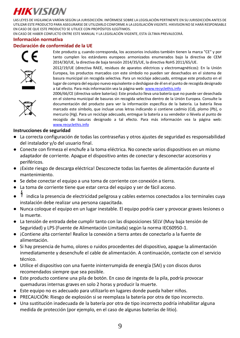LAS LEYES DE VIGILANCIA VARÍAN SEGÚ N LA JURISDICCIÓ N. INFÓ RMESE SOBRE LA LEGISLACIÓ N PERTINENTE EN SU JURISDICCIÓ N ANTES DE UTILIZAR ESTE PRODUCTO PARA ASEGURARSE DE UTILIZARLO CONFORME A LA LEGISLACIÓ N VIGENTE. HIKVISION NO SE HARÁ RESPONSABLE EN CASO DE QUE ESTE PRODUCTO SE UTILICE CON PROPÓSITOS ILEGÍTIMOS.

EN CASO DE HABER CONFLICTO ENTRE ESTE MANUAL Y LA LEGISLACIÓ N VIGENTE, ESTA Ú LTIMA PREVALECERÁ.

### **Información normativa**

## **Declaración de conformidad de la UE**

![](_page_9_Picture_5.jpeg)

![](_page_9_Picture_6.jpeg)

Este producto y, cuando corresponda, los accesorios incluidos también tienen la marca "CE" y por tanto cumplen los estándares europeos armonizados enumerados bajo la directiva de CEM 2014/30/UE, la directiva de baja tensión 2014/35/UE, la directiva RoHS 2011/65/UE.

2012/19/UE (directiva RAEE, residuos de aparatos eléctricos y electromagnéticos): En la Unión Europea, los productos marcados con este símbolo no pueden ser desechados en el sistema de basura municipal sin recogida selectiva. Para un reciclaje adecuado, entregue este producto en el lugar de compra del equipo nuevo equivalente o deshágase de él en el punto de recogida designado a tal efecto. Para más información vea la página we[b: www.recyclethis.info](http://www.recyclethis.info/)

![](_page_9_Picture_9.jpeg)

2006/66/CE (directiva sobre baterías): Este producto lleva una batería que no puede ser desechada en el sistema municipal de basuras sin recogida selectiva dentro de la Unión Europea. Consulte la documentación del producto para ver la información específica de la batería. La batería lleva marcado este símbolo, que incluye unas letras indicando si contiene cadmio (Cd), plomo (Pb), o mercurio (Hg). Para un reciclaje adecuado, entregue la batería a su vendedor o llévela al punto de recogida de basuras designado a tal efecto. Para más información vea la página web: [www.recyclethis.info](http://www.recyclethis.info/)

### **Instrucciones de seguridad**

- La correcta configuración de todas las contraseñas y otros ajustes de seguridad es responsabilidad del instalador y/o del usuario final.
- Conecte con firmeza el enchufe a la toma eléctrica. No conecte varios dispositivos en un mismo adaptador de corriente. Apague el dispositivo antes de conectar y desconectar accesorios y periféricos.
- ¡Existe riesgo de descarga eléctrica! Desconecte todas las fuentes de alimentación durante el mantenimiento.
- Se debe conectar el equipo a una toma de corriente con conexión a tierra.
- La toma de corriente tiene que estar cerca del equipo y ser de fácil acceso.
- indica la presencia de electricidad peligrosa y cables externos conectados a los terminales cuya instalación debe realizar una persona capacitada.
- Nunca coloque el equipo en un lugar inestable. El equipo podría caer y provocar graves lesiones o la muerte.
- La tensión de entrada debe cumplir tanto con las disposiciones SELV (Muy baja tensión de Seguridad) y LPS (Fuente de Alimentación Limitada) según la norma IEC60950-1.
- ¡Contiene alta corriente! Realice la conexión a tierra antes de conectarlo a la fuente de alimentación.
- Si hay presencia de humo, olores o ruidos procedentes del dispositivo, apague la alimentación inmediatamente y desenchufe el cable de alimentación. A continuación, contacte con el servicio técnico.
- Utilice el dispositivo con una fuente ininterrumpida de energía (SAI) y con discos duros recomendados siempre que sea posible.
- Este producto contiene una pila de botón. En caso de ingesta de la pila, podría provocar quemaduras internas graves en solo 2 horas y producir la muerte.
- Este equipo no es adecuado para utilizarlo en lugares donde pueda haber niños.
- PRECAUCIÓN: Riesgo de explosión si se reemplaza la batería por otra de tipo incorrecto.
- Una sustitución inadecuada de la batería por otra de tipo incorrecto podría inhabilitar alguna medida de protección (por ejemplo, en el caso de algunas baterías de litio).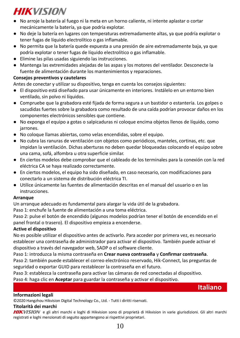- No arroje la batería al fuego ni la meta en un horno caliente, ni intente aplastar o cortar mecánicamente la batería, ya que podría explotar.
- No deje la batería en lugares con temperaturas extremadamente altas, ya que podría explotar o tener fugas de líquido electrolítico o gas inflamable.
- No permita que la batería quede expuesta a una presión de aire extremadamente baja, ya que podría explotar o tener fugas de líquido electrolítico o gas inflamable.
- Elimine las pilas usadas siguiendo las instrucciones.
- Mantenga las extremidades alejadas de las aspas y los motores del ventilador. Desconecte la fuente de alimentación durante los mantenimientos y reparaciones.

## **Consejos preventivos y cautelares**

Antes de conectar y utilizar su dispositivo, tenga en cuenta los consejos siguientes:

- El dispositivo está diseñado para usar únicamente en interiores. Instálelo en un entorno bien ventilado, sin polvo ni líquidos.
- Compruebe que la grabadora esté fijada de forma segura a un bastidor o estantería. Los golpes o sacudidas fuertes sobre la grabadora como resultado de una caída podrían provocar daños en los componentes electrónicos sensibles que contiene.
- No exponga el equipo a gotas o salpicaduras ni coloque encima objetos llenos de líquido, como jarrones.
- No coloque llamas abiertas, como velas encendidas, sobre el equipo.
- No cubra las ranuras de ventilación con objetos como periódicos, manteles, cortinas, etc. que impidan la ventilación. Dichas aberturas no deben quedar bloqueadas colocando el equipo sobre una cama, sofá, alfombra u otra superficie similar.
- En ciertos modelos debe comprobar que el cableado de los terminales para la conexión con la red eléctrica CA se haya realizado correctamente.
- En ciertos modelos, el equipo ha sido diseñado, en caso necesario, con modificaciones para conectarlo a un sistema de distribución eléctrica TI.
- Utilice únicamente las fuentes de alimentación descritas en el manual del usuario o en las instrucciones.

## **Arranque**

Un arranque adecuado es fundamental para alargar la vida útil de la grabadora.

Paso 1: enchufe la fuente de alimentación a una toma eléctrica.

Paso 2: pulse el botón de encendido (algunos modelos podrían tener el botón de encendido en el panel frontal o trasero). El dispositivo empieza a encenderse.

## **Active el dispositivo**

No es posible utilizar el dispositivo antes de activarlo. Para acceder por primera vez, es necesario establecer una contraseña de administrador para activar el dispositivo. También puede activar el dispositivo a través del navegador web, SADP o el software cliente.

Paso 1: introduzca la misma contraseña en **Crear nueva contraseña** y **Confirmar contraseña**.

Paso 2: también puede establecer el correo electrónico reservado, Hik-Connect, las preguntas de seguridad o exportar GUID para restablecer la contraseña en el futuro.

Paso 3: establezca la contraseña para activar las cámaras de red conectadas al dispositivo.

Paso 4: haga clic en **Aceptar** para guardar la contraseña y activar el dispositivo.

## **Italiano**

### **Informazioni legali**

© 2020 Hangzhou Hikvision Digital Technology Co., Ltd. - Tutti i diritti riservati.

## **Titolarità dei marchi**

HIKVISION e gli altri marchi e loghi di Hikvision sono di proprietà di Hikvision in varie giurisdizioni. Gli altri marchi registrati e loghi menzionati di seguito appartengono ai rispettivi proprietari.

10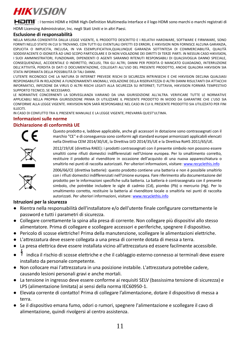: I termini HDMI e HDMI High-Definition Multimedia Interface e il logo HDMI sono marchi o marchi registrati di

HDMI Licensing Administrator, Inc. negli Stati Uniti e in altri Paesi.

#### **Esclusione di responsabilità**

NELLA MISURA CONSENTITA DALLA LEGGE VIGENTE, IL PRODOTTO DESCRITTO E I RELATIVI HARDWARE, SOFTWARE E FIRMWARE, SONO FORNITI NELLO STATO IN CUI SI TROVANO, CON TUTTI GLI EVENTUALI DIFETTI ED ERRORI, E HIKVISION NON FORNISCE ALCUNA GARANZIA, ESPLICITA O IMPLICITA, INCLUSA, IN VIA ESEMPLIFICATIVA,QUALUNQUE GARANZIA SOTTINTESA DI COMMERCIABILITÀ, QUALITÀ SODDISFACENTE O IDONEITÀ AD UNO SCOPO PARTICOLARE E DI NON VIOLAZIONE DEI DIRITTI DI TERZE PARTI. IN NESSUN CASO HIKVISION, I SUOI AMMINISTRATORI, FUNZIONARI, DIPENDENTI O AGENTI SARANNO RITENUTI RESPONSABILI DI QUALSIVOGLIA DANNO SPECIALE, CONSEQUENZIALE, ACCIDENTALE O INDIRETTO, INCLUSI, TRA GLI ALTRI, DANNI PER PERDITA O MANCATO GUADAGNO, INTERRUZIONE DELL'ATTIVITÀ, PERDITA DI DATI O DOCUMENTAZIONE, COLLEGATI ALL'USO DEL PRESENTE PRODOTTO, ANCHE QUALORA HIKVISION SIA STATA INFORMATA DELLA POSSIBILITÀ DI TALI DANNI.

L'UTENTE RICONOSCE CHE LA NATURA DI INTERNET PREVEDE RISCHI DI SICUREZZA INTRINSECHI E CHE HIKVISION DECLINA QUALSIASI RESPONSABILITÀ IN RELAZIONE A FUNZIONAMENTI ANOMALI, VIOLAZIONE DELLA RISERVATEZZA O ALTRI DANNI RISULTANTI DA ATTACCHI INFORMATICI, INFEZIONE DA VIRUS O ALTRI RISCHI LEGATI ALLA SICUREZZA SU INTERNET; TUTTAVIA, HIKVISION FORNIRÀ TEMPESTIVO SUPPORTO TECNICO, SE NECESSARIO.

LE NORMATIVE CONCERNENTI LA SORVEGLIANZA VARIANO DA UNA GIURISDIZIONE ALL'ALTRA. VERIFICARE TUTTE LE NORMATIVE APPLICABILI NELLA PROPRIA GIURISDIZIONE PRIMA DI UTILIZZARE IL PRESENTE PRODOTTO IN MODO DA GARANTIRE CHE L'USO SIA CONFORME ALLA LEGGE VIGENTE. HIKVISION NON SARÀ RESPONSABILE NEL CASO IN CUI IL PRESENTE PRODOTTO SIA UTILIZZATO PER FINI ILLECITI.

IN CASO DI CONFLITTO TRA IL PRESENTE MANUALE E LA LEGGE VIGENTE, PREVARRÀ QUEST'ULTIMA.

#### **Informazioni sulle norme**

#### **Dichiarazione di conformità UE**

![](_page_11_Picture_10.jpeg)

Questo prodotto e, laddove applicabile, anche gli accessori in dotazione sono contrassegnati con il marchio "CE" e di conseguenza sono conformi agli standard europei armonizzati applicabili elencati nella Direttiva CEM 2014/30/UE, la Direttiva LVD 2014/35/UE e la Direttiva RoHS 2011/65/UE.

![](_page_11_Picture_12.jpeg)

2012/19/UE (direttiva RAEE): i prodotti contrassegnati con il presente simbolo non possono essere smaltiti come rifiuti domestici indifferenziati nell'Unione europea. Per lo smaltimento corretto, restituire il prodotto al rivenditore in occasione dell'acquisto di una nuova apparecchiatura o smaltirlo nei punti di raccolta autorizzati. Per ulteriori informazioni, visitare[: www.recyclethis.info](http://www.recyclethis.info/)

![](_page_11_Picture_14.jpeg)

2006/66/CE (direttiva batterie): questo prodotto contiene una batteria e non è possibile smaltirlo con i rifiuti domestici indifferenziati nell'Unione europea. Fare riferimento alla documentazione del prodotto per le informazioni specifiche sulla batteria. La batteria è contrassegnata con il presente simbolo, che potrebbe includere le sigle di cadmio (Cd), piombo (Pb) o mercurio (Hg). Per lo smaltimento corretto, restituire la batteria al rivenditore locale o smaltirla nei punti di raccolta autorizzati. Per ulteriori informazioni, visitare[: www.recyclethis.info](http://www.recyclethis.info/)

#### **Istruzioni per la sicurezza**

- Rientra nella responsabilità dell'installatore e/o dell'utente finale configurare correttamente le password e tutti i parametri di sicurezza.
- Collegare correttamente la spina alla presa di corrente. Non collegare più dispositivi allo stesso alimentatore. Prima di collegare e scollegare accessori e periferiche, spegnere il dispositivo.
- Pericolo di scosse elettriche! Prima della manutenzione, scollegare le alimentazioni elettriche.
- L'attrezzatura deve essere collegata a una presa di corrente dotata di messa a terra.
- La presa elettrica deve essere installata vicino all'attrezzatura ed essere facilmente accessibile.
- indica il rischio di scosse elettriche e che il cablaggio esterno connesso ai terminali deve essere installato da personale competente.
- Non collocare mai l'attrezzatura in una posizione instabile. L'attrezzatura potrebbe cadere, causando lesioni personali gravi e anche mortali.
- La tensione in ingresso deve essere conforme ai requisiti SELV (bassissima tensione di sicurezza) e LPS (alimentazione limitata) ai sensi della norma IEC60950-1.
- Elevata corrente di contatto! Prima di collegare l'alimentazione, dotare il dispositivo di messa a terra.
- Se il dispositivo emana fumo, odori o rumori, spegnere l'alimentazione e scollegare il cavo di alimentazione, quindi rivolgersi al centro assistenza.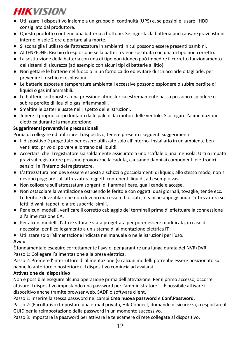- Utilizzare il dispositivo insieme a un gruppo di continuità (UPS) e, se possibile, usare l'HDD consigliato dal produttore.
- Questo prodotto contiene una batteria a bottone. Se ingerita, la batteria può causare gravi ustioni interne in sole 2 ore e portare alla morte.
- Si sconsiglia l'utilizzo dell'attrezzatura in ambienti in cui possono essere presenti bambini.
- ATTENZIONE: Rischio di esplosione se la batteria viene sostituita con una di tipo non corretto.
- La sostituzione della batteria con una di tipo non idoneo può impedire il corretto funzionamento dei sistemi di sicurezza (ad esempio con alcuni tipi di batterie al litio).
- Non gettare le batterie nel fuoco o in un forno caldo ed evitare di schiacciarle o tagliarle, per prevenire il rischio di esplosioni.
- Le batterie esposte a temperature ambientali eccessive possono esplodere o subire perdite di liquidi o gas infiammabili.
- Le batterie sottoposte a una pressione atmosferica estremamente bassa possono esplodere o subire perdite di liquidi o gas infiammabili.
- Smaltire le batterie usate nel rispetto delle istruzioni.
- Tenere il proprio corpo lontano dalle pale e dai motori delle ventole. Scollegare l'alimentazione elettrica durante la manutenzione.

## **Suggerimenti preventivi e precauzionali**

Prima di collegare ed utilizzare il dispositivo, tenere presenti i seguenti suggerimenti:

- Il dispositivo è progettato per essere utilizzato solo all'interno. Installarlo in un ambiente ben ventilato, privo di polvere e lontano dai liquidi.
- Accertarsi che il registratore sia saldamente assicurato a uno scaffale o una mensola. Urti o impatti gravi sul registratore possono provocarne la caduta, causando danni ai componenti elettronici sensibili all'interno del registratore.
- L'attrezzatura non deve essere esposta a schizzi o gocciolamenti di liquidi; allo stesso modo, non si devono poggiare sull'attrezzatura oggetti contenenti liquidi, ad esempio vasi.
- Non collocare sull'attrezzatura sorgenti di fiamme libere, quali candele accese.
- Non ostacolare la ventilazione ostruendo le feritoie con oggetti quai giornali, tovaglie, tende ecc. Le feritoie di ventilazione non devono mai essere bloccate, neanche appoggiando l'attrezzatura su letti, divani, tappeti o altre superfici simili.
- Per alcuni modelli, verificare il corretto cablaggio dei terminali prima di effettuare la connessione all'alimentazione CA.
- Per alcuni modelli, l'attrezzatura è stata progettata per poter essere modificata, in caso di necessità, per il collegamento a un sistema di alimentazione elettrica IT.
- Utilizzare solo l'alimentazione indicata nel manuale o nelle istruzioni per l'uso.

## **Avvio**

È fondamentale eseguire correttamente l'avvio, per garantire una lunga durata del NVR/DVR. Passo 1: Collegare l'alimentazione alla presa elettrica.

Passo 2: Premere l'interruttore di alimentazione (su alcuni modelli potrebbe essere posizionato sul pannello anteriore o posteriore). Il dispositivo comincia ad avviarsi.

## **Attivazione del dispositivo**

Non è possibile eseguire alcuna operazione prima dell'attivazione. Per il primo accesso, occorre attivare il dispositivo impostando una password per l'amministratore. È possibile attivare il dispositivo anche tramite browser web, SADP o software client.

Passo 1: Inserire la stessa password nei campi **Crea nuova password** e **Conf.Password**.

Passo 2: (Facoltativo) Impostare una e-mail privata, Hik-Connect, domande di sicurezza, o esportare il GUID per la reimpostazione della password in un momento successivo.

Passo 3: Impostare la password per attivare le telecamere di rete collegate al dispositivo.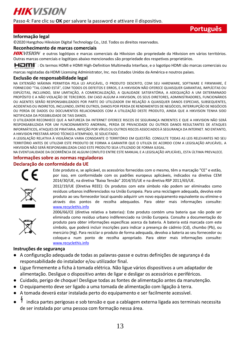Passo 4: Fare clic su **OK** per salvare la password e attivare il dispositivo.

## **Português**

#### **Informação legal**

**HIKVISION** 

© 2020 Hangzhou Hikvision Digital Technology Co., Ltd. Todos os direitos reservados.

#### **Reconhecimento de marcas comerciais**

HIKVISION e outros logótipos e marcas comerciais da Hikvision são propriedade da Hikvision em vários territórios. Outras marcas comerciais e logótipos abaixo mencionados são propriedade dos respetivos proprietários.

HOMI": Os termos HDMI e HDMI High-Definition Multimedia Interface, e o logotipo HDMI são marcas comerciais ou

marcas registadas da HDMI Licensing Administrator, Inc. nos Estados Unidos da América e noutros países.

#### **Exclusão de responsabilidade legal**

NA EXTENSÃO MÁXIMA PERMITIDA PELA LEI APLICÁVEL, O PRODUTO DESCRITO, COM SEU HARDWARE, SOFTWARE E FIRMWARE, É FORNECIDO "TAL COMO ESTÁ", COM TODOS OS DEFEITOS E ERROS, E A HIKVISION NÃO OFERECE QUAISQUER GARANTIAS, IMPLÍCITAS OU EXPLÍCITAS, INCLUINDO, SEM LIMITAÇÃO, A COMERCIALIZAÇÃO, A QUALIDADE SATISFATÓRIA, A ADEQUAÇÃO A UM DETERMINADO PROPÓ SITO E A NÃO VIOLAÇÃO DE TERCEIROS. EM CASO ALGUM A HIKVISION, OS SEUS DIRETORES, ADMINISTRADORES, FUNCIONÁRIOS OU AGENTES SERÃO RESPONSABILIZADOS POR PARTE DO UTILIZADOR EM RELAÇÃO A QUAISQUER DANOS ESPECIAIS, SUBSEQUENTES, ACIDENTAIS OU INDIRETOS, INCLUINDO, ENTRE OUTROS, DANOS POR PERDA DE RENDIMENTOS DE NEGÓ CIOS, INTERRUPÇÃO DE NEGÓ CIOS OU PERDA DE DADOS OU DOCUMENTOS RELACIONADOS COM A UTILIZAÇÃO DESTE PRODUTO, AINDA QUE A HIKVISION TENHA SIDO NOTIFICADA DA POSSIBILIDADE DE TAIS DANOS.

O UTILIZADOR RECONHECE QUE A NATUREZA DA INTERNET OFERECE RISCOS DE SEGURANÇA INERENTES E QUE A HIKVISION NÃO SERÁ RESPONSABILIZADA POR UM FUNCIONAMENTO ANORMAL, PERDA DE PRIVACIDADE OU OUTROS DANOS RESULTANTES DE ATAQUES INFORMÁTICOS, ATAQUES DE PIRATARIA, INFEÇÃO POR VÍRUS OU OUTROS RISCOS ASSOCIADOS À SEGURANÇA DA INTERNET. NO ENTANTO, A HIKVISION PRESTARÁ APOIO TÉCNICO ATEMPADO, SE SOLICITADO.

A LEGISLAÇÃO RELATIVA À VIGILÂNCIA VARIA CONSOANTE O TERRITÓ RIO EM QUESTÃO. CONSULTE TODAS AS LEIS RELEVANTES NO SEU TERRITÓ RIO ANTES DE UTILIZAR ESTE PRODUTO DE FORMA A GARANTIR QUE O UTILIZA DE ACORDO COM A LEGISLAÇÃO APLICÁVEL. A HIKVISION NÃO SERÁ RESPONSABILIZADA CASO ESTE PRODUTO SEJA UTILIZADO DE FORMA ILEGAL.

NA EVENTUALIDADE DA OCORRÊNCIA DE ALGUM CONFLITO ENTRE ESTE MANUAL E A LEGISLAÇÃO APLICÁVEL, ESTA Ú LTIMA PREVALECE.

#### **Informações sobre as normas reguladoras**

#### **Declaração de conformidade da UE**

![](_page_13_Picture_15.jpeg)

Este produto e, se aplicável, os acessórios fornecidos com o mesmo, têm a marcação "CE" e estão, por isso, em conformidade com os padrões europeus aplicáveis, indicados na diretiva CEM 2014/30/UE, na diretiva "Baixa Tensão" 2014/35/UE e na diretiva RSP 2011/65/UE.

![](_page_13_Picture_17.jpeg)

2012/19/UE (Diretiva REEE): Os produtos com este símbolo não podem ser eliminados como resíduos urbanos indiferenciados na União Europeia. Para uma reciclagem adequada, devolva este produto ao seu fornecedor local quando adquirir um novo equipamento equivalente ou elimine-o através dos pontos de recolha adequados. Para obter mais informações consulte: his.info

![](_page_13_Picture_19.jpeg)

2006/66/CE (diretiva relativa a baterias): Este produto contém uma bateria que não pode ser eliminada como resíduo urbano indiferenciado na União Europeia. Consulte a documentação do produto para obter informações específicas acerca da bateria. A bateria está marcada com este símbolo, que poderá incluir inscrições para indicar a presença de cádmio (Cd), chumbo (Pb), ou mercúrio (Hg). Para reciclar o produto de forma adequada, devolva a bateria ao seu fornecedor ou coloque-a num ponto de recolha apropriado. Para obter mais informações consulte: [www.recyclethis.info](http://www.recyclethis.info/)

#### **Instruções de segurança**

- A configuração adequada de todas as palavras-passe e outras definições de segurança é da responsabilidade do instalador e/ou utilizador final.
- Ligue firmemente a ficha à tomada elétrica. Não ligue vários dispositivos a um adaptador de alimentação. Desligue o dispositivo antes de ligar e desligar os acessórios e periféricos.
- Cuidado, perigo de choque! Desligue todas as fontes de alimentação antes da manutenção.
- O equipamento deve ser ligado a uma tomada de alimentação com ligação à terra.
- A tomada deverá estar instalada perto do equipamento e ser facilmente acessível.
- indica partes perigosas e sob tensão e que a cablagem externa ligada aos terminais necessita de ser instalada por uma pessoa com formação nessa área.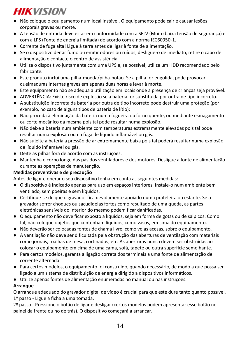- Não coloque o equipamento num local instável. O equipamento pode cair e causar lesões corporais graves ou morte.
- A tensão de entrada deve estar em conformidade com a SELV (Muito baixa tensão de segurança) e com a LPS (Fonte de energia limitada) de acordo com a norma IEC60950-1.
- Corrente de fuga alta! Ligue à terra antes de ligar à fonte de alimentação.
- Se o dispositivo deitar fumo ou emitir odores ou ruídos, desligue-o de imediato, retire o cabo de alimentação e contacte o centro de assistência.
- Utilize o dispositivo juntamente com uma UPS e, se possível, utilize um HDD recomendado pelo fabricante.
- Este produto inclui uma pilha-moeda/pilha-botão. Se a pilha for engolida, pode provocar queimaduras internas graves em apenas duas horas e levar à morte.
- Este equipamento não se adequa a utilização em locais onde a presença de crianças seja provável.
- ADVERTÊNCIA: Existe risco de explosão se a bateria for substituída por outra de tipo incorreto.
- A substituição incorreta da bateria por outra de tipo incorreto pode destruir uma proteção (por exemplo, no caso de alguns tipos de bateria de lítio);
- Não proceda à eliminação da bateria numa fogueira ou forno quente, ou mediante esmagamento ou corte mecânico da mesma pois tal pode resultar numa explosão.
- Não deixe a bateria num ambiente com temperaturas extremamente elevadas pois tal pode resultar numa explosão ou na fuga de líquido inflamável ou gás.
- Não sujeite a bateria a pressão de ar extremamente baixa pois tal poderá resultar numa explosão de líquido inflamável ou gás.
- Deite as pilhas fora de acordo com as instruções.
- Mantenha o corpo longe das pás dos ventiladores e dos motores. Desligue a fonte de alimentação durante as operações de manutenção.

## **Medidas preventivas e de precaução**

Antes de ligar e operar o seu dispositivo tenha em conta as seguintes medidas:

- O dispositivo é indicado apenas para uso em espaços interiores. Instale-o num ambiente bem ventilado, sem poeiras e sem líquidos.
- Certifique-se de que o gravador fica devidamente apoiado numa prateleira ou estante. Se o gravador sofrer choques ou sacudidelas fortes como resultado de uma queda, as partes eletrónicas sensíveis do interior do mesmo podem ficar danificadas.
- O equipamento não deve ficar exposto a líquidos, seja em forma de gotas ou de salpicos. Como tal, não coloque objetos que contenham líquidos, como vasos, em cima do equipamento.
- Não deverão ser colocadas fontes de chama livre, como velas acesas, sobre o equipamento.
- A ventilação não deve ser dificultada pela obstrução das aberturas de ventilação com materiais como jornais, toalhas de mesa, cortinados, etc. As aberturas nunca devem ser obstruídas ao colocar o equipamento em cima de uma cama, sofá, tapete ou outra superfície semelhante.
- Para certos modelos, garanta a ligação correta dos terminais a uma fonte de alimentação de corrente alternada.
- Para certos modelos, o equipamento foi construído, quando necessário, de modo a que possa ser ligado a um sistema de distribuição de energia dirigido a dispositivos informáticos.
- Utilize apenas fontes de alimentação enumeradas no manual ou nas instruções.

## **Arranque**

O arranque adequado do gravador digital de vídeo é crucial para que este dure tanto quanto possível. 1º passo - Ligue a ficha a uma tomada.

2º passo - Pressione o botão de ligar e desligar (certos modelos podem apresentar esse botão no painel da frente ou no de trás). O dispositivo começará a arrancar.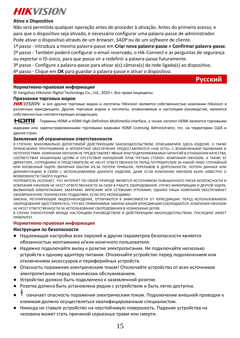![](_page_15_Picture_0.jpeg)

### **Ative o Dispositivo**

Não será permitida qualquer operação antes de proceder à ativação. Antes do primeiro acesso, e para que o dispositivo seja ativado, é necessário configurar uma palavra-passe de administrador. Pode ativar o dispositivo através de um *browser*, *SADP* ou de um *software* de cliente.

1º passo - Introduza a mesma palavra-passe em **Criar nova palavra-passe** e **Confirmar palavra-passe**. 2º passo - Também poderá configurar o email reservado, o Hik-Connect e as perguntas de segurança ou exportar o ID único, para que possa vir a redefinir a palavra-passe futuramente.

3º passo - Configure a palavra-passe para ativar a(s) câmara(s) da rede ligada(s) ao dispositivo.

4º passo - Clique em **OK** para guardar a palavra-passe e ativar o dispositivo.

**Русский**

#### **Нормативно-правовая информация**

© Hangzhou Hikvision Digital Technology Co., Ltd., 2020 г. Все права защищены.

#### **Признание торговых марок**

HIKVISION и все другие торговые марки и логотипы Hikvision являются собственностью компании Hikvision в различных юрисдикциях. Другие торговые марки и логотипы, упоминаемые в настоящем руководстве, являются собственностью соответствующих владельцев.

**HDMI** : Термины HDMI и HDMI High-Definition Multimedia Interface, а также логотип HDMI являются торговыми

марками или зарегистрированными торговыми марками HDMI Licensing Administrator, Inc. на территории США и других стран.

#### **Заявление об ограничении ответственности**

В СТЕПЕНИ, МАКСИМАЛЬНО ДОПУСТИМОЙ ДЕЙСТВУЮЩИМ ЗАКОНОДАТЕЛЬСТВОМ, ОПИСЫВАЕМОЕ ЗДЕСЬ ИЗДЕЛИЕ, А ТАКЖЕ ПРИЛАГАЕМОЕ ПРОГРАММНОЕ И АППАРАТНОЕ ОБЕСПЕЧЕНИЕ ПРЕДОСТАВЛЯЮТСЯ «КАК ЕСТЬ», С ВОЗМОЖНЫМИ ОШИБКАМИ И НЕТОЧНОСТЯМИ. КОМПАНИЯ HIKVISION НЕ ПРЕДОСТАВЛЯЕТ ЯВНЫХ ИЛИ ПОДРАЗУМЕВАЕМЫХ ГАРАНТИЙ В ОТНОШЕНИИ КАЧЕСТВА, СООТВЕТСТВИЯ УКАЗАННЫМ ЦЕЛЯМ И ОТСУТСТВИЯ НАРУШЕНИЙ ПРАВ ТРЕТЬИХ СТОРОН. КОМПАНИЯ HIKVISION, А ТАКЖЕ ЕЕ ДИРЕКТОРА, СОТРУДНИКИ И ПРЕДСТАВИТЕЛИ НЕ НЕСУТ ОТВЕТСТВЕННОСТИ ПЕРЕД ПОТРЕБИТЕЛЕМ ЗА КАКОЙ-ЛИБО СЛУЧАЙНЫЙ ИЛИ КОСВЕННЫЙ УЩЕРБ (ВКЛЮЧАЯ УБЫТКИ ИЗ-ЗА ПОТЕРИ ПРИБЫЛИ, ПЕРЕРЫВОВ В ДЕЯТЕЛЬНОСТИ, ПОТЕРИ ДАННЫХ ИЛИ ДОКУМЕНТАЦИИ) В СВЯЗИ С ИСПОЛЬЗОВАНИЕМ ДАННОГО ИЗДЕЛИЯ, ДАЖЕ ЕСЛИ КОМПАНИИ HIKVISION БЫЛО ИЗВЕСТНО О ВОЗМОЖНОСТИ ТАКОГО УЩЕРБА.

ПОТРЕБИТЕЛЬ ОСОЗНАЕТ, ЧТО ИНТЕРНЕТ ПО СВОЕЙ ПРИРОДЕ ЯВЛЯЕТСЯ ИСТОЧНИКОМ ПОВЫШЕННОГО РИСКА БЕЗОПАСНОСТИ И КОМПАНИЯ HIKVISION НЕ НЕСЕТ ОТВЕТСТВЕННОСТИ ЗА СБОИ В РАБОТЕ ОБОРУДОВАНИЯ, УТЕЧКУ ИНФОРМАЦИИ И ДРУГОЙ УЩЕРБ, ВЫЗВАННЫЙ КИБЕРАТАКАМИ, ХАКЕРАМИ, ВИРУСАМИ ИЛИ СЕТЕВЫМИ УГРОЗАМИ; ОДНАКО НАША КОМПАНИЯ ОБЕСПЕЧИВАЕТ СВОЕВРЕМЕННУЮ ТЕХНИЧЕСКУЮ ПОДДЕРЖКУ, ЕСЛИ ЭТО НЕОБХОДИМО.

ЗАКОНЫ, РЕГУЛИРУЮЩИЕ ВИДЕОНАБЛЮДЕНИЕ, ОТЛИЧАЮТСЯ В ЗАВИСИМОСТИ ОТ ЮРИСДИКЦИИ. ПЕРЕД ИСПОЛЬЗОВАНИЕМ ОБОРУДОВАНИЯ УДОСТОВЕРЬТЕСЬ, ЧТО ВСЕ ПРИМЕНИМЫЕ ЗАКОНЫ ВАШЕЙ ЮРИСДИКЦИИ СОБЛЮДАЮТСЯ. КОМПАНИЯ HIKVISION НЕ НЕСЕТ ОТВЕТСТВЕННОСТИ ЗА ИСПОЛЬЗОВАНИЕ ОБОРУДОВАНИЯ В НЕЗАКОННЫХ ЦЕЛЯХ.

В СЛУЧАЕ РАЗНОЧТЕНИЙ МЕЖДУ НАСТОЯЩИМ РУКОВОДСТВОМ И ДЕЙСТВУЮЩИМ ЗАКОНОДАТЕЛЬСТВОМ, ПОСЛЕДНЕЕ ИМЕЕТ ПРИОРИТЕТ.

#### **Нормативно-правовая информация**

#### **Инструкции по безопасности**

- Надлежащая настройка всех паролей и других параметров безопасности является обязанностью монтажника и/или конечного пользователя.
- Надежно подключайте вилку к розетке электропитания. Не подключайте несколько устройств к одному адаптеру питания. Отключайте устройство перед подключением или отключением аксессуаров и периферийных устройств.
- Опасность поражения электрическим током! Отключайте устройство от всех источников электропитания перед технических обслуживанием.
- Устройство должно быть подключено к заземленной розетке.
- Розетка должна быть установлена рядом с устройством и быть легко доступна.
- означает опасность поражения электрическим током. Подключение внешней проводки к клеммам должно осуществляться квалифицированным специалистом.
- Никогда не ставьте устройство на неустойчивую поверхность. Падение устройства на человека может стать причиной серьезных травм или смерти.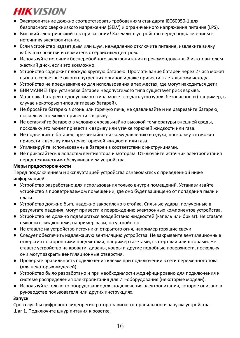- Электропитание должно соответствовать требованиям стандарта IEC60950-1 для безопасного сверхнизкого напряжения (SELV) и ограниченного напряжения питания (LPS).
- Высокий электрический ток при касании! Заземлите устройство перед подключением к источнику электропитания.
- Если устройство издает дым или шум, немедленно отключите питание, извлеките вилку кабеля из розетки и свяжитесь с сервисным центром.
- Используйте источник бесперебойного электропитания и рекомендованный изготовителем жесткий диск, если это возможно.
- Устройство содержит плоскую круглую батарею. Проглатывание батареи через 2 часа может вызвать серьезные ожоги внутренних органов и даже привести к летальному исходу.
- Устройство не предназначено для использования в тех местах, где могут находиться дети.
- ВНИМАНИЕ! При установке батареи недопустимого типа существует риск взрыва.
- Установка батареи недопустимого типа может создать угрозу для безопасности (например, в случае некоторых типов литиевых батарей).
- Не бросайте батарею в огонь или горячую печь, не сдавливайте и не разрезайте батарею, поскольку это может привести к взрыву.
- Не оставляйте батарею в условиях чрезвычайно высокой температуры внешней среды, поскольку это может привести к взрыву или утечке горючей жидкости или газа.
- Не подвергайте батарею чрезвычайно низкому давлению воздуха, поскольку это может привести к взрыву или утечке горючей жидкости или газа.
- Утилизируйте использованные батареи в соответствии с инструкциями.
- Не прикасайтесь к лопастям вентилятора и моторам. Отключайте источник электропитания перед техническим обслуживанием устройства.

#### **Меры предосторожности**

Перед подключением и эксплуатацией устройства ознакомьтесь с приведенной ниже информацией.

- Устройство разработано для использования только внутри помещений. Устанавливайте устройство в проветриваемом помещении, где оно будет защищено от попадания пыли и влаги.
- Устройство должно быть надежно закреплено в стойке. Сильные удары, полученные в результате падения, могут привести к повреждению электронных компонентов устройства.
- Устройство не должно подвергаться воздействию жидкостей (капель или брызг). Не ставьте емкости с жидкостями, например вазы, на устройство.
- Не ставьте на устройство источники открытого огня, например горящие свечи.
- Следует обеспечить надлежащую вентиляцию устройства. Не закрывайте вентиляционные отверстия посторонними предметами, например газетами, скатертями или шторами. Не ставьте устройство на кровати, диваны, ковры и другие подобные поверхности, поскольку они могут закрыть вентиляционные отверстия.
- Проверьте правильность подключения клемм при подключении к сети переменного тока (для некоторых моделей).
- Устройство было разработано и при необходимости модифицировано для подключения к системе распределения электропитания для ИТ-оборудования (некоторые модели).
- Используйте только то оборудование для подключения электропитания, которое описано в руководстве пользователя или других инструкциях.

#### **Запуск**

Срок службы цифрового видеорегистратора зависит от правильности запуска устройства. Шаг 1. Подключите шнур питания к розетке.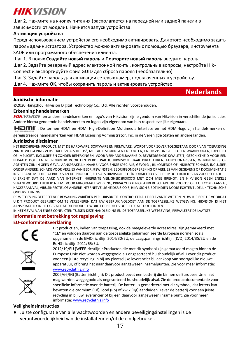Шаг 2. Нажмите на кнопку питания (располагается на передней или задней панели в зависимости от модели). Начнется запуск устройства.

## **Активация устройства**

Перед использованием устройства его необходимо активировать. Для этого необходимо задать пароль администратора. Устройство можно активировать с помощью браузера, инструмента SADP или программного обеспечения клиента.

Шаг 1. В полях **Создайте новый пароль** и **Повторите новый пароль** введите пароль.

Шаг 2. Задайте резервный адрес электронной почты, контрольные вопросы, настройте Hik-Connect и экспортируйте файл GUID для сброса пароля (необязательно).

Шаг 3. Задайте пароль для активации сетевых камер, подключенных к устройству.

Шаг 4. Нажмите **OK**, чтобы сохранить пароль и активировать устройство.

## **Nederlands**

### **Juridische informatie**

© 2020 Hangzhou Hikvision Digital Technology Co., Ltd. Alle rechten voorbehouden.

#### **Erkenning handelsmerken**

HIKVISION en andere handelsmerken en logo's van Hikvision zijn eigendom van Hikvision in verschillende jurisdicties. Andere hierna genoemde handelsmerken en logo's zijn eigendom van hun respectievelijke eigenaars.

HOMI": De termen HDMI en HDMI High-Definition Multimedia Interface en het HDMI-logo zijn handelsmerken of

geregistreerde handelsmerken van HDMI Licensing Administrator, Inc. in de Verenigde Staten en andere landen.

#### **Juridische disclaimer**

HET BESCHREVEN PRODUCT, MET DE HARDWARE, SOFTWARE EN FIRMWARE, WORDT VOOR ZOVER TOEGESTAAN DOOR VAN TOEPASSING ZIJNDE WETGEVING VERSCHAFT "ZOALS HET IS", MET ALLE STORINGEN EN FOUTEN, EN HIKVISION GEEFT GEEN WAARBORGEN, EXPLICIET OF IMPLICIET, INCLUSIEF EN ZONDER BEPERKINGEN, VOOR VERHANDELBAARHEID, BEVREDIGENDE KWALITEIT, GESCHIKTHEID VOOR EEN BEPAALD DOEL EN NIET-INBREUK DOOR EEN DERDE PARTIJ. HIKVISION, HAAR DIRECTEUREN, FUNCTIONARISSEN, WERKNEMERS OF AGENTEN ZIJN IN GEEN GEVAL AANSPRAKELIJK NAAR U VOOR ENIGE SPECIALE, GEVOLG-, BIJKOMENDE OF INDIRECTE SCHADE, INCLUSIEF, ONDER ANDERE, SCHADE VOOR VERLIES VAN BEDRIJFSWINSTEN, BEDRIJFSONDERBREKING OF VERLIES VAN GEGEVENS OF DOCUMENTATIE IN VERBAND MET HET GEBRUIK VAN DIT PRODUCT, ZELS ALS HIKVISION IS GEÏNFORMEERD OVER DE MOGELIJKHEID VAN ZULKE SCHADE. U ERKENT DAT DE AARD VAN INTERNET INHERENTE VEILIGHEIDSRISICO'S MET ZICH MEE BRENGT, EN HIKVISION GEEN ENKELE

VERANTWOORDELIJKHEID NEEMT VOOR ABNORMALE WERKING, PRIVACYLEKKEN OF ANDERE SCHADE DIE VOORTVLOEIT UIT CYBERAANVAL, HACKERAANVAL, VIRUSINFECTIE, OF ANDERE INTERNETVEILIGHEIDSRISICO'S; HIKVISION BIEDT INDIEN NODIG ECHTER TIJDELIJK TECHNISCHE ONDERSTEUNING.

DE WETGEVING BETREFFENDE BEWAKING VARIËREN PER JURISDICTIE. CONTROLEER ALLE RELEVANTE WETTEN IN UW JURISDICTIE VOORDAT U DIT PRODUCT GEBRUIKT OM TE VERZEKEREN DAT UW GEBRUIK VOLDOET AAN DE TOEPASSELIJKE WETGEVING. HIKVISION IS NIET AANSPRAKELIJK IN HET GEVAL DAT DIT PRODUCT WORDT GEBRUIKT VOOR ILLEGALE DOELEINDEN.

IN HET GEVAL VAN ENIGE CONFLICTEN TUSSEN DEZE HANDLEIDING EN DE TOEPASSELIJKE WETGEVING, PREVALEERT DE LAATSTE.

## **Informatie met betrekking tot regelgeving**

#### **EU-conformiteitsverklaring**

![](_page_17_Picture_22.jpeg)

Dit product en, indien van toepassing, ook de meegeleverde accessoires, zijn gemarkeerd met "CE" en voldoen daarom aan de toepasselijke geharmoniseerde Europese normen zoals opgenomen in de EMC-richtlijn 2014/30/EU, de Laagspanningsrichtlijn (LVD) 2014/35/EU en de RoHS-richtlijn 2011/65/EU.

![](_page_17_Picture_24.jpeg)

2012/19/EU (WEEE-richtlijn): Producten die met dit symbool zijn gemarkeerd mogen binnen de Europese Unie niet worden weggegooid als ongesorteerd huishoudelijk afval. Lever dit product voor een juiste recycling in bij uw plaatselijke leverancier bij aankoop van soortgelijke nieuwe apparatuur, of breng het naar daarvoor aangewezen inzamelpunten. Zie voor meer informatie: [www.recyclethis.info](http://www.recyclethis.info/)

![](_page_17_Picture_26.jpeg)

2006/66/EG (Batterijrichtlijn): Dit product bevat een batterij die binnen de Europese Unie niet mag worden weggegooid als ongesorteerd huishoudelijk afval. Zie de productdocumentatie voor specifieke informatie over de batterij. De batterij is gemarkeerd met dit symbool, dat letters kan bevatten die cadmium (Cd), lood (Pb) of kwik (Hg) aanduiden. Lever de batterij voor een juiste recycling in bij uw leverancier of bij een daarvoor aangewezen inzamelpunt. Zie voor meer informati[e: www.recyclethis.info](http://www.recyclethis.info/)

#### **Veiligheidsinstructies**

● Juiste configuratie van alle wachtwoorden en andere beveiligingsinstellingen is de verantwoordelijkheid van de installateur en/of de eindgebruiker.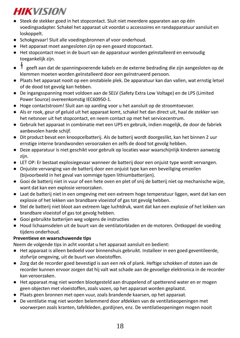- Steek de stekker goed in het stopcontact. Sluit niet meerdere apparaten aan op één voedingsadapter. Schakel het apparaat uit voordat u accessoires en randapparatuur aansluit en loskoppelt.
- Schokgevaar! Sluit alle voedingsbronnen af voor onderhoud.
- Het apparaat moet aangesloten zijn op een geaard stopcontact.
- Het stopcontact moet in de buurt van de apparatuur worden geïnstalleerd en eenvoudig toegankelijk zijn.
- geeft aan dat de spanningvoerende kabels en de externe bedrading die zijn aangesloten op de klemmen moeten worden geïnstalleerd door een geïnstrueerd persoon.
- Plaats het apparaat nooit op een onstabiele plek. De apparatuur kan dan vallen, wat ernstig letsel of de dood tot gevolg kan hebben.
- De ingangsspanning moet voldoen aan de SELV (Safety Extra Low Voltage) en de LPS (Limited Power Source) overeenkomstig IEC60950-1.
- Hoge contactstroom! Sluit aan op aarding voor u het aansluit op de stroomtoevoer.
- Als er rook, geur of geluid uit het apparaat komt, schakel het dan direct uit, haal de stekker van het netsnoer uit het stopcontact, en neem contact op met het servicecentrum.
- Gebruik het apparaat in combinatie met een UPS en gebruik, indien mogelijk, de door de fabriek aanbevolen harde schijf.
- Dit product bevat een knoopcelbatterij. Als de batterij wordt doorgeslikt, kan het binnen 2 uur ernstige interne brandwonden veroorzaken en zelfs de dood tot gevolg hebben.
- Deze apparatuur is niet geschikt voor gebruik op locaties waar waarschijnlijk kinderen aanwezig zijn.
- LET OP: Er bestaat explosiegevaar wanneer de batterij door een onjuist type wordt vervangen.
- Onjuiste vervanging van de batterij door een onjuist type kan een beveiliging omzeilen (bijvoorbeeld in het geval van sommige typen lithiumbatterijen).
- Gooi de batterij niet in vuur of een hete oven en plet of snij de batterij niet op mechanische wijze, want dat kan een explosie veroorzaken.
- Laat de batterij niet in een omgeving met een extreem hoge temperatuur liggen, want dat kan een explosie of het lekken van brandbare vloeistof of gas tot gevolg hebben.
- Stel de batterij niet bloot aan extreem lage luchtdruk, want dat kan een explosie of het lekken van brandbare vloeistof of gas tot gevolg hebben.
- Gooi gebruikte batterijen weg volgens de instructies
- Houd lichaamsdelen uit de buurt van de ventilatorbladen en de motoren. Ontkoppel de voeding tijdens onderhoud.

## **Preventieve en waarschuwende tips**

Neem de volgende tips in acht voordat u het apparaat aansluit en bedient:

- Het apparaat is alleen bedoeld voor binnenshuis gebruikt. Installeer in een goed geventileerde, stofvrije omgeving, uit de buurt van vloeistoffen.
- Zorg dat de recorder goed bevestigd is aan een rek of plank. Heftige schokken of stoten aan de recorder kunnen ervoor zorgen dat hij valt wat schade aan de gevoelige elektronica in de recorder kan veroorzaken.
- Het apparaat mag niet worden blootgesteld aan druppelend of spetterend water en er mogen geen objecten met vloeistoffen, zoals vazen, op het apparaat worden geplaatst.
- Plaats geen bronnen met open vuur, zoals brandende kaarsen, op het apparaat.
- De ventilatie mag niet worden belemmerd door afdekken van de ventilatieopeningen met voorwerpen zoals kranten, tafelkleden, gordijnen, enz. De ventilatieopeningen mogen nooit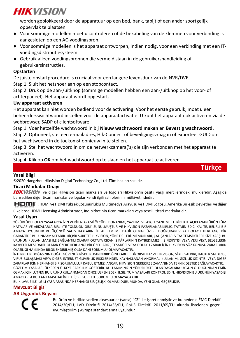worden geblokkeerd door de apparatuur op een bed, bank, tapijt of een ander soortgelijk oppervlak te plaatsen.

- Voor sommige modellen moet u controleren of de bekabeling van de klemmen voor verbinding is aangesloten op een AC-voedingsbron.
- Voor sommige modellen is het apparaat ontworpen, indien nodig, voor een verbinding met een ITvoedingsdistributiesysteem.
- Gebruik alleen voedingsbronnen die vermeld staan in de gebruikershandleiding of gebruikersinstructies.

### **Opstarten**

De juiste opstartprocedure is cruciaal voor een langere levensduur van de NVR/DVR. Stap 1: Sluit het netsnoer aan op een stopcontact.

Stap 2: Druk op de aan-/uitknop (sommige modellen hebben een aan-/uitknop op het voor- of achterpaneel). Het apparaat wordt opgestart.

### **Uw apparaat activeren**

Het apparaat kan niet worden bediend voor de activering. Voor het eerste gebruik, moet u een beheerderswachtwoord instellen voor de apparaatactivatie. U kunt het apparaat ook activeren via de webbrowser, SADP of clientsoftware.

Stap 1: Voer hetzelfde wachtwoord in bij **Nieuw wachtwoord maken** en **Bevestig wachtwoord.** Stap 2: Optioneel, stel een e-mailadres, Hik-Connect of beveiligingsvraag in of exporteer GUID om het wachtwoord in de toekomst opnieuw in te stellen.

Stap 3: Stel het wachtwoord in om de netwerkcamera('s) die zijn verbonden met het apparaat te activeren.

Stap 4: Klik op **OK** om het wachtwoord op te slaan en het apparaat te activeren.

### **Yasal Bilgi**

©2020 Hangzhou Hikvision Digital Technology Co., Ltd. Tüm hakları saklıdır.

#### **Ticari Markalar Onayı**

HIKVISION ve diğer Hikvision ticari markaları ve logoları Hikvision'ın çeşitli yargı mercilerindeki mülkleridir. Aşağıda bahsedilen diğer ticari markalar ve logolar kendi ilgili sahiplerinin mülkiyetindedir.

**Türkçe**

: HDMI ve HDMI Yüksek Çözünürlüklü Multimedya Arayüzü ve HDMI Logosu, Amerika Birleşik Devletleri ve diğer

ülkelerde HDMI Licensing Administrator, Inc. şirketinin ticari markaları veya tescilli ticari markalarıdır.

#### **Yasal Uyarı**

YÜRÜRLÜKTE OLAN YASALARCA İZİN VERİLEN AZAMİ ÖLÇÜDE DONANIMI, YAZILIMI VE AYGIT YAZILIMI İLE BİRLİKTE AÇIKLANAN ÜRÜN TÜM HATALAR VE ARIZALARLA BİRLİKTE "OLDUĞU GİBİ" SUNULMUŞTUR VE HIKVISION PAZARLANABİLİRLİK, TATMİN EDİCİ KALİTE, BELİRLİ BİR AMACA UYGUNLUK VE ÜÇÜNCÜ ŞAHIS HAKLARINI İHLAL ETMEME DAHİL OLMAK ÜZERE DOĞRUDAN VEYA DOLAYLI HERHANGİ BİR GARANTİDE BULUNMAMAKTADIR. HİÇBİR SURETTE HIKVISION, YÖNETİCİLERİ, MEMURLARI, ÇALIŞANLARI VEYA TEMSİLCİLERİ, SİZE KARŞI BU ÜRÜNÜN KULLANILMASI İLE BAĞLANTILI OLARAK ORTAYA ÇIKAN İŞ KÂRLARININ KAYBEDİLMESİ, İŞ KESİNTİSİ VEYA VERİ VEYA BELGELERİN KAYBEDİLMESİ DAHİL OLMAK ÜZERE HERHANGİ BİR ÖZEL, ARIZİ, TESADÜFİ VEYA DOLAYLI ZARAR İÇİN HIKVISION SÖZ KONUSU ZARARLARIN OLASILIĞI HAKKINDA BİLGİLENDİRİLMİŞ OLSA DAHİ SORUMLU OLMAYACAKTIR.

İNTERNETİN DOĞASININ DOĞAL GÜVENLİK RİSKLERİ BARINDIRDIĞINI KABUL EDİYORSUNUZ VE HIKVISION, SİBER SALDIRI, HACKER SALDIRISI, VİRÜS BULAŞMASI VEYA DİĞER İNTERNET GÜVENLİK RİSKLERİNDEN KAYNAKLANAN ANORMAL KULLANIM, GİZLİLİK SIZINTISI VEYA DİĞER ZARARLAR İÇİN HERHANGİ BİR SORUMLULUK KABUL ETMEZ; ANCAK, HIKVISION GEREKİRSE ZAMANINDA TEKNİK DESTEK SAĞLAYACAKTIR. GÖZETİM YASALARI ÜLKEDEN ÜLKEYE FARKLILIK GÖSTERİR. KULLANIMINIZIN YÜRÜRLÜKTE OLAN YASALARA UYGUN OLDUĞUNDAN EMİN OLMAK İÇİN LÜTFEN BU ÜRÜNÜ KULLANMADAN ÖNCE ÜLKENİZDEKİ İLGİLİ TÜM YASALARI KONTROL EDİN. HIKVISION BU ÜRÜNÜN YASADIŞI AMAÇLARLA KULLANILMASI HALİNDE HİÇBİR SURETTE SORUMLU OLMAYACAKTIR.

BU KILAVUZ İLE İLGİLİ YASA ARASINDA HERHANGİ BİR ÇELİŞKİ OLMASI DURUMUNDA, YENİ OLAN GEÇERLİDİR.

#### **Mevzuat Bilgisi**

#### **AB Uygunluk Beyanı**

Bu ürün ve birlikte verilen aksesuarlar (varsa) "CE" ile işaretlenmiştir ve bu nedenle ÈMC Direktifi 2014/30/EU, LVD Direktifi 2014/35/EU, RoHS Direktifi 2011/65/EU altında listelenen geçerli uyumlaştırılmış Avrupa standartlarına uygundur.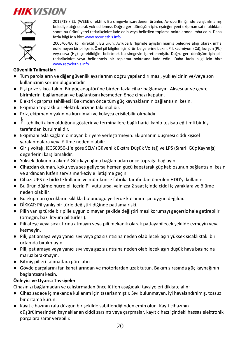![](_page_20_Picture_1.jpeg)

2012/19 / EU (WEEE direktifi): Bu simgeyle işaretlenen ürünler, Avrupa Birliği'nde ayrıştırılmamış belediye atığı olarak yok edilemez. Doğru geri dönüşüm için, eşdeğer yeni ekipman satın aldıktan sonra bu ürünü yerel tedarikçinize iade edin veya belirtilen toplama noktalarında imha edin. Daha fazla bilgi için bkz[: www.recyclethis.info](http://www.recyclethis.info/)

2006/66/EC (pil direktifi): Bu ürün, Avrupa Birliği'nde ayrıştırılmamış belediye atığı olarak imha edilemeyen bir pil içerir. Özel pil bilgileri için ürün belgelerine bakın. Pil, kadmiyum (Cd), kurşun (Pb) veya cıva (Hg) içerebildiğini belirtmek bu simgeyle işaretlenmiştir. Doğru geri dönüşüm için pili tedarikçinize veya belirlenmiş bir toplama noktasına iade edin. Daha fazla bilgi için bkz: [www.recyclethis.info](http://www.recyclethis.info/)

## **Güvenlik Talimatları**

- Tüm parolaların ve diğer güvenlik ayarlarının doğru yapılandırılması, yükleyicinin ve/veya son kullanıcının sorumluluğundadır.
- Fişi prize sıkıca takın. Bir güç adaptörüne birden fazla cihaz bağlamayın. Aksesuar ve çevre birimlerini bağlamadan ve bağlantısını kesmeden önce cihazı kapatın.
- Elektrik çarpma tehlikesi! Bakımdan önce tüm güç kaynaklarının bağlantısını kesin.
- Ekipman topraklı bir elektrik prizine takılmalıdır.
- Priz, ekipmanın yakınına kurulmalı ve kolayca erişilebilir olmalıdır.
- tehlikeli akım olduğunu gösterir ve terminallere bağlı harici kablo tesisatı eğitimli bir kişi tarafından kurulmalıdır.
- Ekipmanı asla sağlam olmayan bir yere yerleştirmeyin. Ekipmanın düşmesi ciddi kişisel yaralanmalara veya ölüme neden olabilir.
- Giriş voltajı, IEC60950-1'e göre SELV (Güvenlik Ekstra Düşük Voltaj) ve LPS (Sınırlı Güç Kaynağı) değerlerini karşılamalıdır.
- Yüksek dokunma akımı! Güç kaynağına bağlamadan önce toprağa bağlayın.
- Cihazdan duman, koku veya ses geliyorsa hemen gücü kapatarak güç kablosunun bağlantısını kesin ve ardından lütfen servis merkeziyle iletişime geçin.
- Cihazı UPS ile birlikte kullanın ve mümkünse fabrika tarafından önerilen HDD'yi kullanın.
- Bu ürün düğme hücre pil içerir. Pil yutulursa, yalnızca 2 saat içinde ciddi iç yanıklara ve ölüme neden olabilir.
- Bu ekipman çocukların sıklıkla bulunduğu yerlerde kullanım için uygun değildir.
- DİKKAT: Pil yanlış bir türle değiştirildiğinde patlama riski.
- Pilin yanlış türde bir pille uygun olmayan şekilde değiştirilmesi korumayı geçersiz hale getirebilir (örneğin, bazı lityum pil türleri).
- Pili ateşe veya sıcak fırına atmayın veya pili mekanik olarak patlayabilecek şekilde ezmeyin veya kesmeyin.
- Pili, patlamaya veya yanıcı sıvı veya gaz sızıntısına neden olabilecek aşırı yüksek sıcaklıktaki bir ortamda bırakmayın.
- Pili, patlamaya veya yanıcı sıvı veya gaz sızıntısına neden olabilecek aşırı düşük hava basıncına maruz bırakmayın.
- Bitmiş pilleri talimatlara göre atın
- Gövde parçalarını fan kanatlarından ve motorlardan uzak tutun. Bakım sırasında güç kaynağının bağlantısını kesin.

### **Önleyici ve Uyarıcı Tavsiyeler**

Cihazınızı bağlamadan ve çalıştırmadan önce lütfen aşağıdaki tavsiyeleri dikkate alın:

- Cihaz sadece iç mekanda kullanım için tasarlanmıştır. Sıvı bulunmayan, iyi havalandırılmış, tozsuz bir ortama kurun.
- Kayıt cihazının rafa düzgün bir şekilde sabitlendiğinden emin olun. Kayıt cihazının düşürülmesinden kaynaklanan ciddi sarsıntı veya çarpmalar, kayıt cihazı içindeki hassas elektronik parçalara zarar verebilir.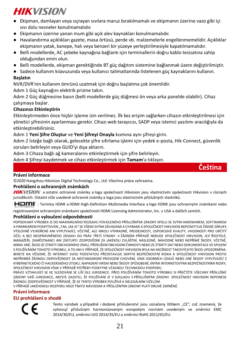- Ekipman, damlayan veya sıçrayan sıvılara maruz bırakılmamalı ve ekipmanın üzerine vazo gibi içi sıvı dolu nesneler konulmamalıdır.
- Ekipmanın üzerine yanan mum gibi açık alev kaynakları konulmamalıdır.
- Havalandırma açıklıkları gazete, masa örtüsü, perde vb. malzemelerle engellenmemelidir. Açıklıklar ekipmanın yatak, kanepe, halı veya benzeri bir yüzeye yerleştirilmesiyle kapatılmamalıdır.
- Belli modellerde, AC şebeke kaynağına bağlantı için terminallerin doğru kablo tesisatına sahip olduğundan emin olun.
- Belli modellerde, ekipman gerektiğinde BT güç dağıtım sistemine bağlanmak üzere değiştirilmiştir.
- Sadece kullanım kılavuzunda veya kullanıcı talimatlarında listelenen güç kaynaklarını kullanın.

### **Başlatın**

NVR/DVR'nin kullanım ömrünü uzatmak için doğru başlatma çok önemlidir.

Adım 1 Güç kaynağını elektrik prizine takın.

Adım 2 Güç düğmesine basın (belli modellerde güç düğmesi ön veya arka panelde olabilir). Cihaz çalışmaya başlar.

## **Cihazınızı Etkinleştirin**

Etkinleştirmeden önce hiçbir işleme izin verilmez. İlk kez erişim sağlarken cihazın etkinleştirilmesi için yönetici şifresinin ayarlanması gerekir. Cihazı web tarayıcısı, SADP veya istemci yazılımı aracılığıyla da etkinleştirebilirsiniz.

### Adım 1 **Yeni Şifre Oluştur** ve **Yeni Şifreyi Onayla** kısmına aynı şifreyi girin.

Adım 2 İsteğe bağlı olarak, gelecekte şifre sıfırlama işlemi için yedek e-posta, Hik-Connect, güvenlik soruları belirleyin veya GUID'yi dışa aktarın.

Adım 3 Cihaza bağlı ağ kameralarını etkinleştirmek için şifre belirleyin.

Adım 4 Şifreyi kaydetmek ve cihazı etkinleştirmek için **Tamam**'a tıklayın.

![](_page_21_Picture_17.jpeg)

©2020 Hangzhou Hikvision Digital Technology Co., Ltd. Všechna práva vyhrazena.

#### **Prohlášení o ochranných známkách**

HIKVISION a ostatní ochranné známky a loga společnosti Hikvision jsou vlastnictvím společnosti Hikvision v různých jurisdikcích. Ostatní níže uvedené ochranné známky a loga jsou vlastnictvím příslušných vlastníků.

**Čeština**

: Termíny HDMI a HDMI High-Definition Multimedia Interface a logo HDMI jsou ochrannými známkami nebo

registrovanými ochrannými známkami společnosti HDMI Licensing Administrator, Inc. v USA a dalších zemích.

#### **Prohlášení o vyloučení odpovědnosti**

POPISOVANÝ VÝROBEK JE DO MAXIMÁLNÍHO ROZSAHU POVOLENÉHO PŘÍSLUŠNÝMI ZÁKONY SPOLU SE SVÝM HARDWAREM, SOFTWAREM A FIRMWAREM POSKYTOVÁN "TAK, JAK JE" SE VŠEMI SVÝMI ZÁVADAMI A CHYBAMI A SPOLEČNOST HIKVISION NEPOSKYTUJE ŽÁDNÉ ZÁRUKY, VÝSLOVNĚ VYJÁDŘENÉ ANI VYPLÝVAJÍCÍ, VČETNĚ, ALE NIKOLI VÝHRADNĚ, PRODEJNOSTI, USPOKOJIVÉ KVALITY, VHODNOSTI PRO URČITÝ ÚČEL A BEZ NEOPRÁVNĚNÉHO ZÁSAHU DO PRÁV TŘETÍ STRANY. V ŽÁDNÉM PŘÍPADĚ NEBUDE SPOLEČNOST HIKVISION, JEJÍ ŘEDITELÉ, MANAŽEŘI, ZAMĚSTNANCI ANI ZÁSTUPCI ZODPOVĚDNÍ ZA JAKÉKOLI ZVLÁŠTNÍ, NÁSLEDNÉ, NÁHODNÉ NEBO NEPŘÍMÉ ŠKODY, VČETNĚ, MIMO JINÉ, ŠKOD ZE ZTRÁTY OBCHODNÍHO ZISKU, PŘERUŠENÍ OBCHODNÍ ČINNOSTI NEBO ZE ZTRÁTY DAT NEBO DOKUMENTACE VE SPOJENÍ S POUŽÍVÁNÍM TOHOTO VÝROBKU, A TO ANI V PŘÍPADĚ, ŽE SPOLEČNOST HIKVISION BYLA NA MOŽNOST TAKOVÝCHTO ŠKOD UPOZORNĚNA. BERETE NA VĚDOMÍ, ŽE INTERNET SVOU PODSTATOU PŘEDSTAVUJE SKRYTÁ BEZPEČNOSTNÍ RIZIKA A SPOLEČNOST HIKVISION PROTO NEPŘEBÍRÁ ŽÁDNOU ODPOVĚDNOST ZA NESTANDARDNÍ PROVOZNÍ CHOVÁNÍ, ÚNIK OSOBNÍCH ÚDAJŮ NEBO JINÉ ŠKODY VYPLÝVAJÍCÍ Z KYBERNETICKÉHO ČI HACKERSKÉHO ÚTOKU, NAPADENÍ VIREM NEBO ŠKODY ZPŮSOBENÉ JINÝMI INTERNETOVÝMI BEZPEČNOSTNÍMI RIZIKY; SPOLEČNOST HIKVISION VŠAK V PŘÍPADĚ POTŘEBY POSKYTNE VČASNOU TECHNICKOU PODPORU.

PRÁVO VZTAHUJÍCÍ SE KE SLEDOVÁNÍ SE LIŠÍ DLE JURISDIKCE. PŘED POUŽÍVÁNÍM TOHOTO VÝROBKU SI PŘEČTĚTE VŠECHNY PŘÍSLUŠNÉ ZÁKONY VAŠÍ JURISDIKCE, ABYSTE ZAJISTILI, ŽE POUŽÍVÁNÍ JE V SOULADU S PŘÍSLUŠNÝMI ZÁKONY. SPOLEČNOST HIKVISION NEPONESE ŽÁDNOU ZODPOVĚDNOST V PŘÍPADĚ, ŽE SE TENTO VÝROBEK POUŽÍVÁ K NELEGÁLNÍM ÚČELŮM.

V PŘÍPADĚ JAKÉHOKOLI ROZPORU MEZI TÍMTO NÁVODEM A PŘÍSLUŠNÝMI ZÁKONY PLATÍ DRUHÉ ZMÍNĚNÉ.

### **Právní informace**

### **EU prohlášení o shodě**

Tento výrobek a případně i dodané příslušenství isou označeny štítkem "CE", což znamená, že vyhovují příslušným harmonizovaným evropským normám uvedeným ve směrnici EMC 2014/30/EU, směrnici LVD 2014/35/EU a směrnici RoHS 2011/65/EU.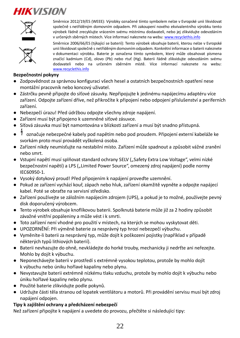![](_page_22_Picture_1.jpeg)

Směrnice 2012/19/ES (WEEE): Výrobky označené tímto symbolem nelze v Evropské unii likvidovat společně s netříděným domovním odpadem. Při zakoupení nového ekvivalentního výrobku tento výrobek řádně zrecyklujte vrácením svému místnímu dodavateli, nebo jej zlikvidujte odevzdáním v určených sběrných místech. Více informací naleznete na web[u: www.recyclethis.info](http://www.recyclethis.info/)

![](_page_22_Picture_3.jpeg)

Směrnice 2006/66/ES (týkající se baterií): Tento výrobek obsahuje baterii, kterou nelze v Evropské unii likvidovat společně s netříděným domovním odpadem. Konkrétní informace o baterii naleznete v dokumentaci výrobku. Baterie je označena tímto symbolem, který může obsahovat písmena značící kadmium (Cd), olovo (Pb) nebo rtuť (Hg). Baterii řádně zlikvidujte odevzdáním svému dodavateli nebo na určeném sběrném místě. Více informací naleznete na webu: [www.recyclethis.info](http://www.recyclethis.info/)

### **Bezpečnostní pokyny**

- Zodpovědnost za správnou konfiguraci všech hesel a ostatních bezpečnostních opatření nese montážní pracovník nebo koncový uživatel.
- Zástrčku pevně připojte do síťové zásuvky. Nepřipojujte k jedinému napájecímu adaptéru více zařízení. Odpojte zařízení dříve, než přikročíte k připojení nebo odpojení příslušenství a periferních zařízení.
- Nebezpečí úrazu! Před údržbou odpojte všechny zdroje napájení.
- Zařízení musí být připojeno k uzemněné síťové zásuvce.
- Síťová zásuvka musí být namontována v blízkosti zařízení a musí být snadno přístupná.
- označuje nebezpečné kabely pod napětím nebo pod proudem. Připojení externí kabeláže ke svorkám proto musí provádět vyškolená osoba.
- Zařízení nikdy neumisťujte na nestabilní místo. Zařízení může spadnout a způsobit vážné zranění nebo smrt.
- · Vstupní napětí musí splňovat standard ochrany SELV ("Safety Extra Low Voltage", velmi nízké bezpečnostní napětí) a LPS ("Limited Power Source", omezený zdroj napájení) podle normy IEC60950-1.
- Vysoký dotykový proud! Před připojením k napájení proveďte uzemnění.
- Pokud ze zařízení vychází kouř, zápach nebo hluk, zařízení okamžitě vypněte a odpojte napájecí kabel. Poté se obraťte na servisní středisko.
- Zařízení používejte se záložním napájecím zdrojem (UPS), a pokud je to možné, používejte pevný disk doporučený výrobcem.
- Tento výrobek obsahuje knoflíkovou baterii. Spolknutá baterie může již za 2 hodiny způsobit závažné vnitřní popáleniny a může vést i k smrti.
- Toto zařízení není vhodné pro použití v místech, na kterých se mohou vyskytovat děti.
- UPOZORNĚNÍ: Při výměně baterie za nesprávný typ hrozí nebezpečí výbuchu.
- Vyměníte-li baterii za nesprávný typ, může dojít k poškození pojistky (například v případě některých typů lithiových baterií).
- Baterii nevhazujte do ohně, nevkládejte do horké trouby, mechanicky ji nedrťte ani neřezejte. Mohlo by dojít k výbuchu.
- Neponechávejte baterii v prostředí s extrémně vysokou teplotou, protože by mohlo dojít k výbuchu nebo úniku hořlavé kapaliny nebo plynu.
- Nevystavujte baterii extrémně nízkému tlaku vzduchu, protože by mohlo dojít k výbuchu nebo úniku hořlavé kapaliny nebo plynu.
- Použité baterie zlikvidujte podle pokynů.
- Udržujte části těla stranou od lopatek ventilátoru a motorů. Při provádění servisu musí být zdroj napájení odpojen.

## **Tipy k zajištění ochrany a předcházení nebezpečí**

Než zařízení připojíte k napájení a uvedete do provozu, přečtěte si následující tipy: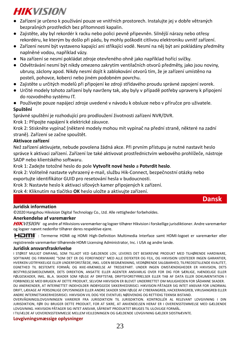- Zařízení je určeno k používání pouze ve vnitřních prostorech. Instalujte jej v dobře větraných bezprašných prostředích bez přítomnosti kapalin.
- Zajistěte, aby byl rekordér k racku nebo polici pevně připevněn. Silnější nárazy nebo otřesy rekordéru, ke kterým by došlo při pádu, by mohly poškodit citlivou elektroniku uvnitř zařízení.
- Zařízení nesmí být vystaveno kapající ani stříkající vodě. Nesmí na něj být ani pokládány předměty naplněné vodou, například vázy.
- Na zařízení se nesmí pokládat zdroje otevřeného ohně jako například hořící svíčky.
- Odvětrávání nesmí být nikdy omezeno zakrytím ventilačních otvorů předměty, jako jsou noviny, ubrusy, záclony apod. Nikdy nesmí dojít k zablokování otvorů tím, že je zařízení umístěno na posteli, pohovce, koberci nebo jiném podobném povrchu.
- Zajistěte u určitých modelů při připojení ke zdroji střídavého proudu správné zapojení svorek.
- Určité modely tohoto zařízení byly navrženy tak, aby byly v případě potřeby upraveny k připojení do rozvodného systému IT.
- Používejte pouze napájecí zdroje uvedené v návodu k obsluze nebo v příručce pro uživatele. **Spuštění**

Správné spuštění je rozhodující pro prodloužení životnosti zařízení NVR/DVR.

Krok 1: Připojte napájení k elektrické zásuvce.

Krok 2: Stiskněte vypínač (některé modely mohou mít vypínač na přední straně, některé na zadní straně). Zařízení se začne spouštět.

## **Aktivace zařízení**

Než zařízení aktivujete, nebude povolena žádná akce. Při prvním přístupu je nutné nastavit heslo správce k aktivaci zařízení. Zařízení lze také aktivovat prostřednictvím webového prohlížeče, nástroje SADP nebo klientského softwaru.

Krok 1: Zadejte totožné heslo do pole **Vytvořit nové heslo** a **Potvrdit heslo**.

Krok 2: Volitelně nastavte vyhrazený e-mail, službu Hik-Connect, bezpečnostní otázky nebo exportujte identifikátor GUID pro resetování hesla v budoucnosti.

Krok 3: Nastavte heslo k aktivaci síťových kamer připojených k zařízení.

Krok 4: Kliknutím na tlačítko **OK** heslo uložte a aktivujte zařízení.

## **Dansk**

### **Juridisk information**

© 2020 Hangzhou Hikvision Digital Technology Co., Ltd. Alle rettigheder forbeholdes.

## **Anerkendelse af varemæ rker**

HIKVISION og andre af Hikvisions varemærker og logoer tilhører Hikvision i forskellige jurisdiktioner. Andre varemærker og logoer nævnt nedenfor tilhører deres respektive ejere.

HOMI": Termerne HDMI og HDMI High-Definition Multimedia Interface samt HDMI-logoet er varemærker eller registrerede varemæ rker tilhørende HDMI Licensing Administrator, Inc. i USA og andre lande.

#### **Juridisk ansvarsfraskrivelse**

I STØRST MULIGT OMFANG, SOM TILLADT VED GÆLDENDE LOV, LEVERES DET BESKREVNE PRODUKT MED TILHØRENDE HARDWARE. SOFTWARE OG FIRMWARE "SOM DET ER OG FOREFINDES" MED ALLE DEFEKTER OG FEJL, OG HIKVISION UDSTEDER INGEN GARANTIER, HVERKEN UDTRYKKELIGE ELLER UNDERFORSTÅEDE, INKL. UDEN BEGRÆ NSNING, VEDRØ RENDE SALGBARHED, TILFREDSSTILLENDE KVALITET, EGNETHED TIL BESTEMTE FORMÅL OG IKKE-KRÆ NKELSE AF TREDJEPART. UNDER INGEN OMSTÆ NDIGHEDER ER HIKVISION, DETS BESTYRELSESMEDLEMMER, DETS DIREKTION, ANSATTE ELLER AGENTER ANSVARLIG OVER FOR DIG FOR SÆRLIGE, HÆNDELIGE ELLER FØLGESKADER, INKL. BL.A. SKADER SOM FØLGE AF DRIFTSTAB, DRIFTSFORSTYRRELSER ELLER TAB AF DATA ELLER DOKUMENTATION I FORBINDELSE MED BRUGEN AF DETTE PRODUKT, SELVOM HIKVISION ER BLEVET UNDERRETTET OM MULIGHEDEN FOR SÅDANNE SKADER. DU ANERKENDER, AT INTERNETTET INDEHOLDER INDBYGGEDE SIKKERHEDSRISICI. HIKVISION PÅTAGER SIG INTET ANSVAR FOR UNORMAL DRIFT, LÆ KAGE AF PERSONLIGE OPLYSNINGER ELLER ANDRE SKADER SOM FØ LGE AF CYBERANGREB, HACKERANGREB, VIRUSANGREB ELLER ANDRE INTERNETSIKKERHEDSRISICI. HIKVISION VIL DOG YDE EVENTUEL NØ DVENDIG OG RETTIDIG TEKNISK BISTAND.

OVERVÅGNINGSLOVGIVNINGEN VARIERER FRA JURISDIKTION TIL JURISDIKTION. KONTROLLÉR AL RELEVANT LOVGIVNING I DIN JURISDIKTION, FØR DU BRUGER DETTE PRODUKT, FOR AT SIKRE, AT ANVENDELSEN HERAF ER I OVERENSSTEMMELSE MED GÆLDENDE LOVGIVNING. HIKVISION PÅTAGER SIG INTET ANSVAR, SÅFREMT PRODUKTET BRUGES TIL ULOVLIGE FORMÅL.

I TILFÆLDE AF UOVERENSSTEMMELSE MELLEM VEJLEDNINGEN OG GÆLDENDE LOVGIVNING GÆLDER SIDSTNÆVNTE.

#### **Lovgivningsmæ ssige oplysninger**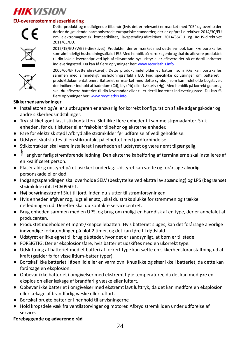## **EU-overensstemmelseserklæ ring**

![](_page_24_Picture_2.jpeg)

![](_page_24_Picture_4.jpeg)

Dette produkt og medfølgende tilbehør (hvis det er relevant) er mærket med "CE" og overholder derfor de gældende harmoniserede europæiske standarder, der er opført i direktivet 2014/30/EU om elektromagnetisk kompatibilitet, lavspændingsdirektivet 2014/35/EU og RoHS-direktivet 2011/65/EU.

2012/19/EU (WEEE-direktivet): Produkter, der er mærket med dette symbol, kan ikke bortskaffes som almindeligt husholdningsaffald i EU. Med henblik på korrekt genbrug skal du aflevere produktet til din lokale leverandør ved køb af tilsvarende nyt udstyr eller aflevere det på et dertil indrettet indleveringssted. Du kan få flere oplysninger he[r: www.recyclethis.info](http://www.recyclethis.info/)

2006/66/EF (batteridirektivet): Dette produkt indeholder et batteri, som ikke kan bortskaffes sammen med almindeligt husholdningsaffald i EU. Find specifikke oplysninger om batteriet i produktdokumentationen. Batteriet er mærket med dette symbol, som kan indeholde bogstaver, der indikerer indhold af kadmium (Cd), bly (Pb) eller kviksølv (Hg). Med henblik på korrekt genbrug skal du aflevere batteriet til din leverandør eller til et dertil indrettet indleveringssted. Du kan få flere oplysninger he[r: www.recyclethis.info](http://www.recyclethis.info/)

#### **Sikkerhedsanvisninger**

- Installatøren og/eller slutbrugeren er ansvarlig for korrekt konfiguration af alle adgangskoder og andre sikkerhedsindstillinger.
- Tryk stikket godt fast i stikkontakten. Slut ikke flere enheder til samme strømadapter. Sluk enheden, før du tilslutter eller frakobler tilbehør og eksterne enheder.
- Fare for elektrisk stød! Afbryd alle strømkilder før udførelse af vedligeholdelse.
- Udstyret skal sluttes til en stikkontakt på elnettet med jordforbindelse.
- Stikkontakten skal være installeret i nærheden af udstyret og være nemt tilgængelig.
- angiver farlig strømførende ledning. Den eksterne kabelføring af terminalerne skal installeres af en kvalificeret person.
- Placér aldrig udstyret på et usikkert underlag. Udstyret kan vælte og forårsage alvorlig personskade eller død.
- Indgangsspændingen skal overholde SELV (beskyttelse ved ekstra lav spænding) og LPS (begrænset strømkilde) iht. IEC60950-1.
- Høj berøringsstrøm! Slut til jord, inden du slutter til strømforsyningen.
- Hvis enheden afgiver røg, lugt eller støj, skal du straks slukke for strømmen og trække netledningen ud. Derefter skal du kontakte servicecentret.
- Brug enheden sammen med en UPS, og brug om muligt en harddisk af en type, der er anbefalet af producenten.
- Produktet indeholder et mønt-/knapcellebatteri. Hvis batteriet sluges, kan det forårsage alvorlige indvendige forbrændinger på blot 2 timer, og det kan føre til dødsfald.
- Udstyret er ikke egnet til brug på steder, hvor det er sandsynligt, at børn er til stede.
- FORSIGTIG: Der er eksplosionsfare, hvis batteriet udskiftes med en ukorrekt type.
- Udskiftning af batteriet med et batteri af forkert type kan sætte en sikkerhedsforanstaltning ud af kraft (gælder fx for visse litium-batterityper).
- Bortskaf ikke batteriet i åben ild eller en varm ovn. Knus ikke og skær ikke i batteriet, da dette kan forårsage en eksplosion.
- Opbevar ikke batteriet i omgivelser med ekstremt høje temperaturer, da det kan medføre en eksplosion eller lækage af brandfarlig væske eller luftart.
- Opbevar ikke batteriet i omgivelser med ekstremt lavt lufttryk, da det kan medføre en eksplosion eller lækage af brandfarlig væske eller luftart.
- Bortskaf brugte batterier i henhold til anvisningerne
- Hold kropsdele væk fra ventilatorvinger og motorer. Afbryd strømkilden under udførelse af service.

#### **Forebyggende og advarende råd**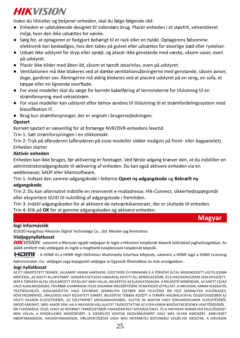Inden du tilslutter og betjener enheden, skal du følge følgende råd:

- Enheden er udelukkende designet til indendørs brug. Placér enheden i et støvfrit, velventileret miljø, hvor den ikke udsættes for væske.
- Sørg for, at optageren er fastgjort behørigt til et rack eller en hylde. Optagerens følsomme elektronik kan beskadiges, hvis den tabes på gulvet eller udsættes for alvorlige stød eller rystelser.
- Udsæt ikke udstyret for dryp eller sprøjt, og placér ikke genstande med væske, såsom vaser, oven på udstyret.
- Placér ikke kilder med åben ild, såsom et tændt stearinlys, oven på udstyret.
- Ventilationen må ikke blokeres ved at dække ventilationsåbningerne med genstande, såsom aviser, duge, gardiner osv. Åbningerne må aldrig blokeres ved at placere udstyret på en seng, en sofa, et tæppe eller en lignende overflade.
- For visse modeller skal du sørge for korrekt kabelføring af terminalerne for tilslutning til en strømforsyning med vekselstrøm.
- For visse modeller kan udstyret efter behov ændres til tilslutning til et strømfordelingssystem med klassifikation IT.
- Brug kun strømforsyninger, der er angivet i brugervejledningen.

#### **Opstart**

Korrekt opstart er væsentlig for at forlænge NVR/DVR-enhedens levetid.

Trin 1: Sæt strømforsyningen i en stikkontakt.

Trin 2: Tryk på afbryderen (afbryderen på visse modeller sidder muligvis på front- eller bagpanelet). Enheden starter.

## **Aktivér enheden**

Enheden kan ikke bruges, før aktivering er foretaget. Ved første adgang kræver den, at du indstiller en administratoradgangskode til aktivering af enheden. Du kan også aktivere enheden via en webbrowser, SADP eller klientsoftware.

Trin 1: Indtast den samme adgangskode i felterne **Opret ny adgangskode** og **Bekræ ft ny adgangskode**.

Trin 2: Du kan alternativt indstille en reserveret e-mailadresse, Hik-Connect, sikkerhedsspørgsmål eller eksportere GUID til nulstilling af adgangskode i fremtiden.

Trin 3: Indstil adgangskoden for at aktivere de netvæ rkskameraer, der er sluttede til enheden.

Trin 4: Klik på **OK** for at gemme adgangskoden og aktivere enheden.

![](_page_25_Picture_20.jpeg)

#### **Jogi információk**

© 2020 Hangzhou Hikvision Digital Technology Co., Ltd. Minden jog fenntartva.

#### **Védjegynyilatkozat**

HIKVISION valamint a Hikvision egyéb védjegyei és logói a Hikvision tulajdonát képezik különböző joghatóságokban. Az alább említett más védjegyek és logók a megfelelő tulajdonosok tulajdonát képezik.

: A HDMI és a HDMI High-Definition Multimedia Interface kifejezés, valamint a HDMI logó a HDMI Licensing

Administrator, Inc. védjegye vagy bejegyzett védjegye az Egyesült Államokban és más országokban.

### **Jogi nyilatkozat**

AZ ITT ISMERTETETT TERMÉK, VALAMINT ANNAK HARDVERE, SZOFTVERE ÉS FIRMWARE-E A TÖ RVÉNY ÁLTAL MEGENGEDETT LEGTELJESEBB MÉRTÉKIG "AZ ADOTT ÁLLAPOTBAN", MINDEN ESETLEGES HIBÁJÁVAL EGYÜTT ÁLL RENDELKEZÉSRE, ÉS A HIKVISION EZEKRE SEM KIFEJEZETT, SEM A TÖ RVÉNY ÁLTAL VÉLELMEZETT JÓ TÁLLÁST NEM VÁLLAL, BELEÉRTVE AZ ELADHATÓSÁGRA, A KIELÉGÍTŐ MINŐSÉGRE, AZ ADOTT CÉLRA VALÓ ALKALMASSÁGRA, TOVÁBBÁ A HARMADIK FELEK JOGAINAK MEGSÉRTÉSÉRE VONATKOZÓ JÓ TÁLLÁST. A HIKVISION, ANNAK IGAZGATÓ I, TISZTSÉGVISELŐI, ALKALMAZOTTAI VAGY ÜGYNÖKEI SEMMILYEN ESETBEN SEM FELELŐSEK ÖN FELÉ SEMMILYEN KÜLÖNLEGES. KÖVETKEZMÉNYES, JÁRULÉKOS VAGY KÖZVETETT KÁRÉRT, BELEÉRTVE TÖBBEK KÖZÖTT A TERMÉK HASZNÁLATÁVAL ÖSSZEFÜGGÉSBEN AZ ÜZLETI HASZON ELVESZTÉSÉBŐL, AZ ÜZLETMENET MEGSZAKADÁSÁBÓL, ILLETVE AZ ADATOK VAGY DOKUMENTUMOK ELVESZTÉSÉBŐL EREDŐ KÁROKAT, MÉG AKKOR SEM, HA A HIKVISION VÁLLALATOT TÁJÉKOZTATTÁK AZ ILYEN KÁROK BEKÖVETKEZÉSÉNEK LEHETŐSÉGÉRŐL. ÖN TUDOMÁSUL VESZI, HOGY AZ INTERNET TERMÉSZETÉBŐL FAKADÓAN REJT KOCKÁZATOKAT, ÉS A HIKVISION SEMMILYEN FELELŐSSÉGET NEM VÁLLAL A RENDELLENES MŰKÖDÉSÉRT, A SZEMÉLYES ADATOK KISZIVÁRGÁSÁÉRT VAGY MÁS OLYAN KÁROKÉRT, AMELYEKET KIBERTÁMADÁSOK, HACKERTÁMADÁSOK, VÍRUSFERTŐZÉSEK VAGY MÁS INTERNETES BIZTONSÁGI VESZÉLYEK OKOZTAK; A HIKVISION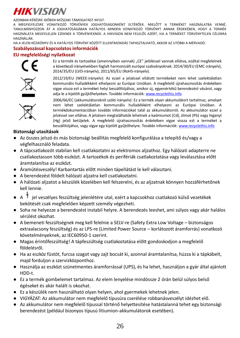AZONBAN KÉRÉSRE IDŐBEN MŰSZAKI TÁMOGATÁST NYÚJT.

A MEGFIGYELÉSRE VONATKOZÓ TÖRVÉNYEK JOGHATÓSÁGONKÉNT ELTÉRŐEK. MIELŐTT A TERMÉKET HASZNÁLATBA VENNÉ, TANULMÁNYOZZON ÁT A JOGHATÓSÁGÁBAN HATÁLYOS MINDEN VONATKOZÓ TÖRVÉNYT ANNAK ÉRDEKÉBEN, HOGY A TERMÉK HASZNÁLATA MEGFELELJEN EZEKNEK A TÖRVÉNYEKNEK. A HIKVISION NEM FELELŐS AZÉRT, HA A TERMÉKET TÖRVÉNYTELEN CÉLOKRA HASZNÁLJÁK.

HA A JELEN KÉZIKÖNYV ÉS A HATÁLYOS TÖRVÉNY KÖZÖTT ELLENTMONDÁS TAPASZTALHATÓ, AKKOR AZ UTÓBBI A MÉRVADÓ.

#### **Szabályozással kapcsolatos információk**

## **EU megfelelőségi nyilatkozat**

![](_page_26_Picture_6.jpeg)

Ez a termék és tartozékai (amennyiben vannak) "CE" jelöléssel vannak ellátva, ezáltal megfelelnek a következő irányelvekben foglalt harmonizált európai szabványoknak: 2014/30/EU (EMC-irányelv), 2014/35/EU (LVD-irányelv), 2011/65/EU (RoHS-irányelv).

![](_page_26_Picture_8.jpeg)

2012/19/EU (WEEE-irányelv): Az ezzel a jelzéssel ellátott termékeket nem lehet szelektálatlan kommunális hulladékként elhelyezni az Európai Unióban. A megfelelő újrahasznosítás érdekében vigye vissza ezt a terméket helyi beszállítójához, amikor új, egyenértékű berendezést vásárol, vagy adia le a kijelölt gyűjtőhelyeken. További információk[: www.recyclethis.info](http://www.recyclethis.info/)

![](_page_26_Picture_10.jpeg)

2006/66/EC (akkumulátorokról szóló irányelv): Ez a termék olyan akkumulátort tartalmaz, amelyet nem lehet szelektálatlan kommunális hulladékként elhelyezni az Európai Unióban. A termékdokumentációban további információkat talál az akkumulátorról. Az akkumulátor ezzel a jelzéssel van ellátva. A jelzésen megtalálhatók lehetnek a kadmiumot (Cd), ólmot (Pb) vagy higanyt (Hg) jelző betűjelek. A megfelelő újrahasznosítás érdekében vigye vissza ezt a terméket a beszállítójához, vagy vigye egy kijelölt gyűjtőhelyre. További információ[k: www.recyclethis.info](http://www.recyclethis.info/)

### **Biztonsági utasítások**

- Az összes jelszó és más biztonsági beállítás megfelelő konfigurálása a telepítő és/vagy a végfelhasználó feladata.
- A tápcsatlakozót stabilan kell csatlakoztatni az elektromos alizathoz. Egy hálózati adapterre ne csatlakoztasson több eszközt. A tartozékok és perifériák csatlakoztatása vagy leválasztása előtt áramtalanítsa az eszközt.
- Áramütésveszély! Karbantartás előtt minden tápellátást le kell választani.
- A berendezést földelt hálózati aljzatra kell csatlakoztatni.
- A hálózati aljzatot a készülék közelében kell felszerelni, és az aljzatnak könnyen hozzáférhetőnek kell lennie.
- A <sup> $\nparallel$ </sup> jel veszélyes feszültség jelenlétére utal, ezért a kapcsokhoz csatlakozó külső vezetékek bekötését csak megfelelően képzett személy végezheti.
- Soha ne helyezze a berendezést instabil helyre. A berendezés leeshet, ami súlyos vagy akár halálos sérülést okozhat.
- A bemeneti feszültségnek meg kell felelnie a SELV-re (Safety Extra Low Voltage biztonságos extraalacsony feszültség) és az LPS-re (Limited Power Source – korlátozott áramforrás) vonatkozó követelményeknek, az IEC60950-1 szerint.
- Magas érintőfeszültség! A tápfeszültség csatlakoztatása előtt gondoskodjon a megfelelő földelésről.
- Ha az eszköz füstöt, furcsa szagot vagy zajt bocsát ki, azonnal áramtalanítsa, húzza ki a tápkábelt, majd forduljon a szervizközponthoz.
- Használja az eszközt szünetmentes áramforrással (UPS), és ha lehet, használjon a gyár által ajánlott HDD-t.
- Ez a termék gombelemet tartalmaz. Az elem lenyelése mindössze 2 órán belül súlyos belső égéseket és akár halált is okozhat.
- Ez a készülék nem használható olyan helyen, ahol gyermekek lehetnek jelen.
- VIGYÁZAT: Az akkumulátor nem megfelelő típusúra cserélése robbanásveszélyt idézhet elő.
- Az akkumulátor nem megfelelő típussal történő helyettesítése hatástalanná tehet egy biztonsági berendezést (például bizonyos típusú lítiumion-akkumulátorok esetében).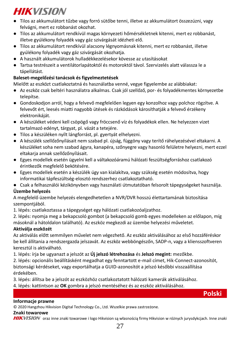- Tilos az akkumulátort tűzbe vagy forró sütőbe tenni, illetve az akkumulátort összezúzni, vagy felvágni, mert ez robbanást okozhat.
- Tilos az akkumulátort rendkívül magas környezeti hőmérsékletnek kitenni, mert ez robbanást, illetve gyúlékony folyadék vagy gáz szivárgását idézheti elő.
- Tilos az akkumulátort rendkívül alacsony légnyomásnak kitenni, mert ez robbanást, illetve gyúlékony folyadék vagy gáz szivárgását okozhatja.
- A használt akkumulátorok hulladékkezelésekor kövesse az utasításokat
- Tartsa testrészeit a ventilátorlapátoktól és motoroktól távol. Szervizelés alatt válassza le a tápellátást.

## **Baleset-megelőzési tanácsok és figyelmeztetések**

Mielőtt az eszközt csatlakoztatná és használatba venné, vegye figyelembe az alábbiakat:

- Az eszköz csak beltéri használatra alkalmas. Csak jól szellőző, por- és folyadékmentes környezetbe telepítse.
- Gondoskodjon arról, hogy a felvevő megfelelően legyen egy konzolhoz vagy polchoz rögzítve. A felvevőt ért, leesés miatti nagyobb ütések és rázkódások károsíthatják a felvevő érzékeny elektronikáját.
- A készüléket védeni kell csöpögő vagy fröccsenő víz és folyadékok ellen. Ne helyezzen vizet tartalmazó edényt, tárgyat, pl. vázát a tetejére.
- Tilos a készüléken nyílt lángforrást, pl. gyertyát elhelyezni.
- A készülék szellőzőnyílásait nem szabad pl. újság, függöny vagy terítő ráhelyezésével eltakarni. A készüléket soha nem szabad ágyra, kanapéra, szőnyegre vagy hasonló felületre helyezni, mert ezzel eltakarja annak szellőzőnyílásait.
- Egyes modellek esetén ügyelni kell a váltakozóáramú hálózati feszültségforráshoz csatlakozó érintkezők megfelelő bekötésére.
- Egyes modellek esetén a készülék úgy van kialakítva, vagy szükség esetén módosítva, hogy informatikai tápfeszültség-elosztó rendszerhez csatlakoztatható.
- Csak a felhasználói kézikönyvben vagy használati útmutatóban felsorolt tápegységeket használja.

## **Ü zembe helyezés**

A megfelelő üzembe helyezés elengedhetetlen a NVR/DVR hosszú élettartamának biztosítása szempontiából.

1. lépés: csatlakoztassa a tápegységet egy hálózati csatlakozóaljzathoz.

2. lépés: nyomja meg a bekapcsoló gombot (a bekapcsoló gomb egyes modelleken az előlapon, míg másoknál a hátoldalon található). Az eszköz megkezdi az üzembe helyezési műveletet.

## **Aktiválja eszközét**

Az aktiválás előtt semmilyen művelet nem végezhető. Az eszköz aktiválásához az első hozzáféréskor be kell állítania a rendszergazda jelszavát. Az eszköz webböngészőn, SADP-n, vagy a kliensszoftveren keresztül is aktiválható.

1. lépés: írja be ugyanazt a jelszót az **Ú j jelszó létrehozása** és **Jelszó megint:** mezőkbe.

2. lépés: opcionális beállításként megadhat egy fenntartott e-mail címet, Hik-Connect-azonosítót, biztonsági kérdéseket, vagy exportálhatja a GUID-azonosítót a jelszó későbbi visszaállítása érdekében.

3. lépés: állítsa be a jelszót az eszközhöz csatlakoztatott hálózati kamerák aktiválásához.

4. lépés: kattintson az **OK** gombra a jelszó mentéséhez és az eszköz aktiválásához.

**Polski**

## **Informacje prawne**

© 2020 Hangzhou Hikvision Digital Technology Co., Ltd. Wszelkie prawa zastrzeżone.

## **Znaki towarowe**

HIKVISION oraz inne znaki towarowe i logo Hikvision są własnością firmy Hikvision w różnych jurysdykcjach. Inne znaki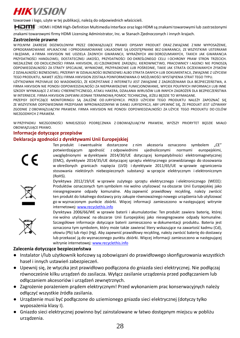towarowe i logo, użyte w tej publikacji, należą do odpowiednich właścicieli.

: HDMI i HDMI High-Definition Multimedia Interface oraz logo HDMI są znakami towarowymi lub zastrzeżonymi

znakami towarowymi firmy HDMI Licensing Administrator, Inc. w Stanach Zjednoczonych i innych krajach.

#### **Zastrzeżenie prawne**

W PEŁNYM ZAKRESIE DOZWOLONYM PRZEZ OBOWIĄZUJĄCE PRAWO OPISANY PRODUKT ORAZ ZWIĄZANE Z NIM WYPOSAŻENIE, OPROGRAMOWANIE APLIKACYJNE I OPROGRAMOWANIE UKŁADOWE SĄ UDOSTĘPNIANE BEZ GWARANCJI, ZE WSZYSTKIMI USTERKAMI I BŁĘDAMI, A FIRMA HIKVISION NIE UDZIELA ŻADNYCH GWARANCJI, WYRAŹNYCH ANI DOROZUMIANYCH, TAKICH JAK GWARANCJA PRZYDATNOŚCI HANDLOWEJ, DOSTATECZNEJ JAKOŚCI, PRZYDATNOŚCI DO OKREŚLONEGO CELU I OCHRONY PRAW STRON TRZECICH. NIEZALEŻNIE OD OKOLICZNOŚCI FIRMA HIKVISION, JEJ CZŁONKOWIE ZARZĄDU, KIEROWNICTWO, PRACOWNICY I AGENCI NIE PONOSZĄ ODPOWIEDZIALNOŚCI ZA STRATY SPECJALNE, WYNIKOWE, PRZYPADKOWE LUB POŚREDNIE, TAKIE JAK STRATA OCZEKIWANYCH ZYSKÓW Z DZIAŁALNOŚCI BIZNESOWEJ, PRZERWY W DZIAŁALNOŚCI BIZNESOWEJ ALBO STRATA DANYCH LUB DOKUMENTACJI, ZWIĄZANE Z UŻYCIEM TEGO PRODUKTU, NAWET JEŻELI FIRMA HIKVISION ZOSTAŁA POINFORMOWANA O MOŻLIWOŚCI WYSTĄPIENIA STRAT TEGO TYPU.

UŻYTKOWNIK PRZYJMUJE DO WIADOMOŚCI, ŻE KORZYSTANIE Z INTERNETU JEST ZWIĄZANE Z ZAGROŻENIAMI DLA BEZPIECZEŃSTWA, A FIRMA HIKVISION NIE PONOSI ODPOWIEDZIALNOŚCI ZA NIEPRAWIDŁOWE FUNKCJONOWANIE, WYCIEK POUFNYCH INFORMACJI LUB INNE SZKODY WYNIKAJĄCE Z ATAKU CYBERNETYCZNEGO, ATAKU HAKERA, DZIAŁANIA WIRUSÓW LUB INNYCH ZAGROŻEŃ DLA BEZPIECZEŃSTWA W INTERNECIE. FIRMA HIKVISION ZAPEWNI JEDNAK TERMINOWĄ POMOC TECHNICZNĄ, JEŻELI BĘDZIE TO WYMAGANE.

PRZEPISY DOTYCZĄCE MONITORINGU SĄ ZALEŻNE OD JURYSDYKCJI. PRZED UŻYCIEM TEGO PRODUKTU NALEŻY ZAPOZNAĆ SIĘ ZE WSZYSTKIMI ODPOWIEDNIMI PRZEPISAMI WPROWADZONYMI W DANEJ JURYSDYKCJI, ABY UPEWNIĆ SIĘ, ŻE PRODUKT JEST UŻYWANY ZGODNIE Z OBOWIĄZUJĄCYM PRAWEM. FIRMA HIKVISION NIE PONOSI ODPOWIEDZIALNOŚCI ZA UŻYCIE TEGO PRODUKTU DO CELÓ W NIEZGODNYCH Z PRAWEM.

W PRZYPADKU NIEZGODNOŚCI NINIEJSZEGO PODRĘCZNIKA Z OBOWIĄZUJĄCYM PRAWEM, WYŻSZY PRIORYTET BĘDZIE MIAŁO OBOWIĄZUJĄCE PRAWO.

#### **Informacje dotyczące przepisów**

#### **Deklaracja zgodności z dyrektywami Unii Europejskiej**

![](_page_28_Picture_11.jpeg)

Ten produkt i ewentualnie dostarczone z nim akcesoria oznaczono symbolem "CE" potwierdzającym zgodność z odpowiednimi ujednoliconymi normami europejskimi, uwzględnionymi w dyrektywie 2014/30/UE dotyczącej kompatybilności elektromagnetycznej (EMC), dyrektywie 2014/35/UE dotyczącej sprzętu elektrycznego przewidzianego do stosowania w określonych granicach napięcia (LVD) i dyrektywie 2011/65/UE w sprawie ograniczenia stosowania niektórych niebezpiecznych substancji w sprzęcie elektrycznym i elektronicznym (RoHS).

![](_page_28_Picture_13.jpeg)

Dyrektywa 2012/19/UE w sprawie zużytego sprzętu elektrycznego i elektronicznego (WEEE): Produktów oznaczonych tym symbolem nie wolno utylizować na obszarze Unii Europejskiej jako niesegregowane odpady komunalne. Aby zapewnić prawidłowy recykling, należy zwrócić ten produkt do lokalnego dostawcy przy zakupie równoważnego nowego urządzenia lub utylizować go w wyznaczonym punkcie zbiórki. Więcej informacji zamieszczono w następującej witrynie internetowej[: www.recyclethis.info](http://www.recyclethis.info/)

![](_page_28_Picture_15.jpeg)

Dyrektywa 2006/66/WE w sprawie baterii i akumulatorów: Ten produkt zawiera baterię, której nie wolno utylizować na obszarze Unii Europejskiej jako niesegregowane odpady komunalne. Szczegółowe informacje dotyczące baterii zamieszczono w dokumentacji produktu. Bateria jest oznaczona tym symbolem, który może także zawierać litery wskazujące na zawartość kadmu (Cd), ołowiu (Pb) lub rtęci (Hg). Aby zapewnić prawidłowy recykling, należy zwrócić baterię do dostawcy lub przekazać ją do wyznaczonego punktu zbiórki. Więcej informacji zamieszczono w następującej witrynie internetowe[j: www.recyclethis.info](http://www.recyclethis.info/)

#### **Zalecenia dotyczące bezpieczeństwa**

- Instalator i/lub użytkownik końcowy są zobowiązani do prawidłowego skonfigurowania wszystkich haseł i innych ustawień zabezpieczeń.
- Upewnij się, że wtyczka jest prawidłowo podłączona do gniazda sieci elektrycznej. Nie podłączaj równocześnie kilku urządzeń do zasilacza. Wyłącz zasilanie urządzenia przed podłączaniem lub odłączaniem akcesoriów i urządzeń zewnętrznych.
- Zagrożenie porażeniem prądem elektrycznym! Przed wykonaniem prac konserwacyjnych należy odłączyć wszystkie źródła zasilania.
- Urządzenie musi być podłączone do uziemionego gniazda sieci elektrycznej (dotyczy tylko wyposażenia klasy I).
- Gniazdo sieci elektrycznej powinno być zainstalowane w łatwo dostępnym miejscu w pobliżu urządzenia.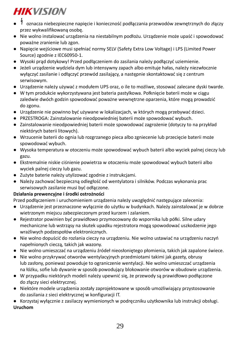- oznacza niebezpieczne napięcie i konieczność podłączania przewodów zewnętrznych do złączy przez wykwalifikowaną osobę.
- Nie wolno instalować urządzenia na niestabilnym podłożu. Urządzenie może upaść i spowodować poważne zranienie lub zgon.
- Napięcie wejściowe musi spełniać normy SELV (Safety Extra Low Voltage) i LPS (Limited Power Source) zgodnie z IEC60950-1.
- Wysoki prąd dotykowy! Przed podłączeniem do zasilania należy podłączyć uziemienie.
- Jeżeli urządzenie wydziela dym lub intensywny zapach albo emituje hałas, należy niezwłocznie wyłączyć zasilanie i odłączyć przewód zasilający, a następnie skontaktować się z centrum serwisowym.
- Urządzenie należy używać z modułem UPS oraz, o ile to możliwe, stosować zalecane dyski twarde.
- W tym produkcie wykorzystywana jest bateria pastylkowa. Połknięcie baterii może w ciągu zaledwie dwóch godzin spowodować poważne wewnętrzne oparzenia, które mogą prowadzić do zgonu.
- Urządzenie nie powinno być używane w lokalizacjach, w których mogą przebywać dzieci.
- PRZESTROGA: Zainstalowanie nieodpowiedniej baterii może spowodować wybuch.
- Zainstalowanie nieodpowiedniej baterii może spowodować zagrożenie (dotyczy to na przykład niektórych baterii litowych).
- Wrzucenie baterii do ognia lub rozgrzanego pieca albo zgniecenie lub przecięcie baterii może spowodować wybuch.
- Wysoka temperatura w otoczeniu może spowodować wybuch baterii albo wyciek palnej cieczy lub gazu.
- Ekstremalnie niskie ciśnienie powietrza w otoczeniu może spowodować wybuch baterii albo wyciek palnej cieczy lub gazu.
- Zużyte baterie należy utylizować zgodnie z instrukcjami.
- Należy zachować bezpieczną odległość od wentylatora i silników. Podczas wykonania prac serwisowych zasilanie musi być odłączone.

## **Działania prewencyjne i środki ostrożności**

Przed podłączeniem i uruchomieniem urządzenia należy uwzględnić następujące zalecenia:

- Urządzenie jest przeznaczone wyłącznie do użytku w budynkach. Należy zainstalować je w dobrze wietrzonym miejscu zabezpieczonym przed kurzem i zalaniem.
- Rejestrator powinien być prawidłowo przymocowany do wspornika lub półki. Silne udary mechaniczne lub wstrząsy na skutek upadku rejestratora mogą spowodować uszkodzenie jego wrażliwych podzespołów elektronicznych.
- Nie wolno dopuścić do rozlania cieczy na urządzeniu. Nie wolno ustawiać na urządzeniu naczyń napełnionych cieczą, takich jak wazony.
- Nie wolno umieszczać na urządzeniu źródeł nieosłoniętego płomienia, takich jak zapalone świece.
- Nie wolno przykrywać otworów wentylacyjnych przedmiotami takimi jak gazety, obrusy lub zasłony, ponieważ powoduje to ograniczenie wentylacji. Nie wolno umieszczać urządzenia na łóżku, sofie lub dywanie w sposób powodujący blokowanie otworów w obudowie urządzenia.
- W przypadku niektórych modeli należy upewnić się, że przewody są prawidłowo podłączone do złączy sieci elektrycznej.
- Niektóre modele urządzenia zostały zaprojektowane w sposób umożliwiający przystosowanie do zasilania z sieci elektrycznej w konfiguracji IT.

● Korzystaj wyłącznie z zasilaczy wymienionych w podręczniku użytkownika lub instrukcji obsługi. **Uruchom**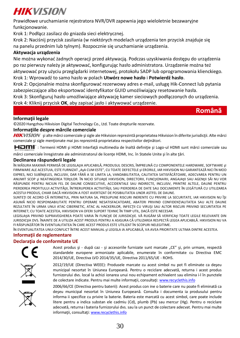Prawidłowe uruchamianie rejestratora NVR/DVR zapewnia jego wieloletnie bezawaryjne funkcionowanie.

Krok 1: Podłącz zasilacz do gniazda sieci elektrycznej.

Krok 2: Naciśnij przycisk zasilania (w niektórych modelach urządzenia ten przycisk znajduje się na panelu przednim lub tylnym). Rozpocznie się uruchamianie urządzenia.

## **Aktywacja urządzenia**

Nie można wykonać żadnych operacji przed aktywacją. Podczas uzyskiwania dostępu do urządzenia po raz pierwszy należy je aktywować, konfigurując hasło administratora. Urządzenie można też aktywować przy użyciu przeglądarki internetowej, protokołu SADP lub oprogramowania klienckiego. Krok 1: Wprowadź to samo hasło w polach **Utwórz nowe hasło** i **Potwierdź hasło**.

Krok 2: Opcjonalnie można skonfigurować rezerwowy adres e-mail, usługę Hik-Connect lub pytania zabezpieczające albo eksportować identyfikator GUID umożliwiający resetowanie hasła.

Krok 3: Skonfiguruj hasło umożliwiające aktywację kamer sieciowych podłączonych do urządzenia. Krok 4: Kliknij przycisk **OK**, aby zapisać jasło i aktywować urządzenie.

## **Română**

#### **Informaţii legale**

© 2020 Hangzhou Hikvision Digital Technology Co., Ltd. Toate drepturile rezervate.

#### **Informaţiile despre mărcile comerciale**

HIKVISION și alte mărci comerciale și sigle ale Hikvision reprezintă proprietatea Hikvision în diferite iurisdictii. Alte mărci comerciale și sigle menționate mai jos reprezintă proprietatea respectivilor deținători.

HOMI": Termenii HDMI și HDMI Interfață multimedia de înaltă definiție și Logo-ul HDMI sunt mărci comerciale sau

mărci comerciale înregistrate ale administratorul de licente HDMI, Inc. în Statele Unite și în alte țări.

### **Declinarea răspunderii legale**

ÎN MĂSURA MAXIMĂ PERMISĂ DE LEGISLAţIA APLICABILĂ, PRODUSUL DESCRIS, ÎMPREUNĂ CU COMPONENTELE HARDWARE, SOFTWARE şI FIRMWARE ALE ACESTUIA, ESTE FURNIZAT "AşA CUM ESTE", CU TOATE DEFECTELE și ERORILE, IAR HIKVISION NU GARANTEAZĂ NICI ÎN MOD EXPRES, NICI SUBÎNţELES, INCLUSIV, DAR FĂRĂ A SE LIMITA LA, VANDABILITATEA, CALITATEA SATISFĂCĂTOARE, ADECVAREA PENTRU UN ANUMIT SCOP 51 NEATINGEREA TERţILOR. ÎN NICIO SITUAţIE HIKVISION, DIRECTORII, FUNCţIONARII, ANGAJAţII SAU AGENţII SĂI NU VOR RĂSPUNDE PENTRU NICIUN FEL DE DAUNE CONSECUTIVE, ACCIDENTALE SAU INDIRECTE, INCLUSIV, PRINTRE ALTELE, DAUNE PENTRU PIERDEREA PROFITULUI ACTIVITĂții, ÎNTRERUPEREA ACTIVITĂții, SAU PIERDEREA DE DATE SAU DOCUMENTE ÎN LEGĂTURĂ CU UTILIZAREA ACESTUI PRODUS, CHIAR DACĂ HIKVISION A FOST AVERTIZAT DE POSIBILITATEA UNOR ASTFEL DE DAUNE.

SUNTEŢI DE ACORD CĂ INTERNETUL, PRIN NATURA SA, PRESUPUNE RISCURI INERENTE CU PRIVIRE LA SECURITATE, IAR HIKVISION NU ÎŞI ASUMĂ NICIO RESPONSABILITATE PENTRU OPERARE NESATISFACATOARE, ABATERI PRIVIND CONFIDENŢIALITATEA SAU ALTE DAUNE REZULTATE ÎN URMA UNUI ATAC CIBERNETIC, ATAC AL HACKERILOR, INFECŢII CU VIRUŞI SAU ALTOR RISCURI PRIVIND SECURITATEA PE INTERNET; CU TOATE ACESTEA, HIKVISION VA OFERI SUPORT TEHNIC ÎN TIMP UTIL, DACĂ ESTE NECESAR.

LEGISLAţIA PRIVIND SUPRAVEGHEREA POATE VARIA ÎN FUNCţIE DE JURISDICţIE. VĂ RUGĂM SĂ VERIFICAţI TOATE LEGILE RELEVANTE DIN JURISDICţIA DVS. ÎNAINTE DE A UTILIZA ACEST PRODUS PENTRU A ASIGURA CĂ UTILIZAREA RESPECTĂ LEGEA APLICABILĂ. HIKVISION NU VA FI RĂSPUNZĂTOR ÎN EVENTUALITATEA ÎN CARE ACEST PRODUS ESTE UTILIZAT ÎN SCOPURI NELEGITIME.

ÎN EVENTUALITATEA UNUI CONFLICT ÎNTRE ACEST MANUAL şI LEGISLA IA APLICABILĂ, VA AVEA PRIORITATE ULTIMA DINTRE ACESTEA.

#### **Informaţii de reglementare**

#### **Declaraţia de conformitate UE**

![](_page_30_Picture_22.jpeg)

Acest produs și - după caz - și accesoriile furnizate sunt marcate "CE" și, prin urmare, respectă standardele europene armonizate aplicabile, enumerate în conformitate cu Directiva EMC 2014/30/UE, Directiva LVD 2014/35/UE, Directiva 2011/65/UE - ROHS.

![](_page_30_Picture_24.jpeg)

2012/19/UE (Directiva WEEE): Produsele marcate cu acest simbol nu pot fi eliminate ca deşeu municipal nesortat în Uniunea Europeană. Pentru o reciclare adecvată, returna i acest produs furnizorului dvs. local la achizi ionarea unui nou echipament echivalent sau elimina i-l în punctele de colectare indicate. Pentru mai multe informații, consultaț[i: www.recyclethis.info](http://www.recyclethis.info/)

![](_page_30_Picture_26.jpeg)

2006/66/CE (Directiva pentru baterii): Acest produs con ine o baterie care nu poate fi eliminată ca deşeu municipal nesortat în Uniunea Europeană. Consulta i documenta ia produsului pentru informa ii specifice cu privire la baterie. Bateria este marcată cu acest simbol, care poate include litere pentru a indica substan ele cadmiu (Cd), plumb (Pb) sau mercur (Hg). Pentru o reciclare adecvată, returna i bateria furnizorului dvs. sau la un punct de colectare adecvat. Pentru mai multe informaţii, consultaţ[i: www.recyclethis.info](http://www.recyclethis.info/)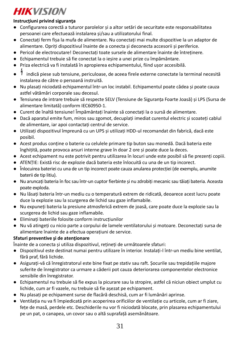## **Instrucţiuni privind siguranţa**

- Configurarea corectă a tuturor parolelor şi a altor setări de securitate este responsabilitatea persoanei care efectuează instalarea şi/sau a utilizatorului final.
- Conectati ferm fisa la mufa de alimentare. Nu conectati mai multe dispozitive la un adaptor de alimentare. Opriti dispozitivul înainte de a conecta și deconecta accesorii și periferice.
- Pericol de electrocutare! Deconectati toate sursele de alimentare înainte de întretinere.
- Echipamentul trebuie să fie conectat la o ieşire a unei prize cu împământare.
- Priza electrică va fi instalată în apropierea echipamentului, fiind uşor accesibilă.
- indică piese sub tensiune, periculoase, de aceea firele externe conectate la terminal necesită instalarea de către o persoană instruită.
- Nu plasaţi niciodată echipamentul într-un loc instabil. Echipamentul poate cădea şi poate cauza astfel vătămări corporale sau decesul.
- Tensiunea de intrare trebuie să respecte SELV (Tensiune de Siguranţa Foarte Joasă) şi LPS (Sursa de alimentare limitată) conform IEC60950-1.
- Curent de înaltă tensiune! Împământaţi înainte să conectaţi la o sursă de alimentare.
- Dacă aparatul emite fum, miros sau zgomot, decuplați imediat curentul electric și scoateti cablul de alimentare, iar apoi contactati centrul de service.
- Utilizati dispozitivul împreună cu un UPS și utilizați HDD-ul recomandat din fabrică, dacă este posibil.
- Acest produs contine o baterie cu celulele primare tip buton sau monedă. Dacă bateria este înghiţită, poate provoca arsuri interne grave în doar 2 ore şi poate duce la deces.
- Acest echipament nu este potrivit pentru utilizarea în locuri unde este posibil să fie prezenti copiii.
- ATENŢIE: Există risc de explozie dacă bateria este înlocuită cu una de un tip incorect.
- Înlocuirea bateriei cu una de un tip incorect poate cauza anularea protectiei (de exemplu, anumite baterii de tip litiu).
- Nu aruncati bateria în foc sau într-un cuptor fierbinte și nu zdrobiti mecanic sau tăiați bateria. Aceasta poate exploda.
- Nu lăsati bateria într-un mediu cu o temperatură extrem de ridicată, deoarece acest lucru poate duce la explozie sau la scurgerea de lichid sau gaze inflamabile.
- Nu expuneţi bateria la presiune atmosferică extrem de joasă, care poate duce la explozie sau la scurgerea de lichid sau gaze inflamabile.
- Eliminaţi bateriile folosite conform instrucţiunilor
- Nu vă atingeți cu nicio parte a corpului de lamele ventilatorului și motoare. Deconectați sursa de alimentare înainte de a efectua operațiuni de service.

### **Sfaturi preventive şi de atenţionare**

Înainte de a conecta și utiliza dispozitivul, rețineți de următoarele sfaturi:

- Dispozitivul este destinat numai pentru utilizare în interior. Instalaţi-l într-un mediu bine ventilat, fără praf, fără lichide.
- Asigurati-vă că înregistratorul este bine fixat pe stativ sau raft. Socurile sau trepidațiile majore suferite de înregistrator ca urmare a căderii pot cauza deteriorarea componentelor electronice sensibile din înregistrator.
- Echipamentul nu trebuie să fie expus la picurare sau la stropire, astfel că niciun obiect umplut cu lichide, cum ar fi vazele, nu trebuie să fie aşezat pe echipament.
- Nu plasaţi pe echipament surse de flacără deschisă, cum ar fi lumânări aprinse.
- Ventilatia nu va fi împiedicată prin acoperirea orificiilor de ventilație cu articole, cum ar fi ziare, feţe de masă, perdele etc. Deschiderile nu vor fi niciodată blocate, prin plasarea echipamentului pe un pat, o canapea, un covor sau o altă suprafață asemănătoare.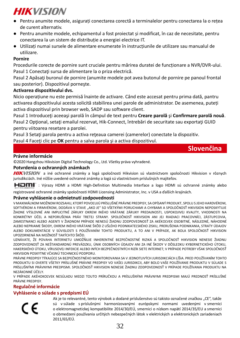- Pentru anumite modele, asigurati conectarea corectă a terminalelor pentru conectarea la o retea de curent alternativ.
- Pentru anumite modele, echipamentul a fost proiectat şi modificat, în caz de necesitate, pentru conectarea la un sistem de distributie a energiei electrice IT.
- Utilizati numai sursele de alimentare enumerate în instrucțiunile de utilizare sau manualul de utilizare.

## **Pornire**

Procedurile corecte de pornire sunt cruciale pentru mărirea duratei de functionare a NVR/DVR-ului. Pasul 1 Conectati sursa de alimentare la o priza electrică.

Pasul 2 Apăsați buronul de pornire (anumite modele pot avea butonul de pornire pe panoul frontal sau posterior). Dispozitivul porneşte.

### **Activarea dispozitivului dvs.**

Nicio operatiune nu este permisă înainte de activare. Când este accesat pentru prima dată, pantru activarea dispozitivului acesta solicită stabilirea unei parole de administrator. De asemenea, puteți activa dispozitivul prin browser web, SADP sau software client.

Pasul 1 Introduceți aceeași parolă în câmpul de text pentru **Creare parolă** și **Confirmare parolă nouă**. Pasul 2 Optional, setați emailul rezervat, Hik-Connect, întrebări de securitate sau exportați GUID pentru viitoarea resetare a parolei.

Pasul 3 Setați parola pentru a activa rețeaua camerei (camerelor) conectate la dispozitiv.

Pasul 4 Faceti clic pe **OK** pentru a salva parola și a activa dispozitivul.

## **Slovenčina**

### **Právne informácie**

©2020 Hangzhou Hikvision Digital Technology Co., Ltd. Všetky práva vyhradené.

#### **Potvrdenia o ochranných známkach**

HIKVISION a iné ochranné známky a logá spoločnosti Hikvision sú vlastníctvom spoločnosti Hikvision v rôznych jurisdikciách. Iné nižšie uvedené ochranné známky a logá sú vlastníctvom príslušných majiteľov.

: Výrazy HDMI a HDMI High-Definition Multimedia Interface a logo HDMI sú ochranné známky alebo

registrované ochranné známky spoločnosti HDMI Licensing Administrator, Inc. v USA a ďalších krajinách.

#### **Právne vyhlásenie o odmietnutí zodpovednosti**

V MAXIMÁLNOM MOŽNOM ROZSAHU, KTORÝ POVOĽUJÚ PRÍSLUŠNÉ PRÁVNE PREDPISY, SA OPÍSANÝ PRODUKT, SPOLU S JEHO HARDVÉROM, SOFTVÉROM A FIRMVÉROM, DODÁVA V STAVE "AKO JE" SO VŠETKÝMI PORUCHAMI A CHYBAMI A SPOLOČNOSŤ HIKVISION NEPOSKYTUJE ŽIADNE VÝSLOVNÉ ANI IMPLICITNÉ ZÁRUKY OKREM INÉHO VRÁTANE ZÁRUKY PREDAJNOSTI, USPOKOJIVEJ KVALITY, VHODNOSTI NA KONKRÉTNY ÚČEL A NEPORUŠENIA PRÁV TRETEJ STRANY. SPOLOČNOSŤ HIKVISION ANI JEJ RIADIACI PRACOVNÍCI, ZÁSTUPCOVIA, ZAMESTNANCI ALEBO AGENTI V ŽIADNOM PRÍPADE NENESÚ ŽIADNU ZODPOVEDNOSŤ ZA AKÉKOĽVEK OSOBITNÉ, NÁSLEDNÉ, NÁHODNÉ ALEBO NEPRIAME ŠKODY, OKREM INÉHO VRÁTANE ŠKȎD Z UŠLÉHO PODNIKATEĽSKÉHO ZISKU, PRERUŠENIA PODNIKANIA, STRATY ÚDAJOV ALEBO DOKUMENTÁCIE V SÚVISLOSTI S POUŽÍVANÍM TOHTO PRODUKTU, A TO ANI V PRÍPADE, AK BOLA SPOLOČNOSŤ HIKVISION UPOZORNENÁ NA MOŽNOSŤ TAKÝCHTO ŠKÔD

UZNÁVATE, ŽE POVAHA INTERNETU UMOŽŇUJE INHERENTNÉ BEZPEČNOSTNÉ RIZIKÁ A SPOLOČNOSŤ HIKVISION NENESIE ŽIADNU ZODPOVEDNOSŤ ZA NEŠTANDARDNÚ PREVÁDZKU, ÚNIK OSOBNÝCH ÚDAJOV ANI ZA INÉ ŠKODY V DÔSLEDKU KYBERNETICKÉHO ÚTOKU, HAKERSKÉHO ÚTOKU, VÍRUSOVEJ INFEKCIE ALEBO INÝCH BEZPEČNOSTNÝCH RIZÍK SIETE INTERNET; V PRÍPADE POTREBY VŠAK SPOLOČNOSŤ HIKVISION POSKYTNE VČASNÚ TECHNICKÚ PODPORU.

PRÁVNE PREDPISY TÝKAJÚCE SA BEZPEČNOSTNÉHO MONITOROVANIA SA V JEDNOTLIVÝCH JURISDIKCIÁCH LÍŠIA. PRED POUŽÍVANÍM TOHTO PRODUKTU SI OVERTE VŠETKY PRÍSLUŠNÉ PRÁVNE PREDPISY VO VAŠEJ JURISDIKCII, ABY BOLO VAŠE POUŽÍVANIE PRODUKTU V SÚLADE S PRÍSLUŠNÝMI PRÁVNYMI PREDPISMI. SPOLOČNOSŤ HIKVISION NENESIE ŽIADNU ZODPOVEDNOSŤ V PRÍPADE POUŽÍVANIA PRODUKTU NA NEZÁKONNÉ ÚČELY.

V PRÍPADE AKÉHOKOĽVEK NESÚLADU MEDZI TOUTO PRÍRUČKOU A PRÍSLUŠNÝMI PRÁVNYMI PREDPISMI MAJÚ PREDNOSŤ PRÍSLUŠNÉ PRÁVNE PREDPISY.

## **Regulačné informácie**

**Vyhlásenie o súlade s predpismi EÚ**

Ak je to relevantné, tento výrobok a dodané príslušenstvo sú takisto označené značkou "CE", takže sú v súlade s príslušnými harmonizovanými európskymi normami uvedenými v smernici o elektromagnetickej kompatibilite 2014/30/EÚ, smernici o nízkom napätí 2014/35/EU a smernici o obmedzení používania určitých nebezpečných látok v elektrických a elektronických zariadeniach 2011/65/EÚ.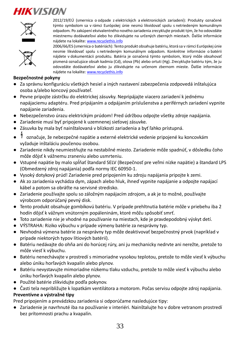![](_page_33_Picture_1.jpeg)

![](_page_33_Picture_2.jpeg)

2012/19/EÚ (smernica o odpade z elektrických a elektronických zariadení): Produkty označené týmto symbolom sa v rámci Európskej únie nesmú likvidovať spolu s netriedeným komunálnym odpadom. Po zakúpení ekvivalentného nového zariadenia zrecyklujte produkt tým, že ho odovzdáte miestnemu dodávateľovi alebo ho zlikvidujete na určených zberných miestach. Ďalšie informácie nájdete na lokalit[e: www.recyclethis.info](http://www.recyclethis.info/)

2006/66/ES (smernica o batériách): Tento produkt obsahuje batériu, ktorá sa v rámci Európskej únie nesmie likvidovať spolu s netriedeným komunálnym odpadom. Konkrétne informácie o batérii nájdete v dokumentácii produktu. Batéria je označená týmto symbolom, ktorý môže obsahovať písmená označujúce obsah kadmia (Cd), olova (Pb) alebo ortuti (Hg). Zrecyklujte batériu tým, že ju odovzdáte dodávateľovi alebo ju zlikvidujete na určenom zbernom mieste. Ďalšie informácie nájdete na lokalit[e: www.recyclethis.info](http://www.recyclethis.info/)

### **Bezpečnostné pokyny**

- Za správnu konfiguráciu všetkých hesiel a iných nastavení zabezpečenia zodpovedá inštalujúca osoba a/alebo koncový používateľ.
- Pevne pripojte zástrčku do elektrickej zásuvky. Nepripájajte viacero zariadení k jednému napájaciemu adaptéru. Pred pripájaním a odpájaním príslušenstva a periférnych zariadení vypnite napájanie zariadenia.
- Nebezpečenstvo úrazu elektrickým prúdom! Pred údržbou odpojte všetky zdroje napájania.
- Zariadenie musí byť pripojené k uzemnenej sieťovej zásuvke.
- Zásuvka by mala byť nainštalovaná v blízkosti zariadenia a byť ľahko prístupná.
- označuje, že nebezpečné napätie a externé elektrické vedenie pripojené ku koncovkám vyžaduje inštaláciu poučenou osobou.
- Zariadenie nikdy neumiestňujte na nestabilné miesto. Zariadenie môže spadnúť, v dôsledku čoho môže dôjsť k vážnemu zraneniu alebo usmrteniu.
- Vstupné napätie by malo spĺňať štandard SELV (Bezpečnosť pre veľmi nízke napätie) a štandard LPS (Obmedzený zdroj napájania) podľa normy IEC 60950-1.
- Vysoký dotykový prúd! Zariadenie pred pripojením ku zdroju napájania pripojte k zemi.
- Ak zo zariadenia vychádza dym, zápach alebo hluk, ihneď vypnite napájanie a odpojte napájací kábel a potom sa obráťte na servisné stredisko.
- Zariadenie používajte spolu so záložným napájacím zdrojom, a ak je to možné, používajte výrobcom odporúčaný pevný disk.
- Tento produkt obsahuje gombíkovú batériu. V prípade prehltnutia batérie môže v priebehu iba 2 hodín dôjsť k vážnym vnútorným popáleninám, ktoré môžu spôsobiť smrť.
- Toto zariadenie nie je vhodné na používanie na miestach, kde je pravdepodobný výskyt detí.
- VÝSTRAHA: Riziko výbuchu v prípade výmeny batérie za nesprávny typ.
- Nevhodná výmena batérie za nesprávny typ môže deaktivovať bezpečnostný prvok (napríklad v prípade niektorých typov lítiových batérií).
- Batériu nedávajte do ohňa ani do horúcej rúry, ani ju mechanicky nedrvte ani nerežte, pretože to môže viesť k výbuchu.
- Batériu nenechávajte v prostredí s mimoriadne vysokou teplotou, pretože to môže viesť k výbuchu alebo úniku horľavých kvapalín alebo plynov.
- Batériu nevystavujte mimoriadne nízkemu tlaku vzduchu, pretože to môže viesť k výbuchu alebo úniku horľavých kvapalín alebo plynov.
- Použité batérie zlikvidujte podľa pokynov.
- Časti tela nepribližujte k lopatkám ventilátora a motorom. Počas servisu odpojte zdroj napájania.

## **Preventívne a výstražné tipy**

Pred pripojením a prevádzkou zariadenia si odporúčame nasledujúce tipy:

● Zariadenie je navrhnuté iba na používanie v interiéri. Nainštalujte ho v dobre vetranom prostredí bez prítomnosti prachu a kvapalín.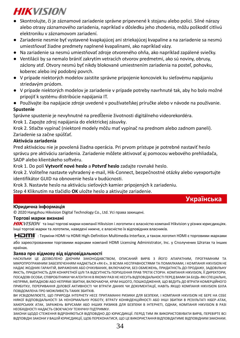- Skontrolujte, či je záznamové zariadenie správne pripevnené k stojanu alebo polici. Silné nárazy alebo otrasy záznamového zariadenia, napríklad v dôsledku jeho zhodenia, môžu poškodiť citlivú elektroniku v záznamovom zariadení.
- Zariadenie nesmie byť vystavené kvapkajúcej ani striekajúcej kvapaline a na zariadenie sa nesmú umiestňovať žiadne predmety naplnené kvapalinami, ako napríklad vázy.
- Na zariadenie sa nesmú umiestňovať zdroje otvoreného ohňa, ako napríklad zapálené sviečky.
- Ventilácii by sa nemalo brániť zakrytím vetracích otvorov predmetmi, ako sú noviny, obrusy, záclony atď. Otvory nesmú byť nikdy blokované umiestnením zariadenia na posteľ, pohovku, koberec alebo iný podobný povrch.
- V prípade niektorých modelov zaistite správne pripojenie koncoviek ku sieťovému napájaniu striedavým prúdom.
- V prípade niektorých modelov je zariadenie v prípade potreby navrhnuté tak, aby ho bolo možné pripojiť k systému distribúcie napájania IT.
- Používajte iba napájacie zdroje uvedené v používateľskej príručke alebo v návode na používanie. **Spustenie**

Správne spustenie je nevyhnutné na predĺženie životnosti digitálneho videorekordéra.

Krok 1. Zapojte zdroj napájania do elektrickej zásuvky.

Krok 2. Stlačte vypínač (niektoré modely môžu mať vypínač na prednom alebo zadnom paneli). Zariadenie sa začne spúšťať.

## **Aktivácia zariadenia**

Pred aktiváciou nie je povolená žiadna operácia. Pri prvom prístupe je potrebné nastaviť heslo správcu pre aktiváciu zariadenia. Zariadenie môžete aktivovať aj pomocou webového prehliadača, SADP alebo klientskeho softvéru.

Krok 1. Do polí **Vytvoriť nové heslo** a **Potvrď heslo** zadajte rovnaké heslo.

Krok 2. Voliteľne nastavte vyhradený e-mail, Hik-Connect, bezpečnostné otázky alebo vyexportujte identifikátor GUID na obnovenie hesla v budúcnosti.

Krok 3. Nastavte heslo na aktiváciu sieťových kamier pripojených k zariadeniu.

Step 4 Kliknutím na tlačidlo **OK** uložte heslo a aktivujte zariadenie.

## **Українська**

### **Юридична інформація**

© 2020 Hangzhou Hikvision Digital Technology Co., Ltd. Усі права захищені.

#### **Торгові марки визнані**

HIKVISION та інші торгові марки компанії Hikvision і логотипи є власністю компанії Hikvision у різних юрисдикціях. Інші торгові марки та логотипи, наведені нижче, є власністю їх відповідних власників.

: Терміни HDMI та HDMI High-Definition Multimedia Interface, а також логотип HDMI є торговими марками

або зареєстрованими торговими марками компанії HDMI Licensing Administrator, Inc. у Сполучених Штатах та інших країнах.

#### **Заява про відмову від відповідальності**

НАСКІЛЬКИ ЦЕ ДОЗВОЛЕНО ДІЮЧИМ ЗАКОНОДАВСТВОМ, ОПИСАНИЙ ВИРІБ З ЙОГО АПАРАТНИМ, ПРОГРАМНИМ ТА МІКРОПРОГРАМНИМ ЗАБЕЗПЕЧЕННЯМ НАДАЄТЬСЯ «ЯК Є», ЗІ ВСІМА НЕСПРАВНОСТЯМИ ТА ПОМИЛКАМИ, І КОМПАНІЯ HIKVISION НЕ НАДАЄ ЖОДНИХ ГАРАНТІЙ, ВИРАЖЕНИХ АБО ОЧІКУВАНИХ, ВКЛЮЧАЮЧИ, БЕЗ ОБМЕЖЕНЬ, ПРИДАТНІСТЬ ДО ПРОДАЖУ, ЗАДОВІЛЬНУ ЯКІСТЬ, ПРИДАТНІСТЬ ДЛЯ КОНКРЕТНОЇ ЦІЛІ ТА ВІДСУТНІСТЬ ПОРУШЕННЯ ПРАВ ТРЕТІХ СТОРІН. КОМПАНІЯ HIKVISION, ЇЇ ДИРЕКТОРИ, ПОСАДОВІ ОСОБИ, СПІВРОБІТНИКИ ЧИ АГЕНТИ НІ В ЯКОМУ РАЗІ НЕ НЕСУТЬ ВІДПОВІДАЛЬНОСТІ ПЕРЕД ВАМИ ЗА БУДЬ-ЯКІ СПЕЦІАЛЬНІ, НЕПРЯМІ, ВИПАДКОВІ АБО НЕПРЯМІ ЗБИТКИ, ВКЛЮЧАЮЧИ, КРІМ ІНШОГО, ПОШКОДЖЕННЯ, ЩО ВЕДУТЬ ДО ВТРАТИ КОМЕРЦІЙНОГО ПРИБУТКУ, ПЕРЕРИВАННЯ ДІЛОВОЇ АКТИВНОСТІ ЧИ ВТРАТИ ДАНИХ ЧИ ДОКУМЕНТАЦІЇ, НАВІТЬ ЯКЩО КОМПАНІЯ HIKVISION БУЛА ПОВІДОМЛЕНА ПРО МОЖЛИВІСТЬ ТАКИХ ЗБИТКІВ.

ВИ УСВІДОМЛЮЄТЕ, ЩО ПРИРОДА ІНТЕРНЕТУ НЕСЕ ПРИТАМАННІ РИЗИКИ ДЛЯ БЕЗПЕКИ, І КОМПАНІЯ HIKVISION НЕ БЕРЕ НА СЕБЕ НІЯКОЇ ВІДПОВІДАЛЬНОСТІ ЗА НЕНОРМАЛЬНУ РОБОТУ, ВТРАТУ КОНФІДЕНЦІЙНОСТІ АБО ІНШІ ЗБИТКИ В РЕЗУЛЬТАТІ КІБЕР-АТАК, ХАКЕРСЬКИХ АТАК, ЗАРАЖЕНЬ ВІРУСАМИ АБО ІНШИХ РИЗИКІВ ДЛЯ БЕЗПЕКИ В ІНТЕРНЕТІ, ОДНАК, КОМПАНІЯ HIKVISION В РАЗІ НЕОБХІДНОСТІ НАДАСТЬ СВОЄЧАСНУ ТЕХНІЧНУ ПІДТРИМКУ.

ЗАКОНИ ЩОДО СТЕЖЕННЯ ВІДРІЗНЯЮТЬСЯ ВІДПОВІДНО ДО ЮРИСДИКЦІЇ. ПЕРЕД ТИМ ЯК ВИКОРИСТОВУВАТИ ВИРІБ, ПЕРЕВІРТЕ ВСІ ВІДПОВІДНІ ЗАКОНИ У ВАШІЙ ЮРИСДИКЦІЇ, ЩОБ ПЕРЕКОНАТИСЯ, ЩО ЦЕ ВИКОРИСТАННЯ ВІДПОВІДАТИМЕ ВІДПОВІДНИМ ЗАКОНАМ.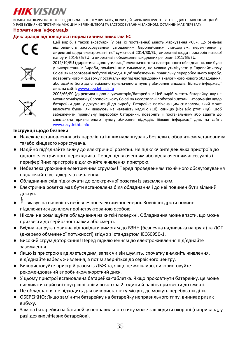КОМПАНІЯ HIKVISION НЕ НЕСЕ ВІДПОВІДАЛЬНОСТІ У ВИПАДКУ, КОЛИ ЦЕЙ ВИРІБ ВИКОРИСТОВУЄТЬСЯ ДЛЯ НЕЗАКОННИХ ЦІЛЕЙ. У РАЗІ БУДЬ-ЯКИХ ПРОТИРІЧЬ МІЖ ЦИМ КЕРІВНИЦТВОМ ТА ЗАСТОСОВУВАНИМ ЗАКОНОМ, ОСТАННІЙ МАЄ ПЕРЕВАГУ.

#### **Нормативна інформація**

### **Декларація відповідності нормативним вимогам ЄС**

![](_page_35_Picture_4.jpeg)

Цей виріб, а також аксесуари (у разі їх постачання) мають маркування «CE», що означає відповідність застосовуваним узгодженим Європейським стандартам, переліченим у директиві щодо електромагнітної сумісності 2014/30/EU, директиві щодо пристроїв низької напруги 2014/35/EU та директиві з обмеження шкідливих речовин 2011/65/EU.

![](_page_35_Picture_6.jpeg)

2012/19/EU (директива щодо утилізації електричного та електронного обладнання, яке було у використанні): Вироби, помічені цим символом, не можна утилізувати у Європейському Союзі як несортовані побутові відходи. Щоб забезпечити правильну переробку цього виробу, поверніть його місцевому постачальнику під час придбання аналогічного нового обладнання, або здайте його до спеціально призначеного пункту збирання відходів. Більше інформації див. на сайт[і: www.recyclethis.info](http://www.recyclethis.info/)

![](_page_35_Picture_8.jpeg)

2006/66/EC (директива щодо акумуляторів/батарейок): Цей виріб містить батарейку, яку не можна утилізувати у Європейському Союзі як несортовані побутові відходи. Інформацію щодо батарейки див. у документації до виробу. Батарейка помічена цим символом, який може включати букви, які вказують на наявність кадмію (Cd), свинцю (Pb) або ртуті (Hg). Щоб забезпечити правильну переробку батарейки, поверніть її постачальнику або здайте до спеціально призначеного пункту збирання відходів. Більше інформації див. на сайті: [www.recyclethis.info](http://www.recyclethis.info/)

#### **Інструкції щодо безпеки**

- Належне встановлення всіх паролів та інших налаштувань безпеки є обов'язком установника та/або кінцевого користувача.
- Надійно під'єднайте вилку до електричної розетки. Не підключайте декілька пристроїв до одного електричного перехідника. Перед підключенням або відключенням аксесуарів і периферійних пристроїв відключайте живлення пристрою.
- Небезпека ураження електричним струмом! Перед проведенням технічного обслуговування відключайте всі джерела живлення.
- Обладнання слід підключати до електричної розетки із заземленням.
- Електрична розетка має бути встановлена біля обладнання і до неї повинен бути вільний доступ.
- вказує на наявність небезпечної електричної енергії. Зовнішні дроти повинні підключатися до клем проінструктованою особою.
- Ніколи не розміщуйте обладнання на хиткій поверхні. Обладнання може впасти, що може призвести до серйозної травми або смерті.
- Вхідна напруга повинна відповідати вимогам до БЗНН (безпечна наднизька напруга) та ДОП (джерело обмеженої потужності) згідно зі стандартом IEC60950-1.
- Високий струм доторкання! Перед підключенням до електроживлення під'єднайте заземлення.
- Якщо із пристрою виділяється дим, запах чи він шумить, спочатку вимкніть живлення, від'єднайте кабель живлення, а потім зверніться до сервісного центру.
- Використовуйте пристрій разом із ДБЖ та, якщо це можливо, використовуйте рекомендований виробником жорсткий диск.
- У цьому пристрої встановлена батарейка-таблетка. Якщо проковтнути батарейку, це може викликати серйозні внутрішні опіки всього за 2 години й навіть призвести до смерті.
- Це обладнання не підходить для використання у місцях, де можуть перебувати діти.
- ОБЕРЕЖНО: Якщо замінити батарейку на батарейку неправильного типу, виникає ризик вибуху.
- Заміна батарейки на батарейку неправильного типу може зашкодити охороні (наприклад, у разі деяких літієвих батарейок).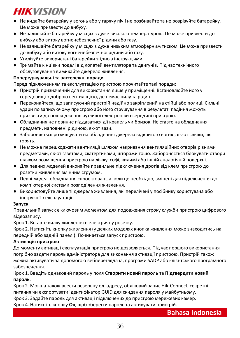- Не кидайте батарейку у вогонь або у гарячу піч і не розбивайте та не розрізуйте батарейку. Це може призвести до вибуху.
- Не залишайте батарейку у місцях з дуже високою температурою. Це може призвести до вибуху або витоку вогненебезпечної рідини або газу.
- Не залишайте батарейку у місцях з дуже низьким атмосферним тиском. Це може призвести до вибуху або витоку вогненебезпечної рідини або газу.
- Утилізуйте використані батарейки згідно з інструкціями.
- Тримайте кінцівки подалі від лопатей вентилятора та двигунів. Під час технічного обслуговування вимикайте джерело живлення.

### **Попереджувальні та застережні поради**

Перед підключенням та експлуатацією пристрою прочитайте такі поради:

- Пристрій призначений для використання лише у приміщенні. Встановлюйте його у середовищі з доброю вентиляцією, де немає пилу та рідин.
- Переконайтеся, що записуючий пристрій надійно закріплений на стійці або полиці. Сильні удари по записуючому пристрою або його струшування в результаті падіння можуть призвести до пошкодження чутливої електроніки всередині пристрою.
- Обладнання не повинне піддаватися дії крапель чи бризок. Не ставте на обладнання предмети, наповнені рідиною, як-от вази.
- Забороняється розміщувати на обладнанні джерела відкритого вогню, як-от свічки, які горять.
- Не можна перешкоджати вентиляції шляхом накривання вентиляційних отворів різними предметами, як-от газетами, скатертинами, шторами тощо. Забороняється блокувати отвори шляхом розміщення пристрою на ліжку, софі, килимі або іншій аналогічній поверхні.
- Для певних моделей виконайте правильне підключення дротів від клем пристрою до розетки живлення змінним струмом.
- Певні моделі обладнання спроектовані, а коли це необхідно, змінені для підключення до комп'ютерної системи розподілення живлення.
- Використовуйте лише ті джерела живлення, які перелічені у посібнику користувача або інструкції з експлуатації.

#### **Запуск**

Правильний запуск є ключовим моментом для подовження строку служби пристрою цифрового відеозапису.

Крок 1. Вставте вилку живлення в електричну розетку.

Крок 2. Натисніть кнопку живлення (у деяких моделях кнопка живлення може знаходитись на передній або задній панелі). Починається запуск пристрою.

### **Активація пристрою**

До моменту активації експлуатація пристрою не дозволяється. Під час першого використання потрібно задати пароль адміністратора для виконання активації пристрою. Пристрій також можна активувати за допомогою вебпереглядача, програми SADP або клієнтського програмного забезпечення.

Крок 1. Введіть однаковий пароль у поля **Створити новий пароль** та **Підтвердити новий пароль**.

Крок 2. Можна також ввести резервну ел. адресу, обліковий запис Hik-Connect, секретні питання чи експортувати ідентифікатор GUID для скидання пароля у майбутньому.

Крок 3. Задайте пароль для активації підключених до пристрою мережевих камер.

Крок 4. Натисніть кнопку **Ок**, щоб зберегти пароль та активувати пристрій.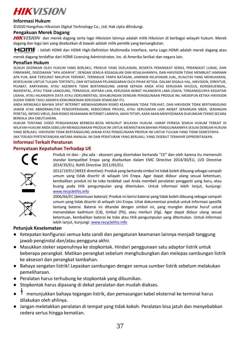![](_page_37_Picture_0.jpeg)

### **Informasi Hukum**

© 2020 Hangzhou Hikvision Digital Technology Co., Ltd. Hak cipta dilindungi.

### **Pengakuan Merek Dagang**

HIKVISION dan merek dagang serta logo Hikvision lainnya adalah milik Hikvision di berbagai wilayah hukum. Merek dagang dan logo lain yang disebutkan di bawah adalah milik pemilik yang bersangkutan.

HOMI": Istilah HDMI dan HDMI High-Definition Multimedia Interface, serta Logo HDMI adalah merek dagang atau

merek dagang terdaftar dari HDMI Licensing Administrator, Inc. di Amerika Serikat dan negara lain.

#### **Penafian Hukum**

SEJAUH DIIZINKAN OLEH HUKUM YANG BERLAKU, PRODUK YANG DIJELASKAN, BESERTA PERANGKAT KERAS, PERANGKAT LUNAK, DAN FIRMWARE, DISEDIAKAN "APA ADANYA", DENGAN SEMUA KEGAGALAN DAN KESALAHANNYA, DAN HIKVISION TIDAK MEMBUAT JAMINAN APA PUN, BAIK TERSURAT MAUPUN TERSIRAT, TERMASUK TANPA BATASAN, JAMINAN KELAYAKAN JUAL, KUALITAS YANG MEMUASKAN, KESESUAIAN UNTUK TUJUAN TERTENTU, DAN KETIADAAN PELANGGARAN OLEH PIHAK KETIGA. DALAM SEGALA HAL, HIKVISION, DIREKTUR, PEJABAT, KARYAWAN, ATAU AGENNYA TIDAK BERTANGGUNG JAWAB KEPADA ANDA ATAS KERUGIAN KHUSUS, KONSEKUENSIAL, INSIDENTAL, ATAU TIDAK LANGSUNG, TERMASUK, ANTARA LAIN, KERUGIAN AKIBAT HILANGNYA LABA USAHA, TERGANGGUNYA KEGIATAN USAHA, ATAU HILANGNYA DATA ATAU DOKUMENTASI, SEHUBUNGAN DENGAN PENGGUNAAN PRODUK INI, MESKIPUN KETIKA HIKVISION SUDAH DIBERI TAHU ADANYA KEMUNGKINAN KERUGIAN SEMACAM ITU.

ANDA MENGAKUI BAHWA SIFAT INTERNET MENGHADIRKAN RISIKO KEAMANAN TIDAK TERLIHAT, DAN HIKVISION TIDAK BERTANGGUNG JAWAB ATAS ABNORMALITAS PENGOPERASIAN, KEBOCORAN PRIVASI, ATAU KERUSAKAN LAIN AKIBAT SERANGAN SIBER, SERANGAN PERETAS, INFEKSI VIRUS, DAN RISIKO KEAMANAN INTERNET LAINNYA; AKAN TETAPI, KAMI AKAN MENYEDIAKAN DUKUNGAN TEKNIS SECARA BERKALA JIKA DIBUTUHKAN.

HUKUM TENTANG VIDEO PENGAWASAN BERBEDA-BEDA MENURUT WILAYAH HUKUM. HARAP PERIKSA SEMUA HUKUM TERKAIT DI WILAYAH HUKUM ANDA SEBELUM MENGGUNAKAN PRODUK INI UNTUK MEMASTIKAN BAHWA PENGGUNAANNYA SESUAI DENGAN HUKUM YANG BERLAKU. HIKVISION TIDAK BERTANGGUNG JAWAB ATAS PENGGUNAAN PRODUK INI UNTUK TUJUAN YANG TIDAK SEMESTINYA. JIKA TERJADI PERTENTANGAN ANTARA MANUAL INI DAN PERATURAN YANG BERLAKU, YANG DISEBUT TERAKHIR DIPRIORITASKAN.

#### **Informasi Terkait Peraturan**

#### **Pernyataan Kepatuhan Terhadap UE**

![](_page_37_Picture_13.jpeg)

Produk ini dan - jika ada - aksesori yang disertakan bertanda "CE" dan oleh karena itu memenuhi standar kompatibel Eropa yang disebutkan dalam EMC Directive 2014/30/EU, LVD Directive 2014/35/EU, RoHS Directive 2011/65/EU.

![](_page_37_Picture_15.jpeg)

2012/19/EU (WEEE directive): Produk yang bertanda simbol ini tidak boleh dibuang sebagai sampah umum yang tidak disortir di wilayah Uni Eropa. Agar dapat didaur ulang sesuai ketentuan, kembalikan produk ini ke toko terdekat saat Anda membeli peralatan pengganti yang baru, atau buang pada titik pengumpulan yang ditentukan. Untuk informasi lebih lanjut, kunjungi: [www.recyclethis.info](http://www.recyclethis.info/)

2006/66/EC (ketentuan baterai): Produk ini berisi baterai yang tidak boleh dibuang sebagai sampah umum yang tidak disortir di wilayah Uni Eropa. Lihat dokumentasi produk untuk informasi spesifik tentang baterai. Baterai ini ditandai dengan simbol ini, yang mungkin disertai huruf untuk menandakan kadmium (Cd), timbal (Pb), atau merkuri (Hg). Agar dapat didaur ulang sesuai ketentuan, kembalikan baterai ke toko atau titik pengumpulan yang ditentukan. Untuk informasi lebih lanjut, kunjungi[: www.recyclethis.info](http://www.recyclethis.info/)

#### **Petunjuk Keselamatan**

- Ketepatan konfigurasi semua kata sandi dan pengaturan keamanan lainnya menjadi tanggung jawab penginstal dan/atau pengguna akhir.
- Masukkan steker sepenuhnya ke stopkontak. Hindari penggunaan satu adaptor listrik untuk beberapa perangkat. Matikan perangkat sebelum menghubungkan dan melepas sambungan listrik ke aksesori dan perangkat tambahan.
- Bahaya sengatan listrik! Lepaskan sambungan dengan semua sumber listrik sebelum melakukan pemeliharaan.
- Peralatan harus terhubung ke stopkontak yang dibumikan.
- Stopkontak harus dipasang di dekat peralatan dan mudah diakses.
- menunjukkan bahaya tegangan listrik, dan pemasangan kabel eksternal ke terminal harus dilakukan oleh ahlinya.
- Jangan meletakkan peralatan di tempat yang tidak kokoh. Peralatan bisa jatuh dan menyebabkan cedera serius hingga kematian.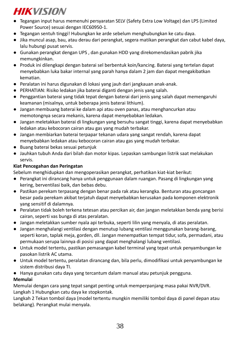- Tegangan input harus memenuhi persyaratan SELV (Safety Extra Low Voltage) dan LPS (Limited Power Source) sesuai dengan IEC60950-1.
- Tegangan sentuh tinggi! Hubungkan ke arde sebelum menghubungkan ke catu daya.
- Jika muncul asap, bau, atau derau dari perangkat, segera matikan perangkat dan cabut kabel daya, lalu hubungi pusat servis.
- Gunakan perangkat dengan UPS , dan gunakan HDD yang direkomendasikan pabrik jika memungkinkan.
- Produk ini dilengkapi dengan baterai sel berbentuk koin/kancing. Baterai yang tertelan dapat menyebabkan luka bakar internal yang parah hanya dalam 2 jam dan dapat mengakibatkan kematian.
- Peralatan ini harus digunakan di lokasi yang jauh dari jangkauan anak-anak.
- PERHATIAN: Risiko ledakan jika baterai diganti dengan jenis yang salah.
- Penggantian baterai yang tidak tepat dengan baterai dari jenis yang salah dapat memengaruhi keamanan (misalnya, untuk beberapa jenis baterai lithium).
- Jangan membuang baterai ke dalam api atau oven panas, atau menghancurkan atau memotongnya secara mekanis, karena dapat menyebabkan ledakan.
- Jangan meletakkan baterai di lingkungan yang bersuhu sangat tinggi, karena dapat menyebabkan ledakan atau kebocoran cairan atau gas yang mudah terbakar.
- Jangan membiarkan baterai terpapar tekanan udara yang sangat rendah, karena dapat menyebabkan ledakan atau kebocoran cairan atau gas yang mudah terbakar.
- Buang baterai bekas sesuai petunjuk
- Jauhkan tubuh Anda dari bilah dan motor kipas. Lepaskan sambungan listrik saat melakukan servis.

## **Kiat Pencegahan dan Peringatan**

Sebelum menghidupkan dan mengoperasikan perangkat, perhatikan kiat-kiat berikut:

- Perangkat ini dirancang hanya untuk penggunaan dalam ruangan. Pasang di lingkungan yang kering, berventilasi baik, dan bebas debu.
- Pastikan perekam terpasang dengan benar pada rak atau kerangka. Benturan atau goncangan besar pada perekam akibat terjatuh dapat menyebabkan kerusakan pada komponen elektronik yang sensitif di dalamnya.
- Peralatan tidak boleh terkena tetesan atau percikan air, dan jangan meletakkan benda yang berisi cairan, seperti vas bunga di atas peralatan.
- Jangan meletakkan sumber nyala api terbuka, seperti lilin yang menyala, di atas peralatan.
- Jangan menghalangi ventilasi dengan menutup lubang ventilasi menggunakan barang-barang, seperti koran, taplak meja, gorden, dll. Jangan menempatkan tempat tidur, sofa, permadani, atau permukaan serupa lainnya di posisi yang dapat menghalangi lubang ventilasi.
- Untuk model tertentu, pastikan pemasangan kabel terminal yang tepat untuk penyambungan ke pasokan listrik AC utama.
- Untuk model tertentu, peralatan dirancang dan, bila perlu, dimodifikasi untuk penyambungan ke sistem distribusi daya TI.
- Hanya gunakan catu daya yang tercantum dalam manual atau petunjuk pengguna.

## **Memulai**

Memulai dengan cara yang tepat sangat penting untuk memperpanjang masa pakai NVR/DVR. Langkah 1 Hubungkan catu daya ke stopkontak.

Langkah 2 Tekan tombol daya (model tertentu mungkin memiliki tombol daya di panel depan atau belakang). Perangkat mulai menyala.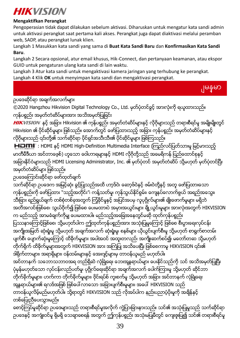![](_page_39_Picture_0.jpeg)

## **Mengaktifkan Perangkat**

Pengoperasian tidak dapat dilakukan sebelum aktivasi. Diharuskan untuk mengatur kata sandi admin untuk aktivasi perangkat saat pertama kali akses. Perangkat juga dapat diaktivasi melalui peramban web, SADP, atau perangkat lunak klien.

Langkah 1 Masukkan kata sandi yang sama di **Buat Kata Sandi Baru** dan **Konfirmasikan Kata Sandi Baru**.

Langkah 2 Secara opsional, atur email khusus, Hik-Connect, dan pertanyaan keamanan, atau ekspor GUID untuk pengaturan ulang kata sandi di lain waktu.

Langkah 3 Atur kata sandi untuk mengaktivasi kamera jaringan yang terhubung ke perangkat. Langkah 4 Klik **OK** untuk menyimpan kata sandi dan mengaktivasi perangkat.

ျမန္မာ

ဥပဒေဆိုင်ရာ အချက်အလက်များ

©2020 Hangzhou Hikvision Digital Technology Co., Ltd. မွတ္ပုံတင္ခြင့္ အားလုံးကို ရယူထားသည္။ ကုန္ပစၥည္း အမွတ္တံဆိပ္မ်ားအား အသိအမွတ္ျပဳျခင္း

HIKVISION နှင့် အခြား Hikvision ၏ ကုန်ပစ္စည်း အမှတ်တံဆိပ်များနှင့် လိုဂိုများသည် တရားစီရင်မှု အမျိုးမျိုးတွင် Hikvision ၏ ပိုင်ဆိုင်မှုများ ဖြစ်သည်။ အောက်တွင် ဖော်ပြထားသည့် အခြား ကုန်ပစ္စည်း အမှတ်တံဆိပ်များနှင့် လိုဂိုများသည် ၎င်းတို့၏ သက်ဆိုင်ရာ ပိုင်ရှင်အသီးသီး၏ ပိုင်ဆိုင်မှုများ ဖြစ်ကြသည်။

HDMI : HDMI နှင့် HDMI High-Definition Multimedia Interface (ကြည်လင်ပြတ်သားမှ မြင့်မားသည့် မာတီမီဒီယာ အင်တာဖေ့စ်) ဟူသော ဝေါဟာရများနှင့် HDMI လိုဂိုတို့သည် အမေရိကန် ပြည်ထောင်စုနှင့် အခြားနိုင်ငံများသည် HDMI Licensing Administrator, Inc. ၏ မှတ်ပုံတင် အမှတ်တံဆိပ် သို့မဟုတ် မှတ်ပုံတင်ပြီး အမှတ်တံဆိပ်များ ဖြစ်သည်။

```
ဥပေဒေၾကာင္းဆိုင္ရာ ေဖာ္ထုတ္ခ်က္
```
သက်ဆိုင်ရာ ဥပဒေက အမြင့်ဆုံး ခွင့်ပြုသည်အထိ ဟာ့ဒ်ဝဲ၊ ေဆာ့ဖ်ဝဲနှင့် ဖမ်းဝဲတို့နှင့် အတူ ဖော်ပြထားသော ကုန္ပ်ပစ္စည္မႈကို ေဖာပြထား "သည့်အတိုင်း"၊ ကန္ဗ်သတ်မွ၊ ကုန္ပ်သွယ်နိုင်စွမ်း၊ ကျေနပ်လောက်ဖွယ် အရည်အသွေး၊ သီးခြား ရည်ရွယ်ချက် တစ်စုံတစ်ခုအတွက် ကြံ့ခိုင်မှုနှင့် အပြင်အပမှ လူပုဂ္ဂိုလ်များ၏ ချိုးဖောက်မှုများ မရှိဘဲ အတိအလင်းဖြစ်စေ၊ သွယ်ဝိုက်၍ ဖြစ်စေ ပေးမထားပဲ အမှားအယွင်းများ ချို့ယွင်းမှုများ အားလုံးအတွက် HIKVISION က မည်သည့် အာမခံချက်ကိုမျှ ပေးမထားပါ။ မည်သည့်အခြေအနေတွင်မဆို ထုတ်ကုန်ပစ္စည်း ပြဿနာေကြာင်ဖြစ်စေ၊ သို့မဟုတ်ပါက ကျ်ထုတ်ကုန်ပစ္စည်းအား အသုံးပြုမူကြောင့် ဖြစ်စေ စီးပွားေရးလုပ်ငန်း -<br>အကျိုးအမြတ် ဆုံးရုံးမှု သို့မဟုတ် အချက်အလက် ဆုံးရုံးမှု၊ စနစ်များ ယိုယွင်းပျက်စီးမှု သို့မဟုတ် စာရွက်စာတမ်း ပျက်စီး ပျောက်ဆုံးမှုကြောင့် ထိခိုက်မှုများ အပါအဝင် အထူးတလည်၊ အကျိုးဆက်စပ်၍၊ မတော်တဆ သို့မဟုတ် တိုက်ရိုက် ထိခိုက်မှုများအတွက် HIKVISION အား အကြံပြု အသိပေးပြီး ဖြစ်စေကာမူ HIKVISION ၎င်း၏ ဒါရိုက်တာများ၊ အရာရှိများ၊ ဝန်ထမ်းများနှင့် အေးဂျင့်များမှ တာဝန်ယူမည် မဟုတ်ပါ။ အင်တာနက် သဘောသဘာဝအရ တည်ရှိဆဲ လုံခြုံရေး ဘေးအွန္ဂရာယ်များ ပေးနိုင်သည်ကို သင် အသိအမှတ်ပြုပြီး ပုံမှန်မဟုတ်သော လုပ်ငန်းလည်ပတ်မှု၊ ပုဂ္ဂိုလ်ရေးဆိုင်ရာ အချက်အလက် ပေါက်ကြားမှု သို့မဟုတ် ဆိုင်ဘာ တိုက်ခိုက်မှုများ၊ ဟက်ကာ တိုက်ခိုက်မှုများ၊ ဗိုင်းရပ်စ် ကူးစက်မှု သို့မဟုတ် အခြား အင်တာနက် လုံခြုံရေး အန္တရာယ်များ၏ ရလဒ်အဖြစ် ဖြစ်ပေါ်လာသော အခြားပျက်စီးမှုများ၊ အပေါ် HIKVISION သည် တာဝန်ယူလိမ့်မည်မဟုတ်ပါ။ သို့ရာတွင် HIKVISION သည် လိုအပ်ပါက နည်းပညာပံ့ပိုးမှုကို အချိန်နှင့်

တစ္ေျပးညီေပးသြားမည္။

ေစာင့္ၾကပ္မႈဆိုင္ရာ ဥပေဒမ်ားသည္ တရားစီရင္မႈအလိုက္ ကြဲျပားျခားနားသည္။ သင္၏ အသံုးျပဳမႈသည္ သက္ဆိုင္ရာ ဥပေဒႏွင့္ အက်ံဳးဝင္မႈ ရွိမရွိ ေသခ်ာေစရန္အတြက္ ဤကုန္ပစၥည္း အသံုးမျပဳမီတြင္ ေက်းဇူးျပဳ၍ သင္၏ တရားစီရင္မႈ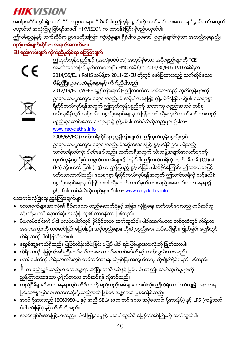- 40
- 
- 
- အဝင္ ဗို႔အားသည္ IEC60950-1 ႏွင့္ အညီ SELV (ေဘးကင္းေသာ အပိုေဆာင္း ဗို႔အားနိမ့္) ႏွင့္ LPS (ကန္႔သတ္
- ပါဝါ ရင်းမြစ်) နှင့် ကိုက်ညီရမည်။
- တည္ၿငိမ္မႈ မရွိေသာ ေနရာတြင္ ကိရိယာကို မည္သည့္အခါမွ် မထားပါႏွင့္။ ဤကိရိယာ ျပဳတ္က်၍ အနာတရ ပြင်းထန်စွာဖြစ်စေ၊ အသက်ဆုံးရုံးသည်အထိ ဖြစ်စေ အန္တရာယ် ဖြစ်စေနိုင်သည်။
- $\stackrel{\text{{\small 4}}{}}{\scriptstyle\gamma}$  က ရည်ညွှန်းသည်မှာ ဘေးအွန္တရာယ်ရှိပြီး တာမီနယ်နှင့် ပြင်ပ ဝါယာကြိုး ဆက်သွယ်မှုများကို ညွန္ခ်ကြားထားသော ပုဂ္ဂိုလ်ံကသာ တပ်ံဆင်ရန် လိုအပ်ံသည်။

● အဝင္လွ်ပ္စီးအားျမင့္မားသည္။ ပါဝါ ျဖန္႔ေဝမႈႏွင့္ မဆက္သြယ္မီ ေျမစိုက္အပ္ႀကိဳးကို ဆက္သြယ္ပါ။

- ပလပ္ေပါက္ကို ကိရိယာအနီးတြင္ တပ္ဆင္ထားရမည္ျဖစ္ၿပီး အလြယ္တကူ ထိုးခ်ိတ္ႏိုင္ရမည္ ျဖစ္သည္။
- 
- ေရွာ့ခ္အႏၱရာယ္ရွိသည္။ ျပဳျပင္ထိန္းသိမ္းျခင္း မျပဳမီ ပါဝါ ရင္းျမစ္မ်ားအားလံုးကို ျဖဳတ္ထားပါ။ ● ကိရိယာကို ေျမစိုက္အပ္ႀကိဳးတပ္ဆင္ထားေသာ ပင္မပလပ္ေပါက္ႏွင့္ ဆက္သြယ္ထားရမည္။
- မီးပလပ္ေခါင္းကို ပါဝါ ပလပ္ေပါက္တြင္ ခိုင္ခိုင္မာမာ ဆက္သြယ္ပါ။ ပါဝါအဒက္ပတာ တစ္ခုထဲတြင္ ကိရိယာ အများအပြားကို တပ်ဆင်ခြင်း မပြုပါနှင့်။ အပိုပစ္စည်းများ၊ တိုးချဲ့ပစ္စည်းများ တပ်ဆင်ခြင်း၊ ဖြုတ်ခြင်း မပြုမီတွင် ကိရိယာကို ပါဝါ ျဖဳတ္ထားပါ။
- နှင့်/သို့မဟုတ် နောက်ဆုံး အသုံးပြုသူ၏ တာဝန်သာ ဖြစ်သည်။
- ဘေးကင်းလုံခြုံရေး ညွှန်ကြားချက်များ ● စကားဝွက္မ်ားအားလံုး၏ ခိုင္မာေသာ တည္ေဆာက္ပံုႏွင့္ အျခား လံုၿခံဳေရး ဆက္တင္မ်ားသည္ တပ္ဆင္သူ

![](_page_40_Picture_14.jpeg)

[www.recyclethis.info](http://www.recyclethis.info/) 2006/66/EC (ဘက်ထရီဆိုင်ရာ ညွှန်ကြားချက်)- ဤထုတ်ကုန်ပစ္စည်းတွင် ဥရောပသမဂ္ဂအတွင်း ရောနှောစည်ပင်အမှိုက်အနေဖြင့် စွန့်ပစ်နိုင်ခြင်း မရှိသည့် –<br>ဘက်ထရီတစ်လုံး ပါဝင်နေပါသည်။ ဘက်ထရီအတွက် သီးသန့်အချက်အလက်များကို ထုတ်ကုန်ပစ္စည်းပါ စာရွက်စာတမ်းများ၌ ကြည့်ပါ။ ဤဘက်ထရီကို ကတ်ဒမီယမ် (Cd)၊ ခဲ (Pb) သို့မဟုတ် ပြဒါး (Hg) ဟု ညွှန်ပြမည့် စွန့်ပစ်ခြင်း ပါဝင်နိုင်ကြောင်း ဤသင်္ကေတဖြင့် မှတ်သားထားပါသည်။ သေချာစွာ ရီဆိုင်ကယ်လုပ်ရန်အတွက် ဤဘက်ထရီကို သင့်နယ်ခံ .<br>ပစ္စည်းရောင်းချသူထံ ပြန်ပေးပါ သို့မဟုတ် သတ်မှတ်ထားသည့် စုဆောင်းသော နေရာ၌ စြန႔္ပစ္ပါ။ ထပ္မံသိလိုသည္မ်ား ရွိပါက- [www.recyclethis.info](http://www.recyclethis.info/)

![](_page_40_Picture_16.jpeg)

2014/35/EU ၊ RoHS အမိန႔္စာ 2011/65/EU တို႔တြင္ ေဖာ္ျပထားသည့္ သက္ဆိုင္ေသာ ချိန်ညှိပြီး ဥရောပစံနှန်းများနှင့် ကိုက်ညီပါသည်။ 2012/19/EU (WEEE ညွှန်ကြားချက်)- ဤသင်္ကေတ ကပ်ထားသည့် ထုတ်ကုန်များကို ဥရောပသမဂ္ဂအတွင်း ရောနောစည်ပင် အမှိုက်အနေဖြင့် စွန့်ပစ်နိုင်ခြင်း မရှိပါ။ သေချာစွာ ရီဆိုင်ကယ်လုပ်ရန်အတွက် ဤထုတ်ကုန်ပစ္စည်းကို အလားတူ ပစ္စည်းအသစ် တစ်ခု ဝယ်ယူချိန်တွင် သင့်နယ်ခံ ပစ္စည်းရောင်းချသူထံ ပြန်ပေးပါ သို့မဟုတ် သတ်မှတ်ထားသည့် ပစ္စည်းစုဆောင်းသော နေရာများ၌ စွန့်ပစ်ပါ။ ထပ်မံသိလိုသည်များ ရှိပါက-

![](_page_40_Picture_18.jpeg)

EU စည်းကမ်းရက် ကိုက်ညီမှုဆိုင်ရာ ကြေဌာရက်

**HIKVISION** အဝန်းအဝိုင်းတွင်းရှိ သက်ဆိုင်ရာ ဥပဒေများကို စိစစ်ပါ။ ဤကုန်ပစ္စည်းကို သတ်မှတ်ထားသော ရည်ရွယ်ချက်အတွက် မဟုတ္ဘဲ အသံုးျပဳမႈ ျဖစ္ရပ္အေပၚ HIKVISION က တာဝန္ခံျခင္း ရွိမည္မဟုတ္ပါ။ ဤလမ်းညွှန်နှင့် သက်ဆိုင်ရာ ဥပဒေတို့အကြား ကွဲလွဲမှုများ ရှိခဲ့ပါက ဥပဒေပါ ပြဌာန်းချက်ကိုသာ အတည်ယူရမည်။ စည်းကမ်းချက်ဆိုင်ရာ အချက်အလက်များ

> .<br>ဤထုတ်ကုန်ပစ္စည်းနှင့် (အကျုံးဝင်ပါက) အတူပါရှိသော အပိုပစ္စည်းများကို "CE" အမွတ္အသားျဖင့္ မွတ္သားထားၿပီး EMC အမိန႔္စာ 2014/30/EU ၊ LVD အမိန႔္စာ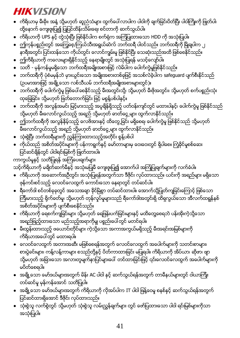## 41

- ျပင္ဆင္ထားရွိေအာင္ ဒီဇိုင္း လုပ္ထားသည္။ ● သံုးစြဲသူ လက္စြဲတြင္ သို႔မဟုတ္ သံုးစြဲသူ လမ္းညႊန္ခ်က္မ်ား တြင္ ေဖာ္ျပထားေသာ ပါဝါ ရင္းျမစ္မ်ားကိုသာ
- 
- တပ္ဆင္မႈ မွန္ကန္ေအာင္ သတိျပဳပါ။
- အခ်ိဳ႕ေသာ ေမာ္ဒယ္မ်ားအတြက္ ကိရိယာကို လိုအပ္ပါက IT ပါဝါ ျဖန္႔ေဝမႈ စနစ္နွင့္ ဆက္သြယ္ရန္အတြက္
- 
- 
- မပိတ္ေစရပါ။ ● အခ်ိဳ႕ေသာ ေမာ္ဒယ္မ်ားအတြက္ မိန္း AC ပါဝါ ႏွင့္ ဆက္သြယ္ရန္အတြက္ တာမီနယ္မ်ားတြင္ ဝါယာၾကိဳး

သို့မဟုတ် အခြားသော အလားတူမျက်နှာပြင်များပေါ် တင်ထားခြင်းဖြင့် ၎င်းလေဝင်လေထွက် အပေါက်များကို

- ကိရိယာအပေါ် တွင် မထားရပါ။ ● ေလဝင္ေလထြက္ အတားအဆီး မျဖစ္ေစရန္အတြက္ ေလဝင္ေလထြက္ အေပါက္မ်ားကို သတင္းစာမ်ား၊ စားပွဲခင်းများ၊ ကန့်လန့်ကာများ စသည်တို့နှင့် ပိတ်ကာထားခြင်း မပြုရပါ။ ကိရိယာကို အိပ်ယာ၊ ဆိုဖာ၊ ဖျာ
- ကိရိယာကို ေရစက္က်ျခင္းမ်ား သို႔မဟုတ္ ေရျဖန္းပက္ျခင္းမ်ားႏွင့္ မထိေတြ႔ေစရဘဲ ပန္းအိုးကဲ့သို႔ေသာ အရည်ဖြည့်ထားသော မည်သည့်အရာကိုမျှ ပစ္စည်းပေါ်တွင် မတင်ရပါ။ ● မီးထြန္းထားသည့္ ဖေယာင္းတိုင္မ်ား ကဲ့သို႔ေသာ အကာအကြယ္မရွိသည့္ မီးအရင္းအျမစ္မ်ားကို
- ရီေကာ္ဒါ စင္တစ္ခုခုတြင္ အေသအခ်ာ ခိုင္ၿမဲစြာ တပ္ဆင္ထားပါ။ ေအာက္သို႔ျပဳတ္က်ျခင္းေၾကာင့္ ျဖစ္ေသာ ြ<br>ကြီးမားသည့် ရိုက်ခတ်မှု၊ သို့မဟုတ် တုန်လှုပ်မှုများသည် ရီကော်ဒါအတွင်းရှိ ထိရှလွယ်သော အီလက်ထရွန်နစ် အစိတ္အပိုင္းမ်ားကို ပ်က္စီးေစႏိုင္သည္။
- ဖုန္ကင္းစင္သည့္ ေလဝင္ေလထြက္ ေကာင္းေသာ ေနရာတြင္ တပ္ဆင္ပါ။
- သင့်ကိရိယာကို မချိတ်ဆက်မီနှင့် အသုံးမပြုမီ ကျေးဇူးပြု၍ အောက်ပါ အကြုံပြုချက်များကို လက်ခံပါ။ ● ကိရိယာကို အေဆာက္အဦတြင္း အသံုးျပဳရန္အတြက္သာ ဒီဇိုင္း လုပ္ထားသည္။ ယင္းကို အရည္မ်ား မရွိေသာ

ျပင္ဆင္ခ်ိန္တြင္ ပါဝါရင္းျမစ္ကို ျဖဳတ္ထားပါ။ ကာကွယ်မှုနှင့် သတိပြုရန် အကြံပေးချက်များ

- $\bullet$  သုံးစွဲပြီး ဘက်ထရီများကို ညွှန်ကြားထားသည့်အတိုင်း စွန့်ပစ်ပါ ● ကိုယ္ထည္ အစိတ္အပိုင္းမ်ားကို ပန္ကာရြက္နွင့္ ေမာ္တာမ်ားမွ ေဝးေဝးတြင္ ရွိပါေစ။ ႀကံ့ခိုင္မႈစစ္ေဆး
- ဤဘက္ထရီကို အလြန္နိမ့္သည့္ ေလဖိအားႏွင့္ ထိေတြ႕ျခင္း မရွိေစရ၊ ေပါက္ကြဲမႈ ျဖစ္ႏိုင္သည္ သို႔မဟုတ္ မ်ိဳးလောင်လွယ်သည့် အရည် သို့မဟုတ် ဓာတ်ငွေ့များ ထွက်လာနိုင်သည်။
- ဘက်ထရီကို အလွန်အမင်း မြင့်မားသည့် အပူချိန်ရှိသည့် ပတ်ဝန်းကျင်တွင် မထားပါနှင့်၊ ပေါက်ကွဲမှု ဖြစ်နိုင်သည် သို့မဟုတ် မီးလောင်လွယ်သည့် အရည် သို့မဟုတ် ဓာတ်ငွေ့များ ထွက်လာနိုင်သည်။
- ဘက္ထရီကို ေပါက္ကြဲမႈ ျဖစ္ေပၚေစႏိုင္သည့္ မီးအတြင္းသို႔၊ သို႔မဟုတ္ မီးဖိုအတြင္း၊ သို႔မဟုတ္ စက္ပစၥည္းသုံး ထုေရြခြင်း၊ သို့မဟုတ် ဖြတ်တောက်ခြင်း ဖြင့် မစွန့်ပစ်ပါနှင့်။
- (ဥပမာအားဖြင့် အခ်္ချံ့သော လစ်သီယမ် ဘက်ထရီအမျိုးအစားများတွင်)။
- ဘက်ထရီကို ပုံစံမမှန်ဘဲ မှားယွင်းသော အမျိုးအစားတစ်ခုဖြင့် အသစ်လဲခဲ့ပါက safeguard ပျက်စီးနိုင်သည်
- သတိ မွန္ကန္မႈမရွိေသာ ဘက္ထရီအမ်ိဳးအစားျဖင့္ လဲမိပါက ေပါက္ကြဲမႈျဖစ္ႏိုင္သည္။
- ဤကိရိယာကို ကေလးမ်ားရွိႏိုင္သည့္ ေနရာမ်ိဳးတြင္ အသုံးျပဳရန္ မသင့္ေလ်ာ္ပါ။
- နာရီအတြင္း ျပင္းထန္ေသာ ကိုယ္တြင္း ေလာင္ကၽြမ္းမႈ ျဖစ္ႏိုင္ၿပီး ေသဆံုးသည္အထိ ျဖစ္ေစႏိုင္သည္။
- ကိရိယာကို UPS ႏွင့္ တြဲသံုးၿပီး ျဖစ္ႏိုင္ပါက စက္႐ံုက အၾကံျပဳထားေသာ HDD ကို အသံုးျပဳပါ။ ● ဤကုန္ပစၥည္းတြင္ အေၾကြေစ့/ၾကယ္သီးအရြယ္ဆဲလ္ ဘက္ထရီ ပါဝင္သည္။ ဘက္ထရီကို ၿမိဳခ်ပါက ၂
- ကိရိယာမှ မီးခိုး၊ အနံ့ သို့မဟုတ် ဆူညံသံများ ထွက်ပေါ် လာပါက ပါဝါကို ချက်ခြင်းပိတ်ပြီး ပါဝါကြိုးကို ဖြုတ်ပါ၊ ထို့နောက် ကျေးဇူးပြု၍ ပြုပြင်ထိန်းသိမ်းရေး စင်တာကို ဆက်သွယ်ပါ။

# **HIKVISION**

အသံုးျပဳပါ။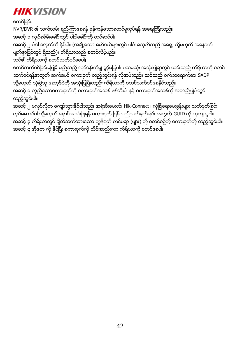စတင္ျခင္း

NVR/DVR ၏ သက္တမ္း ရွည္ၾကာေစရန္ မွန္ကန္ေသာစတင္မႈလုပ္ရန္ အေရးၾကီးသည္။ အဆင့္ ၁ လွ်ပ္စစ္မီးေခါင္းတြင္ ပါဝါေခါင္းကို တပ္ဆင္ပါ။

အဆင့္ ၂ ပါဝါ ခလုတ်ကို နိုပ်ပါ။ (အချို့သော မော်ဒယ်များတွင် ပါဝါ ခလုတ်သည် အရှေ့ သို့မဟုတ် အနောက် မျက်နှာပြင်တွင် ရှိသည်)။ ကိရိယာသည် စတင်လိမ့်မည်။

သင္၏ ကိရိယာကို စတင္သက္ဝင္ေစပါ။

စတင်သက်ဝင်ခြင်းမပြုမီ မည်သည့် လုပ်ငန်းကိုမျှ ခွင့်မပြုပါ။ ပထမဆုံး အသုံးပြုရာတွင် ယင်းသည် ကိရိယာကို စတင် သက်ဝင်ရန်အတွက် အက်ဒမင် စကားဝှက် ထည့်သွင်းရန် လိုအပ်သည်။ သင်သည် ဝက်ဘရောက်ဇာ၊ SADP သို့မဟုတ် သုံးစွဲသူ ေဆာ့ဖ်ဝဲကို အသုံးပြုပြီးလည်း ကိရိယာကို စတင်သက်ဝင်စေနိုင်သည်။ အဆင့္ ၁ တူညီေသာစကားဝုက်ကို စကားဝုက်အသစ် ဖန်တီးပါ နှင့် စကားဝှက်အသစ်ကို အတည်ပြုပါတွင် ထည့္သြင္းပါ။

အဆင့္ ၂ မလုပ်လိုက ကျော်သွားနိုင်ပါသည်၊ အရံအီးမေးလ်၊ Hik-Connect ၊ လုံခြံုရေးမေးခွန်းများ သတ်မှတ်ခြင်း လုပ်ဆောင်ပါ သို့မဟုတ် နောင်အသုံးပြုရန် စကားဝှက် ပြန်လည်သတ်မှတ်ခြင်း အတွက် GUID ကို ထုတျယူပါ။ အဆင့္ ၃ ကိရိယာတွင် ချိတ်ဆက်ထားသော ကွန်ရက် ကင်မရာ (များ) ကို စတင်စဉ်က် စကားဝှက်ကို ထည့်သွင်းပါ။ အဆင့္ ၄ အိုေက ကို ႏွိပ္ၿပီး စကားဝွက္ကို သိမ္းဆည္းကာ ကိရိယာကို စတင္ေစပါ။